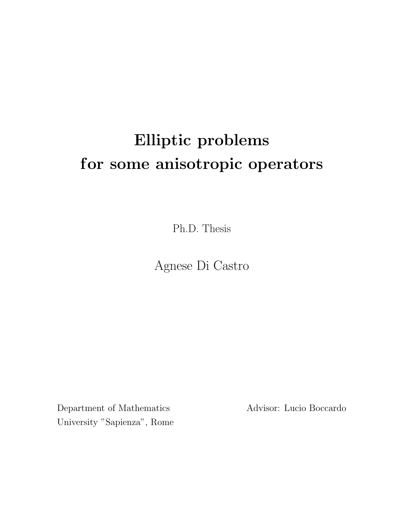# Elliptic problems for some anisotropic operators

Ph.D. Thesis

Agnese Di Castro

Department of Mathematics Advisor: Lucio Boccardo University "Sapienza", Rome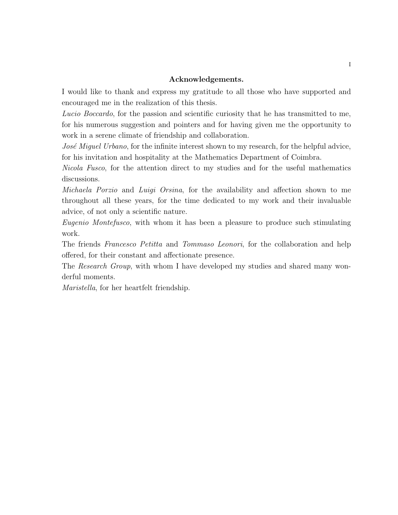# Acknowledgements.

I would like to thank and express my gratitude to all those who have supported and encouraged me in the realization of this thesis.

Lucio Boccardo, for the passion and scientific curiosity that he has transmitted to me, for his numerous suggestion and pointers and for having given me the opportunity to work in a serene climate of friendship and collaboration.

José Miguel Urbano, for the infinite interest shown to my research, for the helpful advice, for his invitation and hospitality at the Mathematics Department of Coimbra.

Nicola Fusco, for the attention direct to my studies and for the useful mathematics discussions.

Michaela Porzio and Luigi Orsina, for the availability and affection shown to me throughout all these years, for the time dedicated to my work and their invaluable advice, of not only a scientific nature.

Eugenio Montefusco, with whom it has been a pleasure to produce such stimulating work.

The friends Francesco Petitta and Tommaso Leonori, for the collaboration and help offered, for their constant and affectionate presence.

The Research Group, with whom I have developed my studies and shared many wonderful moments.

Maristella, for her heartfelt friendship.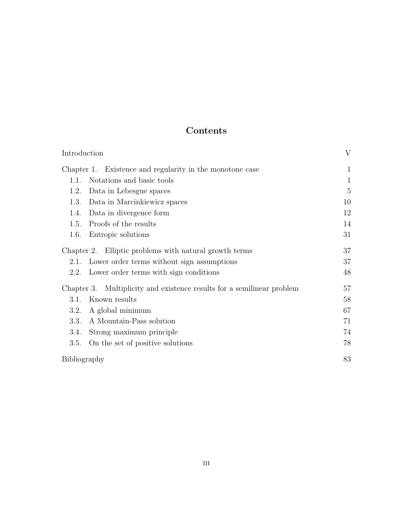# Contents

| Introduction                                                              |                                                          | V            |  |
|---------------------------------------------------------------------------|----------------------------------------------------------|--------------|--|
|                                                                           | Chapter 1. Existence and regularity in the monotone case | $\mathbf{1}$ |  |
| 1.1.                                                                      | Notations and basic tools                                | $\mathbf{1}$ |  |
| 1.2.                                                                      | Data in Lebesgue spaces                                  | 5            |  |
| 1.3.                                                                      | Data in Marcinkiewicz spaces                             | 10           |  |
| 1.4.                                                                      | Data in divergence form                                  | 12           |  |
| 1.5.                                                                      | Proofs of the results                                    | 14           |  |
| 1.6.                                                                      | Entropic solutions                                       | 31           |  |
|                                                                           | Chapter 2. Elliptic problems with natural growth terms   | 37           |  |
| 2.1.                                                                      | Lower order terms without sign assumptions               | 37           |  |
| 2.2.                                                                      | Lower order terms with sign conditions                   | 48           |  |
| Multiplicity and existence results for a semilinear problem<br>Chapter 3. |                                                          | 57           |  |
| 3.1.                                                                      | Known results                                            | 58           |  |
| 3.2.                                                                      | A global minimum                                         | 67           |  |
| 3.3.                                                                      | A Mountain-Pass solution                                 | 71           |  |
| 3.4.                                                                      | Strong maximum principle                                 | 74           |  |
| 3.5.                                                                      | On the set of positive solutions                         | 78           |  |
| Bibliography                                                              |                                                          | 83           |  |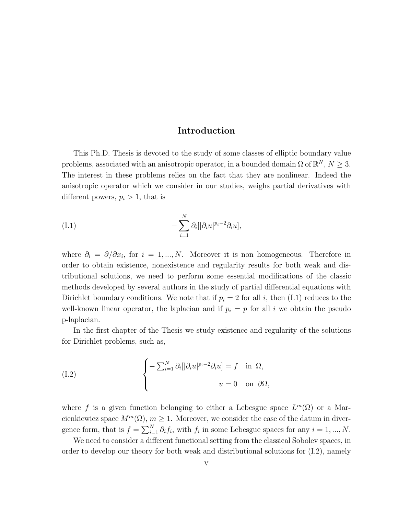# Introduction

This Ph.D. Thesis is devoted to the study of some classes of elliptic boundary value problems, associated with an anisotropic operator, in a bounded domain  $\Omega$  of  $\mathbb{R}^N$ ,  $N \geq 3$ . The interest in these problems relies on the fact that they are nonlinear. Indeed the anisotropic operator which we consider in our studies, weighs partial derivatives with different powers,  $p_i > 1$ , that is

(I.1) 
$$
-\sum_{i=1}^N \partial_i [|\partial_i u|^{p_i-2} \partial_i u],
$$

where  $\partial_i = \partial/\partial x_i$ , for  $i = 1, ..., N$ . Moreover it is non homogeneous. Therefore in order to obtain existence, nonexistence and regularity results for both weak and distributional solutions, we need to perform some essential modifications of the classic methods developed by several authors in the study of partial differential equations with Dirichlet boundary conditions. We note that if  $p_i = 2$  for all i, then (I.1) reduces to the well-known linear operator, the laplacian and if  $p_i = p$  for all i we obtain the pseudo p-laplacian.

In the first chapter of the Thesis we study existence and regularity of the solutions for Dirichlet problems, such as,

(I.2) 
$$
\begin{cases}\n-\sum_{i=1}^{N} \partial_{i} [|\partial_{i} u|^{p_{i}-2} \partial_{i} u] = f & \text{in } \Omega, \\
u = 0 & \text{on } \partial \Omega,\n\end{cases}
$$

where f is a given function belonging to either a Lebesgue space  $L^m(\Omega)$  or a Marcienkiewicz space  $M^m(\Omega)$ ,  $m \geq 1$ . Moreover, we consider the case of the datum in divergence form, that is  $f = \sum_{i=1}^{N} \partial_i f_i$ , with  $f_i$  in some Lebesgue spaces for any  $i = 1, ..., N$ .

We need to consider a different functional setting from the classical Sobolev spaces, in order to develop our theory for both weak and distributional solutions for (I.2), namely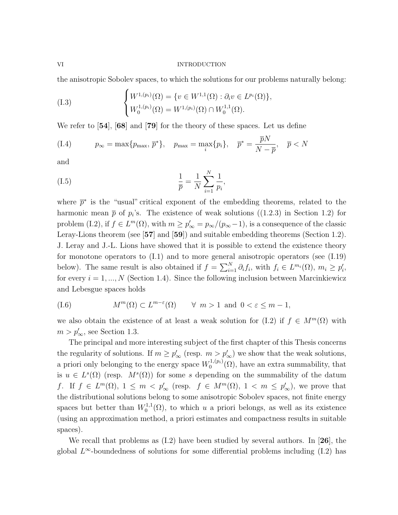#### VI INTRODUCTION

the anisotropic Sobolev spaces, to which the solutions for our problems naturally belong:

(I.3) 
$$
\begin{cases} W^{1,(p_i)}(\Omega) = \{v \in W^{1,1}(\Omega) : \partial_i v \in L^{p_i}(\Omega) \}, \\ W_0^{1,(p_i)}(\Omega) = W^{1,(p_i)}(\Omega) \cap W_0^{1,1}(\Omega). \end{cases}
$$

We refer to  $[54]$ ,  $[68]$  and  $[79]$  for the theory of these spaces. Let us define

$$
(I.4) \t p_{\infty} = \max\{p_{\max}, \overline{p}^*\}, \quad p_{\max} = \max_i\{p_i\}, \quad \overline{p}^* = \frac{\overline{p}N}{N - \overline{p}}, \quad \overline{p} < N
$$

and

(I.5) 
$$
\frac{1}{\bar{p}} = \frac{1}{N} \sum_{i=1}^{N} \frac{1}{p_i},
$$

where  $\bar{p}^*$  is the "usual" critical exponent of the embedding theorems, related to the harmonic mean  $\bar{p}$  of  $p_i$ 's. The existence of weak solutions ((1.2.3) in Section 1.2) for problem (I.2), if  $f \in L^m(\Omega)$ , with  $m \ge p'_{\infty} = p_{\infty}/(p_{\infty}-1)$ , is a consequence of the classic Leray-Lions theorem (see [57] and [59]) and suitable embedding theorems (Section 1.2). J. Leray and J.-L. Lions have showed that it is possible to extend the existence theory for monotone operators to (I.1) and to more general anisotropic operators (see (I.19) below). The same result is also obtained if  $f = \sum_{i=1}^{N} \partial_i f_i$ , with  $f_i \in L^{m_i}(\Omega)$ ,  $m_i \geq p'_i$ , for every  $i = 1, ..., N$  (Section 1.4). Since the following inclusion between Marcinkiewicz and Lebesgue spaces holds

<sub>N T</sub>

(1.6) 
$$
M^m(\Omega) \subset L^{m-\varepsilon}(\Omega) \quad \forall \ m > 1 \text{ and } 0 < \varepsilon \le m - 1,
$$

we also obtain the existence of at least a weak solution for (I.2) if  $f \in M^m(\Omega)$  with  $m > p'_{\infty}$ , see Section 1.3.

The principal and more interesting subject of the first chapter of this Thesis concerns the regularity of solutions. If  $m \ge p'_{\infty}$  (resp.  $m > p'_{\infty}$ ) we show that the weak solutions, a priori only belonging to the energy space  $W_0^{1,(p_i)}$  $\mathcal{O}_0^{(1,(p_i)}(\Omega)$ , have an extra summability, that is  $u \in L^{s}(\Omega)$  (resp.  $M^{s}(\Omega)$ ) for some s depending on the summability of the datum f. If  $f \in L^m(\Omega)$ ,  $1 \leq m < p'_\infty$  (resp.  $f \in M^m(\Omega)$ ,  $1 < m \leq p'_\infty$ ), we prove that the distributional solutions belong to some anisotropic Sobolev spaces, not finite energy spaces but better than  $W_0^{1,1}$  $\chi_0^{1,1}(\Omega)$ , to which u a priori belongs, as well as its existence (using an approximation method, a priori estimates and compactness results in suitable spaces).

We recall that problems as  $(I.2)$  have been studied by several authors. In [26], the global  $L^{\infty}$ -boundedness of solutions for some differential problems including (I.2) has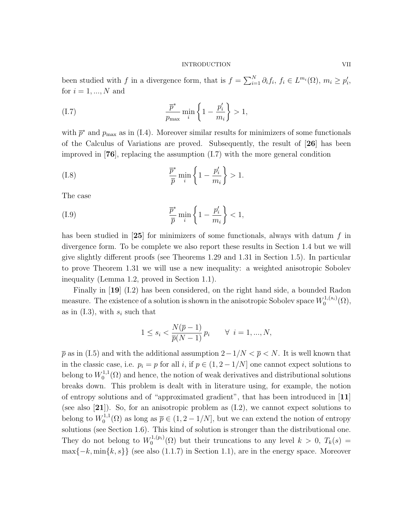#### INTRODUCTION VII

been studied with f in a divergence form, that is  $f = \sum_{i=1}^{N} \partial_i f_i, f_i \in L^{m_i}(\Omega), m_i \geq p'_i$ , for  $i = 1, ..., N$  and

$$
\frac{\overline{p}^*}{p_{\text{max}}} \min_i \left\{ 1 - \frac{p'_i}{m_i} \right\} > 1,
$$

with  $\bar{p}^*$  and  $p_{\text{max}}$  as in (I.4). Moreover similar results for minimizers of some functionals of the Calculus of Variations are proved. Subsequently, the result of [26] has been improved in  $[76]$ , replacing the assumption  $(1.7)$  with the more general condition

(I.8) 
$$
\frac{\overline{p}^*}{\overline{p}} \min_i \left\{ 1 - \frac{p'_i}{m_i} \right\} > 1.
$$

The case

$$
\frac{\overline{p}^*}{\overline{p}} \min_i \left\{ 1 - \frac{p'_i}{m_i} \right\} < 1,
$$

has been studied in  $[25]$  for minimizers of some functionals, always with datum f in divergence form. To be complete we also report these results in Section 1.4 but we will give slightly different proofs (see Theorems 1.29 and 1.31 in Section 1.5). In particular to prove Theorem 1.31 we will use a new inequality: a weighted anisotropic Sobolev inequality (Lemma 1.2, proved in Section 1.1).

Finally in [19] (I.2) has been considered, on the right hand side, a bounded Radon measure. The existence of a solution is shown in the anisotropic Sobolev space  $W_0^{1,(s_i)}$  $\mathcal{O}^{(1,(s_i)}(\Omega),$ as in  $(1.3)$ , with  $s_i$  such that

$$
1 \le s_i < \frac{N(\overline{p} - 1)}{\overline{p}(N - 1)} p_i \qquad \forall \ i = 1, ..., N,
$$

 $\bar{p}$  as in (I.5) and with the additional assumption  $2-1/N < \bar{p} < N$ . It is well known that in the classic case, i.e.  $p_i = p$  for all i, if  $p \in (1, 2 - 1/N]$  one cannot expect solutions to belong to  $W_0^{1,1}$  $\mathcal{O}_0^{1,1}(\Omega)$  and hence, the notion of weak derivatives and distributional solutions breaks down. This problem is dealt with in literature using, for example, the notion of entropy solutions and of "approximated gradient", that has been introduced in [11] (see also [21]). So, for an anisotropic problem as (I.2), we cannot expect solutions to belong to  $W_0^{1,1}$  $\overline{Q}_0^{1,1}(\Omega)$  as long as  $\overline{p} \in (1, 2 - 1/N]$ , but we can extend the notion of entropy solutions (see Section 1.6). This kind of solution is stronger than the distributional one. They do not belong to  $W_0^{1,(p_i)}$  $\binom{1}{0}^{(1)}(0)$  but their truncations to any level  $k > 0$ ,  $T_k(s) =$  $\max\{-k, \min\{k, s\}\}\)$  (see also (1.1.7) in Section 1.1), are in the energy space. Moreover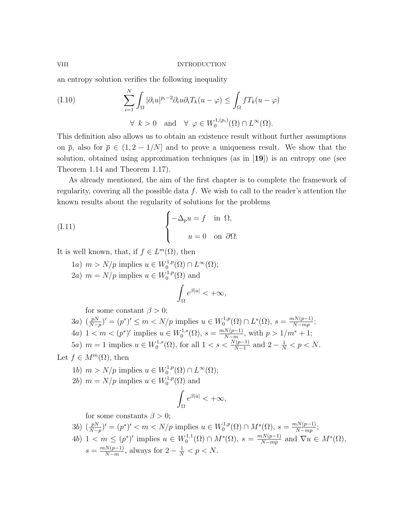an entropy solution verifies the following inequality

(I.10) 
$$
\sum_{i=1}^{N} \int_{\Omega} |\partial_i u|^{p_i - 2} \partial_i u \partial_i T_k (u - \varphi) \leq \int_{\Omega} f T_k (u - \varphi)
$$
  
  $\forall k > 0 \text{ and } \forall \varphi \in W_0^{1, (p_i)}(\Omega) \cap L^{\infty}(\Omega).$ 

This definition also allows us to obtain an existence result without further assumptions on  $\bar{p}$ , also for  $\bar{p} \in (1, 2 - 1/N]$  and to prove a uniqueness result. We show that the solution, obtained using approximation techniques (as in [19]) is an entropy one (see Theorem 1.14 and Theorem 1.17).

As already mentioned, the aim of the first chapter is to complete the framework of regularity, covering all the possible data  $f$ . We wish to call to the reader's attention the known results about the regularity of solutions for the problems

(I.11) 
$$
\begin{cases} -\Delta_p u = f & \text{in } \Omega, \\ u = 0 & \text{on } \partial \Omega. \end{cases}
$$

It is well known, that, if  $f \in L^m(\Omega)$ , then

1a)  $m > N/p$  implies  $u \in W_0^{1,p}$  $L^{1,p}(\Omega) \cap L^{\infty}(\Omega);$ 2a)  $m = N/p$  implies  $u \in W_0^{1,p}$  $\mathcal{O}^{1,p}(\Omega)$  and

$$
\int_{\Omega} e^{\beta|u|} < +\infty,
$$

for some constant  $\beta > 0$ ;

- $3a)$   $\left(\frac{pN}{N}\right)$  $\frac{pN}{N-p}$ ' =  $(p^*)' \le m < N/p$  implies  $u \in W_0^{1,p}$  $L^{1,p}(\Omega) \cap L^{s}(\Omega), s = \frac{mN(p-1)}{N-mp}$  $\frac{nN(p-1)}{N-mp};$
- 4a)  $1 < m < (p^*)'$  implies  $u \in W_0^{1,s}$  $C_0^{1,s}(\Omega), s = \frac{mN(p-1)}{N-m}$  $\frac{N(p-1)}{N-m}$ , with  $p > 1/m^* + 1$ ;

5a) 
$$
m = 1
$$
 implies  $u \in W_0^{1,s}(\Omega)$ , for all  $1 < s < \frac{N(p-1)}{N-1}$  and  $2 - \frac{1}{N} < p < N$ .

Let  $f \in M^m(\Omega)$ , then

- 1b)  $m > N/p$  implies  $u \in W_0^{1,p}$  $L^{1,p}(\Omega) \cap L^{\infty}(\Omega);$
- 2b)  $m = N/p$  implies  $u \in W_0^{1,p}$  $\binom{1,p}{0}$  and

$$
\int_{\Omega} e^{\beta|u|} < +\infty,
$$

for some constants  $\beta > 0$ ;

- $3b)$   $\left(\frac{pN}{N}\right)$  $\frac{pN}{N-p}$ ' =  $(p^*)' < m < N/p$  implies  $u \in W_0^{1,p}$  $\chi_0^{1,p}(\Omega) \cap M^s(\Omega), s = \frac{mN(p-1)}{N-mp}$  $\frac{\mu N(p-1)}{N-mp};$
- 4b)  $1 < m \leq (p^*)'$  implies  $u \in W_0^{1,1}$  $\chi_0^{1,1}(\Omega)$  ∩  $M^s(\Omega)$ ,  $s = \frac{mN(p-1)}{N-mp}$  $\frac{nN(p-1)}{N-mp}$  and  $\nabla u \in M^s(\Omega)$ ,  $s = \frac{mN(p-1)}{N-m}$  $\frac{N(p-1)}{N-m}$ , always for  $2-\frac{1}{N} < p < N$ .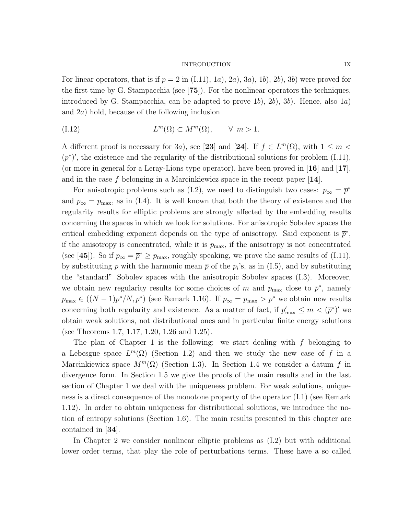#### INTRODUCTION IX

For linear operators, that is if  $p = 2$  in  $(1.11)$ ,  $1a$ ,  $2a$ ,  $3a$ ,  $1b$ ,  $2b$ ,  $3b$ ) were proved for the first time by G. Stampacchia (see [75]). For the nonlinear operators the techniques, introduced by G. Stampacchia, can be adapted to prove  $1b$ ,  $2b$ ,  $3b$ ). Hence, also  $1a$ ) and 2a) hold, because of the following inclusion

(1.12) 
$$
L^m(\Omega) \subset M^m(\Omega), \qquad \forall \; m > 1.
$$

A different proof is necessary for 3a), see [23] and [24]. If  $f \in L^m(\Omega)$ , with  $1 \leq m$  $(p^*)'$ , the existence and the regularity of the distributional solutions for problem (I.11), (or more in general for a Leray-Lions type operator), have been proved in  $\mathbf{16}$  and  $\mathbf{17}$ , and in the case f belonging in a Marcinkiewicz space in the recent paper  $[14]$ .

For anisotropic problems such as (I.2), we need to distinguish two cases:  $p_{\infty} = \bar{p}^*$ and  $p_{\infty} = p_{\text{max}}$ , as in (I.4). It is well known that both the theory of existence and the regularity results for elliptic problems are strongly affected by the embedding results concerning the spaces in which we look for solutions. For anisotropic Sobolev spaces the critical embedding exponent depends on the type of anisotropy. Said exponent is  $\bar{p}^*$ , if the anisotropy is concentrated, while it is  $p_{\text{max}}$ , if the anisotropy is not concentrated (see [45]). So if  $p_{\infty} = \bar{p}^* \ge p_{\text{max}}$ , roughly speaking, we prove the same results of (I.11), by substituting p with the harmonic mean  $\bar{p}$  of the  $p_i$ 's, as in (I.5), and by substituting the "standard" Sobolev spaces with the anisotropic Sobolev spaces (I.3). Moreover, we obtain new regularity results for some choices of m and  $p_{\text{max}}$  close to  $\bar{p}^*$ , namely  $p_{\max} \in ((N-1)\bar{p}^*/N, \bar{p}^*)$  (see Remark 1.16). If  $p_{\infty} = p_{\max} > \bar{p}^*$  we obtain new results concerning both regularity and existence. As a matter of fact, if  $p'_{\text{max}} \leq m < (\bar{p}^*)'$  we obtain weak solutions, not distributional ones and in particular finite energy solutions (see Theorems 1.7, 1.17, 1.20, 1.26 and 1.25).

The plan of Chapter 1 is the following: we start dealing with  $f$  belonging to a Lebesgue space  $L^m(\Omega)$  (Section 1.2) and then we study the new case of f in a Marcinkiewicz space  $M^m(\Omega)$  (Section 1.3). In Section 1.4 we consider a datum f in divergence form. In Section 1.5 we give the proofs of the main results and in the last section of Chapter 1 we deal with the uniqueness problem. For weak solutions, uniqueness is a direct consequence of the monotone property of the operator (I.1) (see Remark 1.12). In order to obtain uniqueness for distributional solutions, we introduce the notion of entropy solutions (Section 1.6). The main results presented in this chapter are contained in [34].

In Chapter 2 we consider nonlinear elliptic problems as (I.2) but with additional lower order terms, that play the role of perturbations terms. These have a so called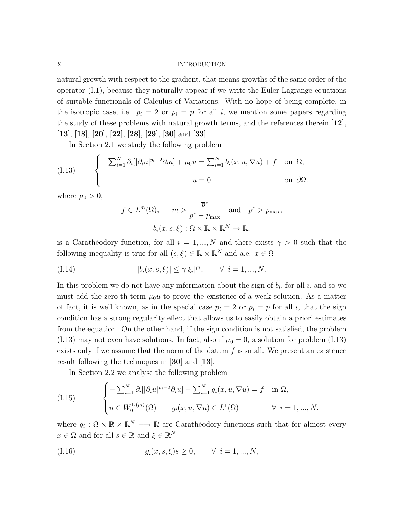#### X INTRODUCTION

natural growth with respect to the gradient, that means growths of the same order of the operator (I.1), because they naturally appear if we write the Euler-Lagrange equations of suitable functionals of Calculus of Variations. With no hope of being complete, in the isotropic case, i.e.  $p_i = 2$  or  $p_i = p$  for all i, we mention some papers regarding the study of these problems with natural growth terms, and the references therein  $[12]$ , [13], [18], [20], [22], [28], [29], [30] and [33].

In Section 2.1 we study the following problem

(I.13) 
$$
\begin{cases}\n-\sum_{i=1}^{N} \partial_i [|\partial_i u|^{p_i-2} \partial_i u] + \mu_0 u = \sum_{i=1}^{N} b_i (x, u, \nabla u) + f & \text{on } \Omega, \\
u = 0 & \text{on } \partial \Omega.\n\end{cases}
$$

where  $\mu_0 > 0$ ,

$$
f \in L^m(\Omega)
$$
,  $m > \frac{\overline{p}^*}{\overline{p}^* - p_{\text{max}}}$  and  $\overline{p}^* > p_{\text{max}}$ ,  
 $b_i(x, s, \xi) : \Omega \times \mathbb{R} \times \mathbb{R}^N \to \mathbb{R}$ ,

is a Carathéodory function, for all  $i = 1, ..., N$  and there exists  $\gamma > 0$  such that the following inequality is true for all  $(s, \xi) \in \mathbb{R} \times \mathbb{R}^N$  and a.e.  $x \in \Omega$ 

(1.14) 
$$
|b_i(x, s, \xi)| \leq \gamma |\xi_i|^{p_i}, \qquad \forall \ i = 1, ..., N.
$$

In this problem we do not have any information about the sign of  $b_i$ , for all i, and so we must add the zero-th term  $\mu_0 u$  to prove the existence of a weak solution. As a matter of fact, it is well known, as in the special case  $p_i = 2$  or  $p_i = p$  for all i, that the sign condition has a strong regularity effect that allows us to easily obtain a priori estimates from the equation. On the other hand, if the sign condition is not satisfied, the problem (I.13) may not even have solutions. In fact, also if  $\mu_0 = 0$ , a solution for problem (I.13) exists only if we assume that the norm of the datum  $f$  is small. We present an existence result following the techniques in [30] and [13].

In Section 2.2 we analyse the following problem

(I.15) 
$$
\begin{cases}\n-\sum_{i=1}^{N} \partial_i [|\partial_i u|^{p_i-2} \partial_i u] + \sum_{i=1}^{N} g_i(x, u, \nabla u) = f & \text{in } \Omega, \\
u \in W_0^{1,(p_i)}(\Omega) & g_i(x, u, \nabla u) \in L^1(\Omega) \qquad \forall \ i = 1, ..., N.\n\end{cases}
$$

where  $g_i : \Omega \times \mathbb{R} \times \mathbb{R}^N \longrightarrow \mathbb{R}$  are Carathéodory functions such that for almost every  $x \in \Omega$  and for all  $s \in \mathbb{R}$  and  $\xi \in \mathbb{R}^N$ 

(1.16) 
$$
g_i(x, s, \xi)s \ge 0, \quad \forall \ i = 1, ..., N,
$$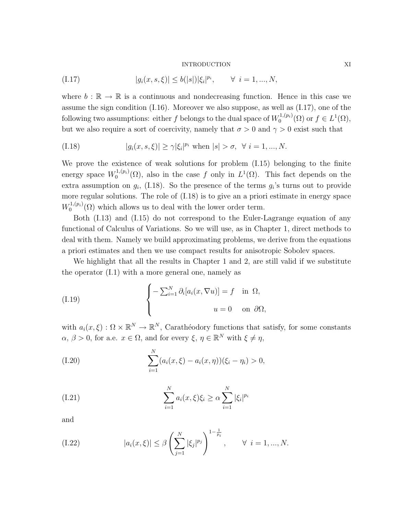#### INTRODUCTION XI

(1.17) 
$$
|g_i(x, s, \xi)| \le b(|s|) |\xi_i|^{p_i}, \quad \forall \ i = 1, ..., N,
$$

where  $b : \mathbb{R} \to \mathbb{R}$  is a continuous and nondecreasing function. Hence in this case we assume the sign condition (I.16). Moreover we also suppose, as well as (I.17), one of the following two assumptions: either f belongs to the dual space of  $W_0^{1,(p_i)}$  $f_0^{1,(p_i)}(\Omega)$  or  $f \in L^1(\Omega)$ , but we also require a sort of coercivity, namely that  $\sigma > 0$  and  $\gamma > 0$  exist such that

(I.18) 
$$
|g_i(x, s, \xi)| \ge \gamma |\xi_i|^{p_i}
$$
 when  $|s| > \sigma$ ,  $\forall i = 1, ..., N$ .

We prove the existence of weak solutions for problem (I.15) belonging to the finite energy space  $W_0^{1,(p_i)}$  $L^{1,(p_i)}(\Omega)$ , also in the case f only in  $L^1(\Omega)$ . This fact depends on the extra assumption on  $g_i$ , (I.18). So the presence of the terms  $g_i$ 's turns out to provide more regular solutions. The role of (I.18) is to give an a priori estimate in energy space  $W_0^{1,(p_i)}$  $\binom{1}{0}$  which allows us to deal with the lower order term.

Both (I.13) and (I.15) do not correspond to the Euler-Lagrange equation of any functional of Calculus of Variations. So we will use, as in Chapter 1, direct methods to deal with them. Namely we build approximating problems, we derive from the equations a priori estimates and then we use compact results for anisotropic Sobolev spaces.

We highlight that all the results in Chapter 1 and 2, are still valid if we substitute the operator (I.1) with a more general one, namely as

(I.19) 
$$
\begin{cases}\n-\sum_{i=1}^{N} \partial_i [a_i(x, \nabla u)] = f & \text{in } \Omega, \\
u = 0 & \text{on } \partial \Omega,\n\end{cases}
$$

with  $a_i(x,\xi) : \Omega \times \mathbb{R}^N \to \mathbb{R}^N$ , Carathéodory functions that satisfy, for some constants  $\alpha, \beta > 0$ , for a.e.  $x \in \Omega$ , and for every  $\xi, \eta \in \mathbb{R}^N$  with  $\xi \neq \eta$ ,

(I.20) 
$$
\sum_{i=1}^{N} (a_i(x,\xi) - a_i(x,\eta))(\xi_i - \eta_i) > 0,
$$

(I.21) 
$$
\sum_{i=1}^{N} a_i(x,\xi) \xi_i \ge \alpha \sum_{i=1}^{N} |\xi_i|^{p_i}
$$

and

(I.22) 
$$
|a_i(x,\xi)| \leq \beta \left(\sum_{j=1}^N |\xi_j|^{p_j}\right)^{1-\frac{1}{p_i}}, \quad \forall \ i = 1,...,N.
$$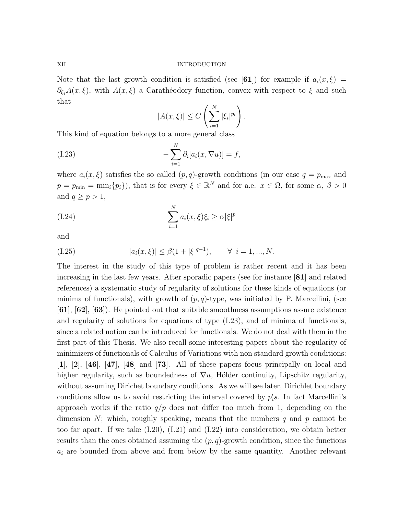#### XII INTRODUCTION

Note that the last growth condition is satisfied (see [61]) for example if  $a_i(x,\xi)$  =  $\partial_{\xi_i}A(x,\xi)$ , with  $A(x,\xi)$  a Carathéodory function, convex with respect to  $\xi$  and such that

$$
|A(x,\xi)| \le C\left(\sum_{i=1}^N |\xi_i|^{p_i}\right).
$$

This kind of equation belongs to a more general class

(I.23) 
$$
-\sum_{i=1}^N \partial_i [a_i(x, \nabla u)] = f,
$$

where  $a_i(x,\xi)$  satisfies the so called  $(p,q)$ -growth conditions (in our case  $q = p_{\text{max}}$  and  $p = p_{\min} = \min_i \{p_i\}$ , that is for every  $\xi \in \mathbb{R}^N$  and for a.e.  $x \in \Omega$ , for some  $\alpha, \beta > 0$ and  $q \geq p > 1$ ,

(I.24) 
$$
\sum_{i=1}^{N} a_i(x,\xi)\xi_i \ge \alpha |\xi|^p
$$

and

(1.25) 
$$
|a_i(x,\xi)| \le \beta(1+|\xi|^{q-1}), \quad \forall \ i = 1, ..., N.
$$

The interest in the study of this type of problem is rather recent and it has been increasing in the last few years. After sporadic papers (see for instance [81] and related references) a systematic study of regularity of solutions for these kinds of equations (or minima of functionals), with growth of  $(p, q)$ -type, was initiated by P. Marcellini, (see [61], [62], [63]). He pointed out that suitable smoothness assumptions assure existence and regularity of solutions for equations of type (I.23), and of minima of functionals, since a related notion can be introduced for functionals. We do not deal with them in the first part of this Thesis. We also recall some interesting papers about the regularity of minimizers of functionals of Calculus of Variations with non standard growth conditions:  $[1]$ ,  $[2]$ ,  $[46]$ ,  $[47]$ ,  $[48]$  and  $[73]$ . All of these papers focus principally on local and higher regularity, such as boundedness of  $\nabla u$ , Hölder continuity, Lipschitz regularity, without assuming Dirichet boundary conditions. As we will see later, Dirichlet boundary conditions allow us to avoid restricting the interval covered by  $p_i$ 's. In fact Marcellini's approach works if the ratio  $q/p$  does not differ too much from 1, depending on the dimension N; which, roughly speaking, means that the numbers q and p cannot be too far apart. If we take  $(I.20)$ ,  $(I.21)$  and  $(I.22)$  into consideration, we obtain better results than the ones obtained assuming the  $(p, q)$ -growth condition, since the functions  $a_i$  are bounded from above and from below by the same quantity. Another relevant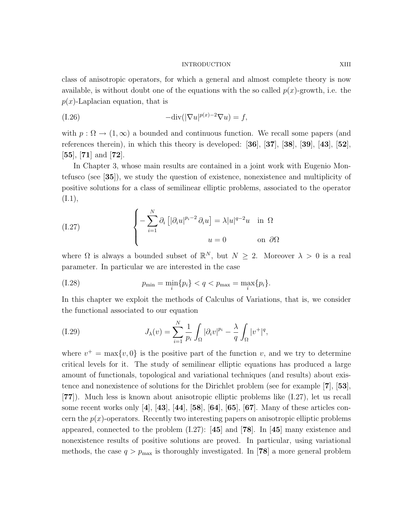#### INTRODUCTION XIII

class of anisotropic operators, for which a general and almost complete theory is now available, is without doubt one of the equations with the so called  $p(x)$ -growth, i.e. the  $p(x)$ -Laplacian equation, that is

(1.26) 
$$
-\text{div}(|\nabla u|^{p(x)-2}\nabla u)=f,
$$

with  $p : \Omega \to (1,\infty)$  a bounded and continuous function. We recall some papers (and references therein), in which this theory is developed: [36], [37], [38], [39], [43], [52],  $[55]$ ,  $[71]$  and  $[72]$ .

In Chapter 3, whose main results are contained in a joint work with Eugenio Montefusco (see [35]), we study the question of existence, nonexistence and multiplicity of positive solutions for a class of semilinear elliptic problems, associated to the operator  $(I.1),$ 

(I.27) 
$$
\begin{cases}\n-\sum_{i=1}^{N} \partial_{i} \left[ |\partial_{i} u|^{p_{i}-2} \partial_{i} u \right] = \lambda |u|^{q-2} u & \text{in } \Omega \\
u = 0 & \text{on } \partial \Omega\n\end{cases}
$$

where  $\Omega$  is always a bounded subset of  $\mathbb{R}^N$ , but  $N \geq 2$ . Moreover  $\lambda > 0$  is a real parameter. In particular we are interested in the case

(1.28) 
$$
p_{\min} = \min_{i} \{p_i\} < q < p_{\max} = \max_{i} \{p_i\}.
$$

In this chapter we exploit the methods of Calculus of Variations, that is, we consider the functional associated to our equation

(I.29) 
$$
J_{\lambda}(v) = \sum_{i=1}^{N} \frac{1}{p_i} \int_{\Omega} |\partial_i v|^{p_i} - \frac{\lambda}{q} \int_{\Omega} |v^+|^q,
$$

where  $v^+ = \max\{v, 0\}$  is the positive part of the function v, and we try to determine critical levels for it. The study of semilinear elliptic equations has produced a large amount of functionals, topological and variational techniques (and results) about existence and nonexistence of solutions for the Dirichlet problem (see for example [7], [53], [77]). Much less is known about anisotropic elliptic problems like (I.27), let us recall some recent works only [4], [43], [44], [58], [64], [65], [67]. Many of these articles concern the  $p(x)$ -operators. Recently two interesting papers on anisotropic elliptic problems appeared, connected to the problem  $(1.27)$ : [45] and [78]. In [45] many existence and nonexistence results of positive solutions are proved. In particular, using variational methods, the case  $q > p_{\text{max}}$  is thoroughly investigated. In [78] a more general problem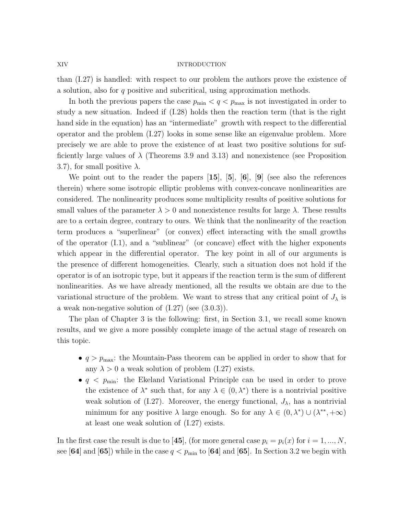#### XIV INTRODUCTION

than (I.27) is handled: with respect to our problem the authors prove the existence of a solution, also for q positive and subcritical, using approximation methods.

In both the previous papers the case  $p_{\min} < q < p_{\max}$  is not investigated in order to study a new situation. Indeed if (I.28) holds then the reaction term (that is the right hand side in the equation) has an "intermediate" growth with respect to the differential operator and the problem (I.27) looks in some sense like an eigenvalue problem. More precisely we are able to prove the existence of at least two positive solutions for sufficiently large values of  $\lambda$  (Theorems 3.9 and 3.13) and nonexistence (see Proposition 3.7), for small positive  $\lambda$ .

We point out to the reader the papers  $[15]$ ,  $[5]$ ,  $[6]$ ,  $[9]$  (see also the references therein) where some isotropic elliptic problems with convex-concave nonlinearities are considered. The nonlinearity produces some multiplicity results of positive solutions for small values of the parameter  $\lambda > 0$  and nonexistence results for large  $\lambda$ . These results are to a certain degree, contrary to ours. We think that the nonlinearity of the reaction term produces a "superlinear" (or convex) effect interacting with the small growths of the operator (I.1), and a "sublinear" (or concave) effect with the higher exponents which appear in the differential operator. The key point in all of our arguments is the presence of different homogeneities. Clearly, such a situation does not hold if the operator is of an isotropic type, but it appears if the reaction term is the sum of different nonlinearities. As we have already mentioned, all the results we obtain are due to the variational structure of the problem. We want to stress that any critical point of  $J_{\lambda}$  is a weak non-negative solution of (I.27) (see (3.0.3)).

The plan of Chapter 3 is the following: first, in Section 3.1, we recall some known results, and we give a more possibly complete image of the actual stage of research on this topic.

- $q > p_{\text{max}}$ : the Mountain-Pass theorem can be applied in order to show that for any  $\lambda > 0$  a weak solution of problem (I.27) exists.
- $q \leq p_{\text{min}}$ : the Ekeland Variational Principle can be used in order to prove the existence of  $\lambda^*$  such that, for any  $\lambda \in (0, \lambda^*)$  there is a nontrivial positive weak solution of  $(1.27)$ . Moreover, the energy functional,  $J_{\lambda}$ , has a nontrivial minimum for any positive  $\lambda$  large enough. So for any  $\lambda \in (0, \lambda^*) \cup (\lambda^{**}, +\infty)$ at least one weak solution of (I.27) exists.

In the first case the result is due to [45], (for more general case  $p_i = p_i(x)$  for  $i = 1, ..., N$ , see [64] and [65]) while in the case  $q < p_{\min}$  to [64] and [65]. In Section 3.2 we begin with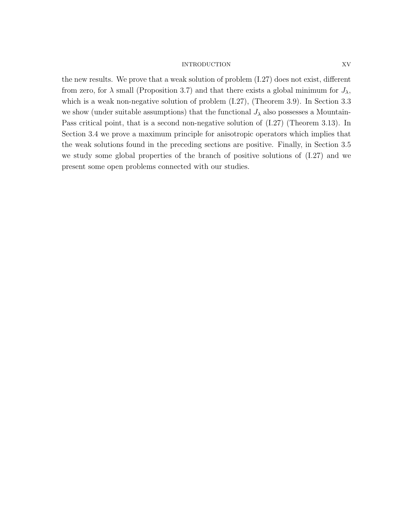## INTRODUCTION XV

the new results. We prove that a weak solution of problem (I.27) does not exist, different from zero, for  $\lambda$  small (Proposition 3.7) and that there exists a global minimum for  $J_{\lambda}$ , which is a weak non-negative solution of problem  $(1.27)$ , (Theorem 3.9). In Section 3.3 we show (under suitable assumptions) that the functional  $J_{\lambda}$  also possesses a Mountain-Pass critical point, that is a second non-negative solution of (I.27) (Theorem 3.13). In Section 3.4 we prove a maximum principle for anisotropic operators which implies that the weak solutions found in the preceding sections are positive. Finally, in Section 3.5 we study some global properties of the branch of positive solutions of (I.27) and we present some open problems connected with our studies.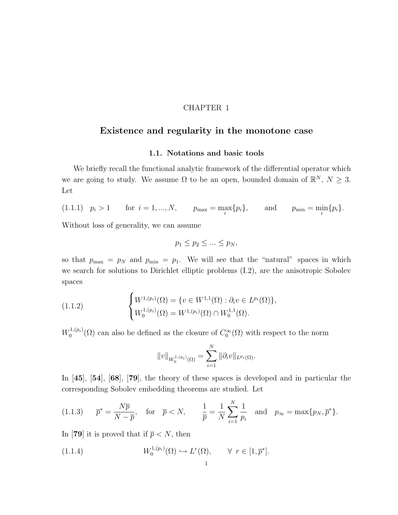# CHAPTER 1

# Existence and regularity in the monotone case

## 1.1. Notations and basic tools

We briefly recall the functional analytic framework of the differential operator which we are going to study. We assume  $\Omega$  to be an open, bounded domain of  $\mathbb{R}^N$ ,  $N \geq 3$ . Let

(1.1.1)  $p_i > 1$  for  $i = 1, ..., N$ ,  $p_{\text{max}} = \max_i \{p_i\}$ , and  $p_{\text{min}} = \min_i \{p_i\}$ .

Without loss of generality, we can assume

$$
p_1 \le p_2 \le \dots \le p_N,
$$

so that  $p_{\text{max}} = p_N$  and  $p_{\text{min}} = p_1$ . We will see that the "natural" spaces in which we search for solutions to Dirichlet elliptic problems (I.2), are the anisotropic Sobolev spaces

(1.1.2) 
$$
\begin{cases} W^{1,(p_i)}(\Omega) = \{v \in W^{1,1}(\Omega) : \partial_i v \in L^{p_i}(\Omega)\}, \\ W_0^{1,(p_i)}(\Omega) = W^{1,(p_i)}(\Omega) \cap W_0^{1,1}(\Omega). \end{cases}
$$

 $W_0^{1,(p_i)}$  $O_0^{1,(p_i)}(\Omega)$  can also be defined as the closure of  $C_0^{\infty}(\Omega)$  with respect to the norm

$$
||v||_{W_0^{1,(p_i)}(\Omega)} = \sum_{i=1}^N ||\partial_i v||_{L^{p_i}(\Omega)}.
$$

In [45], [54], [68], [79], the theory of these spaces is developed and in particular the corresponding Sobolev embedding theorems are studied. Let

(1.1.3) 
$$
\overline{p}^* = \frac{N\overline{p}}{N - \overline{p}}, \text{ for } \overline{p} < N, \frac{1}{\overline{p}} = \frac{1}{N} \sum_{i=1}^N \frac{1}{p_i} \text{ and } p_\infty = \max\{p_N, \overline{p}^*\}.
$$

In [79] it is proved that if  $\bar{p} < N$ , then

(1.1.4) 
$$
W_0^{1,(p_i)}(\Omega) \hookrightarrow L^r(\Omega), \qquad \forall \ r \in [1,\overline{p}^*].
$$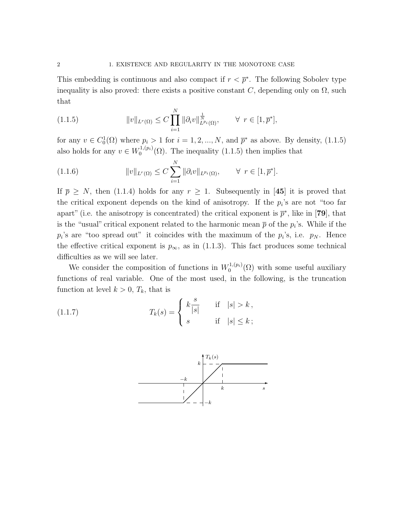This embedding is continuous and also compact if  $r < \bar{p}^*$ . The following Sobolev type inequality is also proved: there exists a positive constant C, depending only on  $\Omega$ , such that

(1.1.5) 
$$
||v||_{L^{r}(\Omega)} \leq C \prod_{i=1}^{N} ||\partial_{i}v||_{L^{p_{i}}(\Omega)}^{\frac{1}{N}}, \quad \forall r \in [1, \bar{p}^{*}],
$$

for any  $v \in C_0^1(\Omega)$  where  $p_i > 1$  for  $i = 1, 2, ..., N$ , and  $\bar{p}^*$  as above. By density, (1.1.5) also holds for any  $v \in W_0^{1,(p_i)}$  $0^{(1,(p_i)}(\Omega)$ . The inequality  $(1.1.5)$  then implies that

(1.1.6) 
$$
||v||_{L^{r}(\Omega)} \leq C \sum_{i=1}^{N} ||\partial_{i}v||_{L^{p_{i}}(\Omega)}, \qquad \forall \ r \in [1, \overline{p}^{*}].
$$

If  $\bar{p} \geq N$ , then (1.1.4) holds for any  $r \geq 1$ . Subsequently in [45] it is proved that the critical exponent depends on the kind of anisotropy. If the  $p_i$ 's are not "too far apart" (i.e. the anisotropy is concentrated) the critical exponent is  $\bar{p}^*$ , like in [79], that is the "usual" critical exponent related to the harmonic mean  $\bar{p}$  of the  $p_i$ 's. While if the  $p_i$ 's are "too spread out" it coincides with the maximum of the  $p_i$ 's, i.e.  $p_N$ . Hence the effective critical exponent is  $p_{\infty}$ , as in (1.1.3). This fact produces some technical difficulties as we will see later.

We consider the composition of functions in  $W_0^{1,(p_i)}$  $0^{(1,(p_i)}(\Omega)$  with some useful auxiliary functions of real variable. One of the most used, in the following, is the truncation function at level  $k > 0$ ,  $T_k$ , that is

(1.1.7) 
$$
T_k(s) = \begin{cases} k \frac{s}{|s|} & \text{if } |s| > k, \\ s & \text{if } |s| \le k; \end{cases}
$$

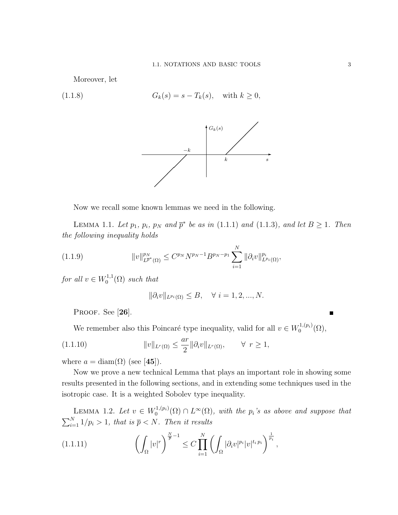Moreover, let

(1.1.8) 
$$
G_k(s) = s - T_k(s), \text{ with } k \ge 0,
$$



Now we recall some known lemmas we need in the following.

LEMMA 1.1. Let  $p_1$ ,  $p_i$ ,  $p_N$  and  $\bar{p}^*$  be as in (1.1.1) and (1.1.3), and let  $B \ge 1$ . Then the following inequality holds

(1.1.9) 
$$
||v||_{L^{\bar{p}^*}(\Omega)}^{p_N} \leq C^{p_N} N^{p_N-1} B^{p_N-p_1} \sum_{i=1}^N ||\partial_i v||_{L^{p_i}(\Omega)}^{p_i},
$$

for all  $v \in W_0^{1,1}$  $C_0^{1,1}(\Omega)$  such that

$$
\|\partial_i v\|_{L^{p_i}(\Omega)} \le B, \quad \forall \ i = 1, 2, ..., N.
$$

PROOF. See [26].

We remember also this Poincaré type inequality, valid for all  $v \in W_0^{1,(p_i)}$  $\mathcal{O}^{(1,(p_i)}(\Omega),$ 

(1.1.10) 
$$
||v||_{L^r(\Omega)} \leq \frac{ar}{2} ||\partial_i v||_{L^r(\Omega)}, \qquad \forall r \geq 1,
$$

where  $a = \text{diam}(\Omega)$  (see [45]).

Now we prove a new technical Lemma that plays an important role in showing some results presented in the following sections, and in extending some techniques used in the isotropic case. It is a weighted Sobolev type inequality.

LEMMA 1.2. Let  $v \in W_0^{1,(p_i)}$  $\mathcal{O}_0^{(1,(p_i)}(\Omega) \cap L^{\infty}(\Omega)$ , with the  $p_i$ 's as above and suppose that  $\sum_{i=1}^{N} 1/p_i > 1$ , that is  $\bar{p} < N$ . Then it results

$$
(1.1.11) \qquad \left(\int_{\Omega} |v|^r\right)^{\frac{N}{\overline{p}}-1} \leq C \prod_{i=1}^N \left(\int_{\Omega} |\partial_i v|^{p_i} |v|^{t_i p_i}\right)^{\frac{1}{p_i}},
$$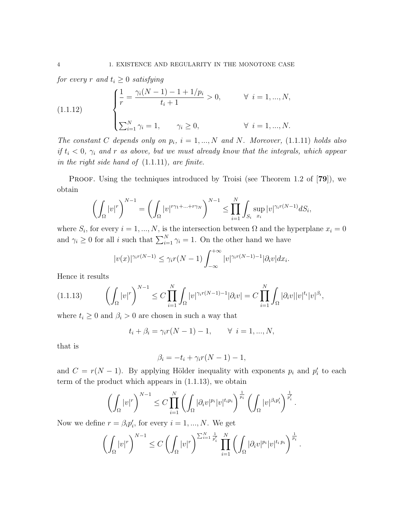for every r and  $t_i \geq 0$  satisfying

(1.1.12) 
$$
\begin{cases} \frac{1}{r} = \frac{\gamma_i (N-1) - 1 + 1/p_i}{t_i + 1} > 0, & \forall i = 1, ..., N, \\ \sum_{i=1}^N \gamma_i = 1, & \gamma_i \ge 0, & \forall i = 1, ..., N. \end{cases}
$$

The constant C depends only on  $p_i$ ,  $i = 1, ..., N$  and N. Moreover, (1.1.11) holds also if  $t_i < 0$ ,  $\gamma_i$  and r as above, but we must already know that the integrals, which appear in the right side hand of (1.1.11), are finite.

PROOF. Using the techniques introduced by Troisi (see Theorem 1.2 of [79]), we obtain

$$
\left(\int_{\Omega} |v|^r\right)^{N-1} = \left(\int_{\Omega} |v|^{r\gamma_1+\dots+r\gamma_N}\right)^{N-1} \leq \prod_{i=1}^N \int_{S_i} \sup_{x_i} |v|^{\gamma_i r(N-1)} dS_i,
$$

where  $S_i$ , for every  $i = 1, ..., N$ , is the intersection between  $\Omega$  and the hyperplane  $x_i = 0$ and  $\gamma_i \geq 0$  for all *i* such that  $\sum_{i=1}^{N} \gamma_i = 1$ . On the other hand we have

$$
|v(x)|^{\gamma_i r(N-1)} \leq \gamma_i r(N-1) \int_{-\infty}^{+\infty} |v|^{\gamma_i r(N-1)-1} |\partial_i v| dx_i.
$$

Hence it results

$$
(1.1.13)\qquad \left(\int_{\Omega}|v|^r\right)^{N-1}\leq C\prod_{i=1}^N\int_{\Omega}|v|^{\gamma_ir(N-1)-1}|\partial_iv|=C\prod_{i=1}^N\int_{\Omega}|\partial_iv||v|^{t_i}|v|^{\beta_i},
$$

where  $t_i \geq 0$  and  $\beta_i > 0$  are chosen in such a way that

$$
t_i + \beta_i = \gamma_i r(N-1) - 1, \quad \forall \ i = 1, ..., N,
$$

that is

$$
\beta_i = -t_i + \gamma_i r(N-1) - 1,
$$

and  $C = r(N-1)$ . By applying Hölder inequality with exponents  $p_i$  and  $p'_i$  to each term of the product which appears in (1.1.13), we obtain

$$
\left(\int_{\Omega}|v|^{r}\right)^{N-1}\leq C\prod_{i=1}^{N}\left(\int_{\Omega}|\partial_{i}v|^{p_{i}}|v|^{t_{i}p_{i}}\right)^{\frac{1}{p_{i}}}\left(\int_{\Omega}|v|^{\beta_{i}p_{i}^{\prime}}\right)^{\frac{1}{p_{i}^{\prime}}}.
$$

Now we define  $r = \beta_i p'_i$ , for every  $i = 1, ..., N$ . We get

$$
\left(\int_{\Omega}|v|^{r}\right)^{N-1}\leq C\left(\int_{\Omega}|v|^{r}\right)^{\sum_{i=1}^{N}\frac{1}{p'_{i}}}\prod_{i=1}^{N}\left(\int_{\Omega}|\partial_{i}v|^{p_{i}}|v|^{t_{i}p_{i}}\right)^{\frac{1}{p_{i}}}.
$$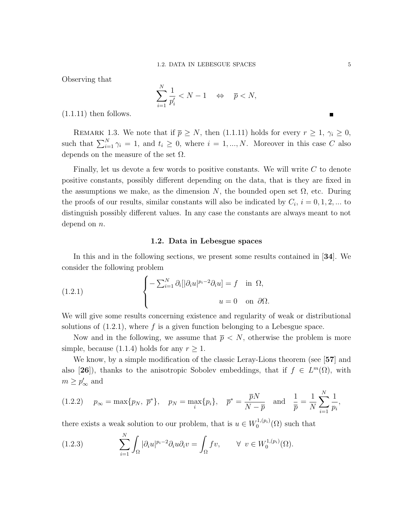Observing that

$$
\sum_{i=1}^{N} \frac{1}{p'_i} < N - 1 \quad \Leftrightarrow \quad \overline{p} < N,
$$

 $(1.1.11)$  then follows.

REMARK 1.3. We note that if  $\bar{p} \ge N$ , then (1.1.11) holds for every  $r \ge 1$ ,  $\gamma_i \ge 0$ , such that  $\sum_{i=1}^{N} \gamma_i = 1$ , and  $t_i \geq 0$ , where  $i = 1, ..., N$ . Moreover in this case C also depends on the measure of the set  $\Omega$ .

Finally, let us devote a few words to positive constants. We will write  $C$  to denote positive constants, possibly different depending on the data, that is they are fixed in the assumptions we make, as the dimension  $N$ , the bounded open set  $\Omega$ , etc. During the proofs of our results, similar constants will also be indicated by  $C_i$ ,  $i = 0, 1, 2, ...$  to distinguish possibly different values. In any case the constants are always meant to not depend on  $n$ .

# 1.2. Data in Lebesgue spaces

In this and in the following sections, we present some results contained in [34]. We consider the following problem

(1.2.1) 
$$
\begin{cases} -\sum_{i=1}^{N} \partial_{i} [|\partial_{i} u|^{p_{i}-2} \partial_{i} u] = f & \text{in } \Omega, \\ u = 0 & \text{on } \partial \Omega. \end{cases}
$$

We will give some results concerning existence and regularity of weak or distributional solutions of  $(1.2.1)$ , where f is a given function belonging to a Lebesgue space.

Now and in the following, we assume that  $\bar{p} < N$ , otherwise the problem is more simple, because (1.1.4) holds for any  $r \geq 1$ .

We know, by a simple modification of the classic Leray-Lions theorem (see [57] and also [26]), thanks to the anisotropic Sobolev embeddings, that if  $f \in L^m(\Omega)$ , with  $m \ge p'_\infty$  and

$$
(1.2.2) \quad p_{\infty} = \max\{p_N, \ \overline{p}^*\}, \quad p_N = \max_i\{p_i\}, \quad \overline{p}^* = \frac{\overline{p}N}{N - \overline{p}} \quad \text{and} \quad \frac{1}{\overline{p}} = \frac{1}{N} \sum_{i=1}^N \frac{1}{p_i},
$$

there exists a weak solution to our problem, that is  $u \in W_0^{1,(p_i)}$  $\mathcal{O}^{(1,(p_i)}(\Omega)$  such that

(1.2.3) 
$$
\sum_{i=1}^N \int_{\Omega} |\partial_i u|^{p_i - 2} \partial_i u \partial_i v = \int_{\Omega} fv, \qquad \forall \ v \in W_0^{1, (p_i)}(\Omega).
$$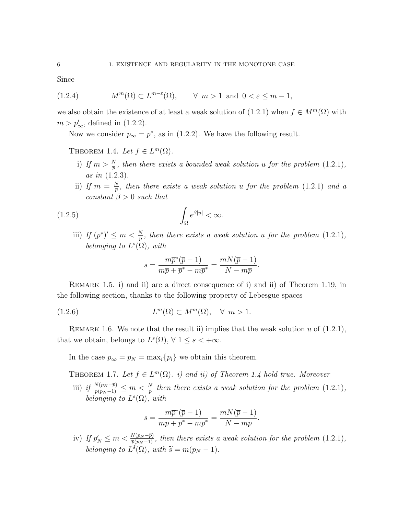Since

(1.2.4) 
$$
M^m(\Omega) \subset L^{m-\varepsilon}(\Omega), \quad \forall \ m > 1 \text{ and } 0 < \varepsilon \le m - 1,
$$

we also obtain the existence of at least a weak solution of  $(1.2.1)$  when  $f \in M^m(\Omega)$  with  $m > p'_{\infty}$ , defined in (1.2.2).

Now we consider  $p_{\infty} = \overline{p}^*$ , as in (1.2.2). We have the following result.

THEOREM 1.4. Let  $f \in L^m(\Omega)$ .

- i) If  $m > \frac{N}{p}$ , then there exists a bounded weak solution u for the problem (1.2.1), as in (1.2.3).
- ii) If  $m = \frac{N}{\overline{n}}$  $\frac{N}{\overline{p}}$ , then there exists a weak solution  $u$  for the problem  $(1.2.1)$  and a constant  $\beta > 0$  such that

$$
(1.2.5)\qquad \qquad \int_{\Omega} e^{\beta |u|} < \infty.
$$

iii) If  $(\bar{p}^*)' \leq m < \frac{N}{\bar{p}}$ , then there exists a weak solution u for the problem (1.2.1), belonging to  $L^s(\Omega)$ , with

$$
s = \frac{m\overline{p}^*(\overline{p} - 1)}{m\overline{p} + \overline{p}^* - m\overline{p}^*} = \frac{mN(\overline{p} - 1)}{N - m\overline{p}}.
$$

Remark 1.5. i) and ii) are a direct consequence of i) and ii) of Theorem 1.19, in the following section, thanks to the following property of Lebesgue spaces

$$
(1.2.6) \t\t\t\t Lm(\Omega) \subset Mm(\Omega), \quad \forall \ m > 1.
$$

REMARK 1.6. We note that the result ii) implies that the weak solution u of  $(1.2.1)$ , that we obtain, belongs to  $L^s(\Omega)$ ,  $\forall$   $1 \leq s < +\infty$ .

In the case  $p_{\infty} = p_N = \max_i \{p_i\}$  we obtain this theorem.

THEOREM 1.7. Let  $f \in L^m(\Omega)$ . i) and ii) of Theorem 1.4 hold true. Moreover

iii) if  $\frac{N(p_N - \bar{p})}{\bar{p}(p_N - 1)} \leq m < \frac{N}{\bar{p}}$  then there exists a weak solution for the problem (1.2.1), belonging to  $L^s(\Omega)$ , with

$$
s = \frac{m\overline{p}^*(\overline{p} - 1)}{m\overline{p} + \overline{p}^* - m\overline{p}^*} = \frac{mN(\overline{p} - 1)}{N - m\overline{p}}.
$$

iv) If  $p'_N \leq m < \frac{N(p_N - \bar{p})}{\bar{p}(p_N - 1)}$ , then there exists a weak solution for the problem  $(1.2.1)$ , belonging to  $L^{\tilde{s}}(\Omega)$ , with  $\tilde{s} = m(p_N - 1)$ .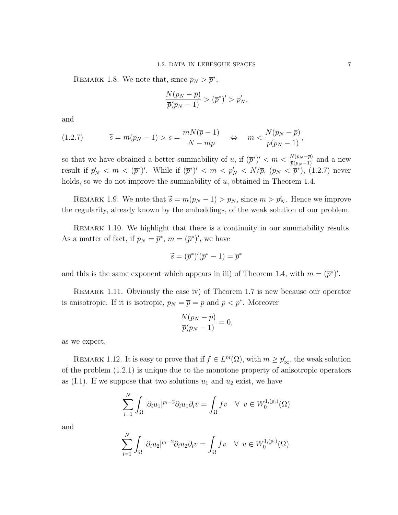REMARK 1.8. We note that, since  $p_N > \bar{p}^*$ ,

$$
\frac{N(p_N-\overline{p})}{\overline{p}(p_N-1)} > (\overline{p}^*)' > p'_N,
$$

and

$$
(1.2.7) \t\t \tilde{s} = m(p_N - 1) > s = \frac{mN(\bar{p} - 1)}{N - m\bar{p}} \t \Leftrightarrow m < \frac{N(p_N - \bar{p})}{\bar{p}(p_N - 1)},
$$

so that we have obtained a better summability of u, if  $(\bar{p}^*)' < m < \frac{N(p_N - \bar{p})}{\bar{p}(p_N - 1)}$  and a new result if  $p'_N < m < (\bar{p}^*)'$ . While if  $(\bar{p}^*)' < m < p'_N < N/\bar{p}$ ,  $(p_N < \bar{p}^*)$ ,  $(1.2.7)$  never holds, so we do not improve the summability of  $u$ , obtained in Theorem 1.4.

REMARK 1.9. We note that  $\widetilde{s} = m(p_N - 1) > p_N$ , since  $m > p'_N$ . Hence we improve the regularity, already known by the embeddings, of the weak solution of our problem.

Remark 1.10. We highlight that there is a continuity in our summability results. As a matter of fact, if  $p_N = \overline{p}^*, m = (\overline{p}^*)'$ , we have

$$
\widetilde{s} = (\overline{p}^*)'(\overline{p}^* - 1) = \overline{p}^*
$$

and this is the same exponent which appears in iii) of Theorem 1.4, with  $m = (\bar{p}^*)'$ .

Remark 1.11. Obviously the case iv) of Theorem 1.7 is new because our operator is anisotropic. If it is isotropic,  $p_N = \overline{p} = p$  and  $p < p^*$ . Moreover

$$
\frac{N(p_N-\overline{p})}{\overline{p}(p_N-1)}=0,
$$

as we expect.

REMARK 1.12. It is easy to prove that if  $f \in L^m(\Omega)$ , with  $m \ge p'_\infty$ , the weak solution of the problem (1.2.1) is unique due to the monotone property of anisotropic operators as (I.1). If we suppose that two solutions  $u_1$  and  $u_2$  exist, we have

$$
\sum_{i=1}^N \int_{\Omega} |\partial_i u_1|^{p_i - 2} \partial_i u_1 \partial_i v = \int_{\Omega} f v \quad \forall \ v \in W_0^{1, (p_i)}(\Omega)
$$

and

$$
\sum_{i=1}^N \int_{\Omega} |\partial_i u_2|^{p_i-2} \partial_i u_2 \partial_i v = \int_{\Omega} fv \quad \forall \ v \in W_0^{1,(p_i)}(\Omega).
$$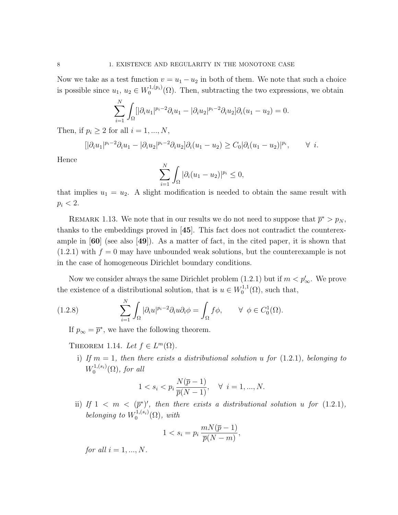Now we take as a test function  $v = u_1 - u_2$  in both of them. We note that such a choice is possible since  $u_1, u_2 \in W_0^{1,(p_i)}$  $0^{(1,(p_i)}(\Omega)$ . Then, subtracting the two expressions, we obtain

$$
\sum_{i=1}^{N} \int_{\Omega} [|\partial_i u_1|^{p_i-2} \partial_i u_1 - |\partial_i u_2|^{p_i-2} \partial_i u_2] \partial_i (u_1 - u_2) = 0.
$$

Then, if  $p_i \geq 2$  for all  $i = 1, ..., N$ ,

$$
[|\partial_i u_1|^{p_i-2}\partial_i u_1 - |\partial_i u_2|^{p_i-2}\partial_i u_2] \partial_i (u_1 - u_2) \geq C_0 |\partial_i (u_1 - u_2)|^{p_i}, \qquad \forall i.
$$

Hence

$$
\sum_{i=1}^N \int_{\Omega} |\partial_i (u_1 - u_2)|^{p_i} \leq 0,
$$

that implies  $u_1 = u_2$ . A slight modification is needed to obtain the same result with  $p_i < 2$ .

REMARK 1.13. We note that in our results we do not need to suppose that  $\bar{p}^* > p_N$ , thanks to the embeddings proved in [45]. This fact does not contradict the counterexample in [60] (see also [49]). As a matter of fact, in the cited paper, it is shown that  $(1.2.1)$  with  $f = 0$  may have unbounded weak solutions, but the counterexample is not in the case of homogeneous Dirichlet boundary conditions.

Now we consider always the same Dirichlet problem  $(1.2.1)$  but if  $m < p'_{\infty}$ . We prove the existence of a distributional solution, that is  $u \in W_0^{1,1}$  $\mathfrak{g}_0^{1,1}(\Omega)$ , such that,

(1.2.8) 
$$
\sum_{i=1}^{N} \int_{\Omega} |\partial_i u|^{p_i - 2} \partial_i u \partial_i \phi = \int_{\Omega} f \phi, \qquad \forall \phi \in C_0^1(\Omega).
$$

If  $p_{\infty} = \overline{p}^*$ , we have the following theorem.

THEOREM 1.14. Let  $f \in L^m(\Omega)$ .

i) If  $m = 1$ , then there exists a distributional solution u for (1.2.1), belonging to  $W_0^{1,(s_i)}$  $\int_0^{1,(s_i)} (\Omega)$ , for all

$$
1 < s_i < p_i \, \frac{N(\overline{p} - 1)}{\overline{p}(N - 1)}, \quad \forall \ i = 1, \dots, N.
$$

ii) If  $1 \leq m \leq (\bar{p}^*)'$ , then there exists a distributional solution u for  $(1.2.1)$ , belonging to  $W_0^{1,(s_i)}$  $\binom{1,(s_i)}{0}$ , with

$$
1 < s_i = p_i \, \frac{mN(\overline{p} - 1)}{\overline{p}(N - m)},
$$

for all  $i = 1, ..., N$ .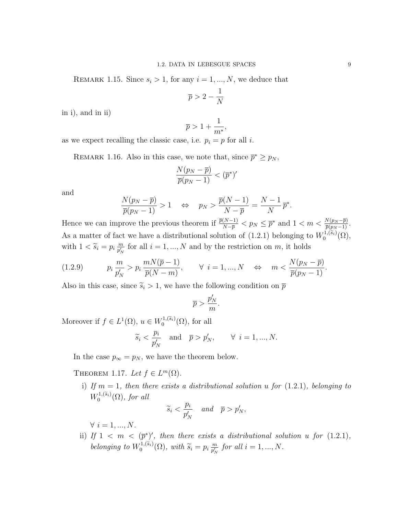REMARK 1.15. Since  $s_i > 1$ , for any  $i = 1, ..., N$ , we deduce that

$$
\overline{p} > 2 - \frac{1}{N}
$$

in i), and in ii)

$$
\overline{p}>1+\frac{1}{m^*},
$$

as we expect recalling the classic case, i.e.  $p_i = p$  for all *i*.

REMARK 1.16. Also in this case, we note that, since  $\bar{p}^* \geq p_N$ ,

$$
\frac{N(p_N-\overline{p})}{\overline{p}(p_N-1)} < (\overline{p}^*)'
$$

and

$$
\frac{N(p_N - \overline{p})}{\overline{p}(p_N - 1)} > 1 \quad \Leftrightarrow \quad p_N > \frac{\overline{p}(N - 1)}{N - \overline{p}} = \frac{N - 1}{N} \overline{p}^*
$$

Hence we can improve the previous theorem if  $\frac{\overline{p}(N-1)}{N-\overline{p}} < p_N \leq \overline{p}^*$  and  $1 < m < \frac{N(p_N-\overline{p})}{\overline{p}(p_N-1)}$ . As a matter of fact we have a distributional solution of (1.2.1) belonging to  $W_0^{1,(\tilde{s}_i)}(\Omega)$ , with  $1 < \widetilde{s}_i = p_i \frac{m}{p'_N}$  $\frac{m}{p'_N}$  for all  $i = 1, ..., N$  and by the restriction on m, it holds

$$
(1.2.9) \t\t p_i \frac{m}{p'_N} > p_i \frac{mN(\overline{p}-1)}{\overline{p}(N-m)}, \t\t \forall i = 1,..., N \Leftrightarrow m < \frac{N(p_N - \overline{p})}{\overline{p}(p_N - 1)}.
$$

Also in this case, since  $\tilde{s}_i > 1$ , we have the following condition on  $\bar{p}$ 

$$
\overline{p} > \frac{p_N'}{m}
$$

.

Moreover if  $f \in L^1(\Omega)$ ,  $u \in W_0^{1, (\widetilde{s}_i)}(\Omega)$ , for all

$$
\widetilde{s}_i < \frac{p_i}{p'_N}
$$
 and  $\overline{p} > p'_N$ ,  $\forall i = 1, ..., N$ .

In the case  $p_{\infty} = p_N$ , we have the theorem below.

THEOREM 1.17. Let  $f \in L^m(\Omega)$ .

i) If  $m = 1$ , then there exists a distributional solution u for (1.2.1), belonging to  $W_0^{1,(\widetilde{s}_i)}(\Omega)$ , for all

$$
\widetilde{s}_i < \frac{p_i}{p'_N} \quad \text{and} \quad \overline{p} > p'_N,
$$

 $\forall i = 1, ..., N$ .

ii) If  $1 \leq m \leq (\bar{p}^*)'$ , then there exists a distributional solution u for  $(1.2.1)$ , belonging to  $W_0^{1, (\tilde{s}_i)}(\Omega)$ , with  $\tilde{s}_i = p_i \frac{m}{p'_N}$  $\frac{m}{p'_N}$  for all  $i = 1, ..., N$ .

.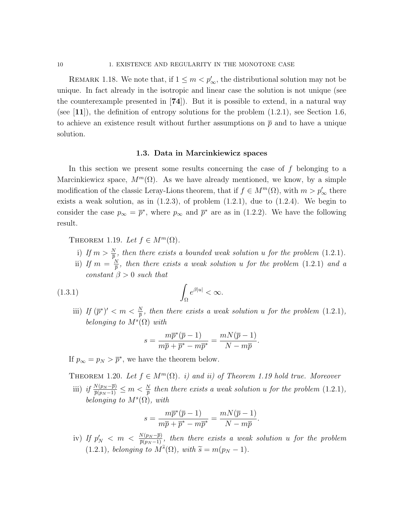REMARK 1.18. We note that, if  $1 \leq m < p'_{\infty}$ , the distributional solution may not be unique. In fact already in the isotropic and linear case the solution is not unique (see the counterexample presented in [74]). But it is possible to extend, in a natural way (see  $[11]$ ), the definition of entropy solutions for the problem  $(1.2.1)$ , see Section 1.6, to achieve an existence result without further assumptions on  $\bar{p}$  and to have a unique solution.

#### 1.3. Data in Marcinkiewicz spaces

In this section we present some results concerning the case of f belonging to a Marcinkiewicz space,  $M^m(\Omega)$ . As we have already mentioned, we know, by a simple modification of the classic Leray-Lions theorem, that if  $f \in M^m(\Omega)$ , with  $m > p'_{\infty}$  there exists a weak solution, as in  $(1.2.3)$ , of problem  $(1.2.1)$ , due to  $(1.2.4)$ . We begin to consider the case  $p_{\infty} = \bar{p}^*$ , where  $p_{\infty}$  and  $\bar{p}^*$  are as in (1.2.2). We have the following result.

THEOREM 1.19. Let  $f \in M^m(\Omega)$ .

- i) If  $m > \frac{N}{p}$ , then there exists a bounded weak solution u for the problem (1.2.1).
- ii) If  $m = \frac{N}{\overline{n}}$  $\frac{N}{\overline{p}}$ , then there exists a weak solution  $u$  for the problem  $(1.2.1)$  and a constant  $\beta > 0$  such that

$$
(1.3.1)\qquad \qquad \int_{\Omega} e^{\beta |u|} < \infty.
$$

iii) If  $(\bar{p}^*)' < m < \frac{N}{\bar{p}}$ , then there exists a weak solution u for the problem (1.2.1), belonging to  $M^{s}(\Omega)$  with

$$
s = \frac{m\overline{p}^*(\overline{p} - 1)}{m\overline{p} + \overline{p}^* - m\overline{p}^*} = \frac{mN(\overline{p} - 1)}{N - m\overline{p}}.
$$

If  $p_{\infty} = p_N > \overline{p}^*$ , we have the theorem below.

THEOREM 1.20. Let  $f \in M^m(\Omega)$ . i) and ii) of Theorem 1.19 hold true. Moreover

iii) if  $\frac{N(p_N - \bar{p})}{\bar{p}(p_N - 1)} \leq m < \frac{N}{\bar{p}}$  then there exists a weak solution u for the problem  $(1.2.1)$ , belonging to  $M^{s}(\Omega)$ , with

$$
s = \frac{m\overline{p}^*(\overline{p} - 1)}{m\overline{p} + \overline{p}^* - m\overline{p}^*} = \frac{mN(\overline{p} - 1)}{N - m\overline{p}}.
$$

iv) If  $p'_N$   $< m < \frac{N(p_N - \overline{p})}{\overline{p}(p_N - 1)}$ , then there exists a weak solution u for the problem (1.2.1), belonging to  $M^{\tilde{s}}(\Omega)$ , with  $\tilde{s} = m(p_N - 1)$ .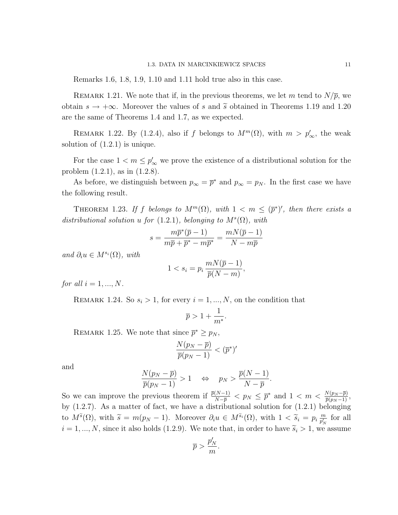Remarks 1.6, 1.8, 1.9, 1.10 and 1.11 hold true also in this case.

REMARK 1.21. We note that if, in the previous theorems, we let m tend to  $N/\overline{p}$ , we obtain  $s \to +\infty$ . Moreover the values of s and  $\tilde{s}$  obtained in Theorems 1.19 and 1.20 are the same of Theorems 1.4 and 1.7, as we expected.

REMARK 1.22. By (1.2.4), also if f belongs to  $M^m(\Omega)$ , with  $m > p'_\infty$ , the weak solution of  $(1.2.1)$  is unique.

For the case  $1 < m \le p'_\infty$  we prove the existence of a distributional solution for the problem (1.2.1), as in (1.2.8).

As before, we distinguish between  $p_{\infty} = \bar{p}^*$  and  $p_{\infty} = p_N$ . In the first case we have the following result.

THEOREM 1.23. If f belongs to  $M^m(\Omega)$ , with  $1 \langle m \leq (\bar{p}^*)^{\prime}$ , then there exists a distributional solution u for (1.2.1), belonging to  $M^{s}(\Omega)$ , with

$$
s = \frac{m\overline{p}^*(\overline{p} - 1)}{m\overline{p} + \overline{p}^* - m\overline{p}^*} = \frac{mN(\overline{p} - 1)}{N - m\overline{p}}
$$

and  $\partial_i u \in M^{s_i}(\Omega)$ , with

$$
1 < s_i = p_i \, \frac{mN(\overline{p} - 1)}{\overline{p}(N - m)},
$$

for all  $i = 1, ..., N$ .

REMARK 1.24. So  $s_i > 1$ , for every  $i = 1, ..., N$ , on the condition that

$$
\overline{p} > 1 + \frac{1}{m^*}.
$$

REMARK 1.25. We note that since  $\bar{p}^* \geq p_N$ ,

$$
\frac{N(p_N-\overline{p})}{\overline{p}(p_N-1)} < (\overline{p}^*)'
$$

and

$$
\frac{N(p_N - \overline{p})}{\overline{p}(p_N - 1)} > 1 \quad \Leftrightarrow \quad p_N > \frac{\overline{p}(N - 1)}{N - \overline{p}}.
$$

So we can improve the previous theorem if  $\frac{\overline{p}(N-1)}{N-\overline{p}} < p_N \leq \overline{p}^*$  and  $1 < m < \frac{N(p_N-\overline{p})}{\overline{p}(p_N-1)}$ , by  $(1.2.7)$ . As a matter of fact, we have a distributional solution for  $(1.2.1)$  belonging to  $M^{\tilde{s}}(\Omega)$ , with  $\tilde{s} = m(p_N - 1)$ . Moreover  $\partial_i u \in M^{\tilde{s}_i}(\Omega)$ , with  $1 < \tilde{s}_i = p_i \frac{m}{p'_N}$  $\frac{m}{p'_N}$  for all  $i = 1, ..., N$ , since it also holds (1.2.9). We note that, in order to have  $\tilde{s}_i > 1$ , we assume

$$
\overline{p} > \frac{p'_N}{m}.
$$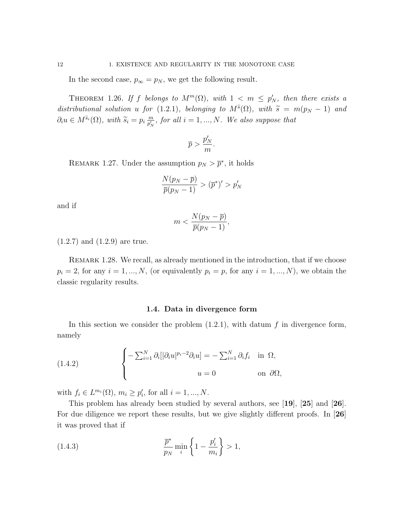In the second case,  $p_{\infty} = p_N$ , we get the following result.

THEOREM 1.26. If f belongs to  $M^m(\Omega)$ , with  $1 \langle m \leq p'_N$ , then there exists a distributional solution u for (1.2.1), belonging to  $M^{\tilde{s}}(\Omega)$ , with  $\tilde{s} = m(p_N - 1)$  and  $\partial_i u \in M^{\tilde{s}_i}(\Omega)$ , with  $\tilde{s}_i = p_i \frac{m}{p'_N}$  $\frac{m}{p'_N}$ , for all  $i = 1, ..., N$ . We also suppose that

$$
\overline{p} > \frac{p'_N}{m}.
$$

REMARK 1.27. Under the assumption  $p_N > \bar{p}^*$ , it holds

$$
\frac{N(p_N - \overline{p})}{\overline{p}(p_N - 1)} > (\overline{p}^*)' > p'_N
$$

and if

$$
m < \frac{N(p_N - \overline{p})}{\overline{p}(p_N - 1)},
$$

(1.2.7) and (1.2.9) are true.

REMARK 1.28. We recall, as already mentioned in the introduction, that if we choose  $p_i = 2$ , for any  $i = 1, ..., N$ , (or equivalently  $p_i = p$ , for any  $i = 1, ..., N$ ), we obtain the classic regularity results.

#### 1.4. Data in divergence form

In this section we consider the problem  $(1.2.1)$ , with datum f in divergence form, namely

(1.4.2) 
$$
\begin{cases}\n-\sum_{i=1}^{N} \partial_i [|\partial_i u|^{p_i-2} \partial_i u] = -\sum_{i=1}^{N} \partial_i f_i & \text{in } \Omega, \\
u = 0 & \text{on } \partial \Omega,\n\end{cases}
$$

with  $f_i \in L^{m_i}(\Omega)$ ,  $m_i \ge p'_i$ , for all  $i = 1, ..., N$ .

This problem has already been studied by several authors, see [19], [25] and [26]. For due diligence we report these results, but we give slightly different proofs. In [26] it was proved that if

(1.4.3) 
$$
\frac{\overline{p}^*}{p_N} \min_i \left\{ 1 - \frac{p'_i}{m_i} \right\} > 1,
$$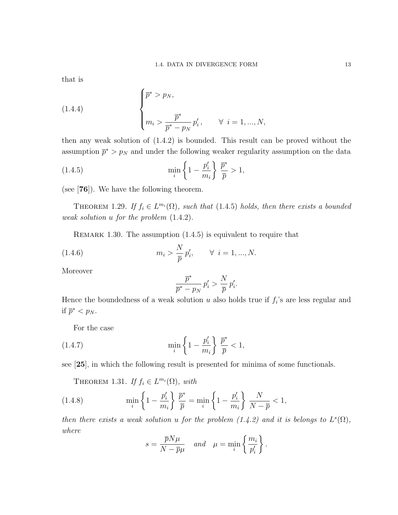that is

(1.4.4) 
$$
\begin{cases} \bar{p}^* > p_N, \\ m_i > \frac{\bar{p}^*}{\bar{p}^* - p_N} p'_i, \qquad \forall \ i = 1, ..., N, \end{cases}
$$

then any weak solution of (1.4.2) is bounded. This result can be proved without the assumption  $\bar{p}^* > p_N$  and under the following weaker regularity assumption on the data

(1.4.5) 
$$
\min_{i} \left\{ 1 - \frac{p_i'}{m_i} \right\} \frac{\overline{p}^*}{\overline{p}} > 1,
$$

(see [76]). We have the following theorem.

THEOREM 1.29. If  $f_i \in L^{m_i}(\Omega)$ , such that (1.4.5) holds, then there exists a bounded weak solution u for the problem (1.4.2).

REMARK 1.30. The assumption  $(1.4.5)$  is equivalent to require that

(1.4.6) 
$$
m_i > \frac{N}{\bar{p}} p'_i, \quad \forall \ i = 1, ..., N.
$$

Moreover

$$
\frac{\overline{p}^*}{\overline{p}^* - p_N} p'_i > \frac{N}{\overline{p}} p'_i.
$$

Hence the boundedness of a weak solution  $u$  also holds true if  $f_i$ 's are less regular and if  $\overline{p}^* < p_N$ .

For the case

(1.4.7) 
$$
\min_{i} \left\{ 1 - \frac{p_i'}{m_i} \right\} \frac{\overline{p}^*}{\overline{p}} < 1,
$$

see [25], in which the following result is presented for minima of some functionals.

THEOREM 1.31. If  $f_i \in L^{m_i}(\Omega)$ , with

(1.4.8) 
$$
\min_{i} \left\{ 1 - \frac{p_i'}{m_i} \right\} \frac{\overline{p}^*}{\overline{p}} = \min_{i} \left\{ 1 - \frac{p_i'}{m_i} \right\} \frac{N}{N - \overline{p}} < 1,
$$

then there exists a weak solution u for the problem  $(1.4.2)$  and it is belongs to  $L^s(\Omega)$ , where

$$
s = \frac{\overline{p}N\mu}{N - \overline{p}\mu} \quad and \quad \mu = \min_{i} \left\{ \frac{m_i}{p'_i} \right\}.
$$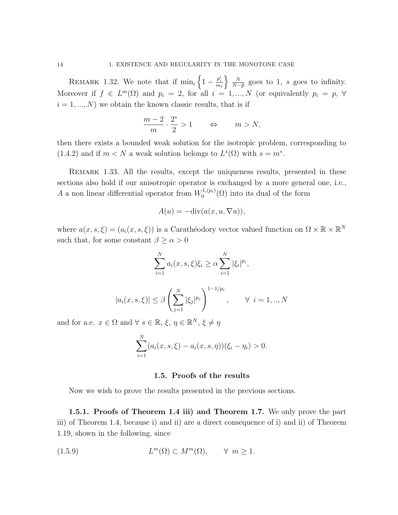REMARK 1.32. We note that if  $\min_i \left\{1 - \frac{p'_i}{m_i}\right\}$  $\frac{N}{2}$  $\frac{N}{N-\overline{p}}$  goes to 1, s goes to infinity. Moreover if  $f \in L^m(\Omega)$  and  $p_i = 2$ , for all  $i = 1, ..., N$  (or equivalently  $p_i = p, \forall$  $i = 1, ..., N$ ) we obtain the known classic results, that is if

$$
\frac{m-2}{m} \cdot \frac{2^*}{2} > 1 \qquad \Leftrightarrow \qquad m > N,
$$

then there exists a bounded weak solution for the isotropic problem, corresponding to (1.4.2) and if  $m < N$  a weak solution belongs to  $L^s(\Omega)$  with  $s = m^*$ .

Remark 1.33. All the results, except the uniqueness results, presented in these sections also hold if our anisotropic operator is exchanged by a more general one, i.e., A a non linear differential operator from  $W_0^{1,(p_i)}$  $\mathcal{O}_0^{(1,(p_i)}(\Omega)$  into its dual of the form

$$
A(u) = -\mathrm{div}(a(x, u, \nabla u)),
$$

where  $a(x, s, \xi) = (a_i(x, s, \xi))$  is a Carathéodory vector valued function on  $\Omega \times \mathbb{R} \times \mathbb{R}^N$ such that, for some constant  $\beta \geq \alpha > 0$ 

$$
\sum_{i=1}^{N} a_i(x, s, \xi) \xi_i \ge \alpha \sum_{i=1}^{N} |\xi_i|^{p_i},
$$

$$
|a_i(x, s, \xi)| \le \beta \left(\sum_{j=1}^{N} |\xi_j|^{p_j}\right)^{1 - 1/p_i}, \qquad \forall \ i = 1, ..., N
$$

and for a.e.  $x \in \Omega$  and  $\forall s \in \mathbb{R}, \xi, \eta \in \mathbb{R}^N, \xi \neq \eta$ 

$$
\sum_{i=1}^{N} (a_i(x, s, \xi) - a_i(x, s, \eta))(\xi_i - \eta_i) > 0.
$$

# 1.5. Proofs of the results

Now we wish to prove the results presented in the previous sections.

1.5.1. Proofs of Theorem 1.4 iii) and Theorem 1.7. We only prove the part iii) of Theorem 1.4, because i) and ii) are a direct consequence of i) and ii) of Theorem 1.19, shown in the following, since

$$
(1.5.9) \t\t\t Lm(\Omega) \subset Mm(\Omega), \t\t \forall m \ge 1.
$$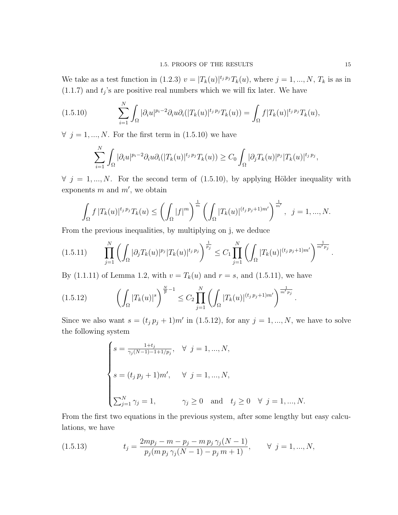We take as a test function in (1.2.3)  $v = |T_k(u)|^{t_j p_j} T_k(u)$ , where  $j = 1, ..., N$ ,  $T_k$  is as in  $(1.1.7)$  and  $t_j$ 's are positive real numbers which we will fix later. We have

$$
(1.5.10) \qquad \sum_{i=1}^N \int_{\Omega} |\partial_i u|^{p_i-2} \partial_i u \partial_i (|T_k(u)|^{t_j p_j} T_k(u)) = \int_{\Omega} f |T_k(u)|^{t_j p_j} T_k(u),
$$

 $\forall$  j = 1, ..., N. For the first term in (1.5.10) we have

$$
\sum_{i=1}^N \int_{\Omega} |\partial_i u|^{p_i-2} \partial_i u \partial_i (|T_k(u)|^{t_j p_j} T_k(u)) \geq C_0 \int_{\Omega} |\partial_j T_k(u)|^{p_j} |T_k(u)|^{t_j p_j},
$$

 $\forall$  j = 1, ..., N. For the second term of (1.5.10), by applying Hölder inequality with exponents  $m$  and  $m'$ , we obtain

$$
\int_{\Omega} f |T_k(u)|^{t_j p_j} T_k(u) \le \left(\int_{\Omega} |f|^m\right)^{\frac{1}{m}} \left(\int_{\Omega} |T_k(u)|^{(t_j p_j + 1)m'}\right)^{\frac{1}{m'}}, \ \ j = 1, ..., N.
$$

From the previous inequalities, by multiplying on j, we deduce

$$
(1.5.11) \qquad \prod_{j=1}^N \left( \int_{\Omega} |\partial_j T_k(u)|^{p_j} |T_k(u)|^{t_j p_j} \right)^{\frac{1}{p_j}} \leq C_1 \prod_{j=1}^N \left( \int_{\Omega} |T_k(u)|^{(t_j p_j + 1)m'} \right)^{\frac{1}{m' p_j}}.
$$

By (1.1.11) of Lemma 1.2, with  $v = T_k(u)$  and  $r = s$ , and (1.5.11), we have

$$
(1.5.12) \qquad \left(\int_{\Omega} |T_k(u)|^s\right)^{\frac{N}{p}-1} \leq C_2 \prod_{j=1}^N \left(\int_{\Omega} |T_k(u)|^{(t_j p_j+1)m'}\right)^{\frac{1}{m' p_j}}.
$$

Since we also want  $s = (t_j p_j + 1) m'$  in (1.5.12), for any  $j = 1, ..., N$ , we have to solve the following system

$$
\begin{cases}\ns = \frac{1+t_j}{\gamma_j(N-1)-1+1/p_j}, & \forall j = 1, ..., N, \\
s = (t_j p_j + 1)m', & \forall j = 1, ..., N, \\
\sum_{j=1}^N \gamma_j = 1, & \gamma_j \ge 0 \text{ and } t_j \ge 0 \forall j = 1, ..., N.\n\end{cases}
$$

From the first two equations in the previous system, after some lengthy but easy calculations, we have

(1.5.13) 
$$
t_j = \frac{2mp_j - m - p_j - m p_j \gamma_j (N-1)}{p_j (m p_j \gamma_j (N-1) - p_j m + 1)}, \quad \forall j = 1, ..., N,
$$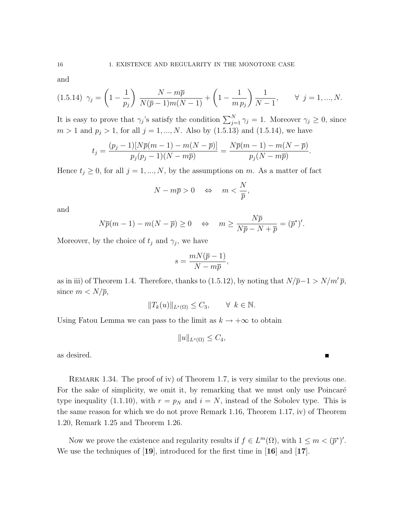and

$$
(1.5.14) \gamma_j = \left(1 - \frac{1}{p_j}\right) \frac{N - m\overline{p}}{N(\overline{p} - 1)m(N - 1)} + \left(1 - \frac{1}{m p_j}\right) \frac{1}{N - 1}, \qquad \forall j = 1, ..., N.
$$

It is easy to prove that  $\gamma_j$ 's satisfy the condition  $\sum_{j=1}^N \gamma_j = 1$ . Moreover  $\gamma_j \geq 0$ , since  $m > 1$  and  $p_j > 1$ , for all  $j = 1, ..., N$ . Also by  $(1.5.13)$  and  $(1.5.14)$ , we have

$$
t_j = \frac{(p_j - 1)[N\overline{p}(m - 1) - m(N - \overline{p})]}{p_j(p_j - 1)(N - m\overline{p})} = \frac{N\overline{p}(m - 1) - m(N - \overline{p})}{p_j(N - m\overline{p})}.
$$

Hence  $t_j \geq 0$ , for all  $j = 1, ..., N$ , by the assumptions on m. As a matter of fact

$$
N - m\overline{p} > 0 \quad \Leftrightarrow \quad m < \frac{N}{\overline{p}},
$$

and

$$
N\overline{p}(m-1) - m(N - \overline{p}) \ge 0 \quad \Leftrightarrow \quad m \ge \frac{N\overline{p}}{N\overline{p} - N + \overline{p}} = (\overline{p}^*)'.
$$

Moreover, by the choice of  $t_j$  and  $\gamma_j$ , we have

$$
s = \frac{mN(\overline{p} - 1)}{N - m\overline{p}},
$$

as in iii) of Theorem 1.4. Therefore, thanks to (1.5.12), by noting that  $N/\bar{p}-1 > N/m'\bar{p}$ , since  $m < N/\overline{p}$ ,

$$
||T_k(u)||_{L^s(\Omega)} \le C_3, \qquad \forall \ k \in \mathbb{N}.
$$

Using Fatou Lemma we can pass to the limit as  $k \to +\infty$  to obtain

$$
||u||_{L^s(\Omega)} \leq C_4,
$$

 $\blacksquare$ 

as desired.

REMARK 1.34. The proof of iv) of Theorem 1.7, is very similar to the previous one. For the sake of simplicity, we omit it, by remarking that we must only use Poincaré type inequality (1.1.10), with  $r = p_N$  and  $i = N$ , instead of the Sobolev type. This is the same reason for which we do not prove Remark 1.16, Theorem 1.17, iv) of Theorem 1.20, Remark 1.25 and Theorem 1.26.

Now we prove the existence and regularity results if  $f \in L^m(\Omega)$ , with  $1 \leq m < (\bar{p}^*)'$ . We use the techniques of [19], introduced for the first time in [16] and [17].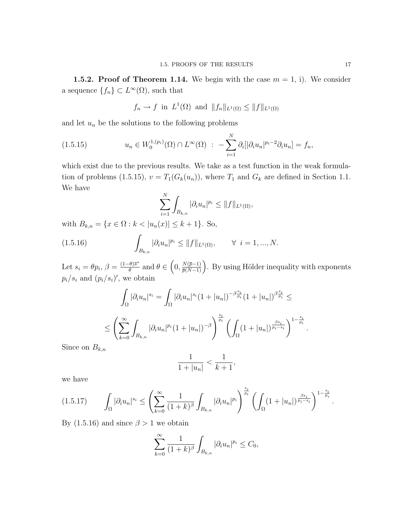**1.5.2. Proof of Theorem 1.14.** We begin with the case  $m = 1$ , i). We consider a sequence  $\{f_n\} \subset L^{\infty}(\Omega)$ , such that

$$
f_n \to f
$$
 in  $L^1(\Omega)$  and  $||f_n||_{L^1(\Omega)} \leq ||f||_{L^1(\Omega)}$ 

and let  $u_n$  be the solutions to the following problems

$$
(1.5.15) \t u_n \in W_0^{1,(p_i)}(\Omega) \cap L^{\infty}(\Omega) : -\sum_{i=1}^N \partial_i [|\partial_i u_n|^{p_i-2} \partial_i u_n] = f_n,
$$

which exist due to the previous results. We take as a test function in the weak formulation of problems (1.5.15),  $v = T_1(G_k(u_n))$ , where  $T_1$  and  $G_k$  are defined in Section 1.1. We have

$$
\sum_{i=1}^N \int_{B_{k,n}} |\partial_i u_n|^{p_i} \le ||f||_{L^1(\Omega)},
$$

with  $B_{k,n} = \{x \in \Omega : k < |u_n(x)| \le k+1\}$ . So,

(1.5.16) 
$$
\int_{B_{k,n}} |\partial_i u_n|^{p_i} \le ||f||_{L^1(\Omega)}, \qquad \forall \ i = 1, ..., N.
$$

Let  $s_i = \theta p_i$ ,  $\beta = \frac{(1-\theta)\overline{s}^*}{\theta}$  $\frac{\theta}{\theta}^{\frac{s}{\sigma}}$  and  $\theta \in (0, \frac{N(\overline{p}-1)}{\overline{p}(N-1)})$ . By using Hölder inequality with exponents  $p_i/s_i$  and  $(p_i/s_i)'$ , we obtain

$$
\int_{\Omega} |\partial_i u_n|^{s_i} = \int_{\Omega} |\partial_i u_n|^{s_i} (1 + |u_n|)^{-\beta \frac{s_i}{p_i}} (1 + |u_n|)^{\beta \frac{s_i}{p_i}} \le
$$
  

$$
\le \left( \sum_{k=0}^{\infty} \int_{B_{k,n}} |\partial_i u_n|^{p_i} (1 + |u_n|)^{-\beta} \right)^{\frac{s_i}{p_i}} \left( \int_{\Omega} (1 + |u_n|)^{\frac{\beta s_i}{p_i - s_i}} \right)^{1 - \frac{s_i}{p_i}}.
$$

Since on  $B_{k,n}$ 

$$
\frac{1}{1+|u_n|} < \frac{1}{k+1},
$$

we have

$$
(1.5.17) \qquad \int_{\Omega} |\partial_i u_n|^{s_i} \leq \left( \sum_{k=0}^{\infty} \frac{1}{(1+k)^{\beta}} \int_{B_{k,n}} |\partial_i u_n|^{p_i} \right)^{\frac{s_i}{p_i}} \left( \int_{\Omega} (1+|u_n|)^{\frac{\beta s_i}{p_i-s_i}} \right)^{1-\frac{s_i}{p_i}}.
$$

By (1.5.16) and since  $\beta > 1$  we obtain

$$
\sum_{k=0}^{\infty} \frac{1}{(1+k)^{\beta}} \int_{B_{k,n}} |\partial_i u_n|^{p_i} \le C_0,
$$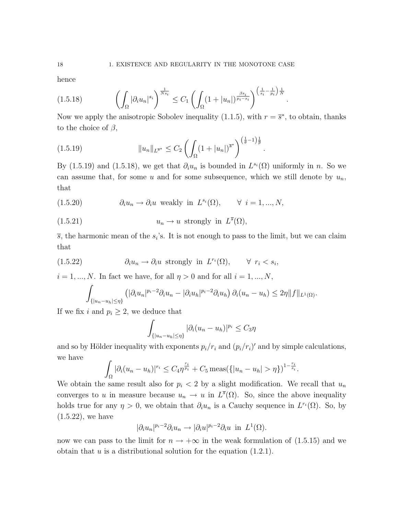hence

$$
(1.5.18) \qquad \left(\int_{\Omega} |\partial_i u_n|^{s_i}\right)^{\frac{1}{Ns_i}} \leq C_1 \left(\int_{\Omega} (1+|u_n|)^{\frac{\beta s_i}{p_i-s_i}}\right)^{\left(\frac{1}{s_i}-\frac{1}{p_i}\right)\frac{1}{N}}.
$$

Now we apply the anisotropic Sobolev inequality (1.1.5), with  $r = \bar{s}^*$ , to obtain, thanks to the choice of  $\beta$ ,

$$
(1.5.19) \t\t\t ||u_n||_{L^{\overline{s}^*}} \leq C_2 \left( \int_{\Omega} (1+|u_n|)^{\overline{s}^*} \right)^{\left(\frac{1}{\theta}-1\right)\frac{1}{\overline{p}}}.
$$

By (1.5.19) and (1.5.18), we get that  $\partial_i u_n$  is bounded in  $L^{s_i}(\Omega)$  uniformly in n. So we can assume that, for some u and for some subsequence, which we still denote by  $u_n$ , that

(1.5.20) 
$$
\partial_i u_n \to \partial_i u \text{ weakly in } L^{s_i}(\Omega), \qquad \forall \ i = 1, ..., N,
$$

(1.5.21) 
$$
u_n \to u \text{ strongly in } L^{\overline{s}}(\Omega),
$$

 $\overline{s}$ , the harmonic mean of the  $s_i$ 's. It is not enough to pass to the limit, but we can claim that

(1.5.22) 
$$
\partial_i u_n \to \partial_i u \text{ strongly in } L^{r_i}(\Omega), \qquad \forall \ r_i < s_i,
$$

 $i = 1, ..., N$ . In fact we have, for all  $\eta > 0$  and for all  $i = 1, ..., N$ ,

$$
\int_{\{|u_n-u_h|\leq \eta\}} \left( |\partial_i u_n|^{p_i-2} \partial_i u_n - |\partial_i u_h|^{p_i-2} \partial_i u_h \right) \partial_i (u_n-u_h) \leq 2\eta \|f\|_{L^1(\Omega)}.
$$

If we fix i and  $p_i \geq 2$ , we deduce that

$$
\int_{\{|u_n-u_h|\leq\eta\}} |\partial_i(u_n-u_h)|^{p_i} \leq C_3 \eta
$$

and so by Hölder inequality with exponents  $p_i/r_i$  and  $(p_i/r_i)'$  and by simple calculations, we have

$$
\int_{\Omega} |\partial_i (u_n - u_h)|^{r_i} \leq C_4 \eta^{\frac{r_i}{p_i}} + C_5 \operatorname{meas}(\{|u_n - u_h| > \eta\})^{1 - \frac{r_i}{s_i}}.
$$

We obtain the same result also for  $p_i < 2$  by a slight modification. We recall that  $u_n$ converges to u in measure because  $u_n \to u$  in  $L^{\bar{s}}(\Omega)$ . So, since the above inequality holds true for any  $\eta > 0$ , we obtain that  $\partial_i u_n$  is a Cauchy sequence in  $L^{r_i}(\Omega)$ . So, by (1.5.22), we have

$$
|\partial_i u_n|^{p_i-2} \partial_i u_n \to |\partial_i u|^{p_i-2} \partial_i u \text{ in } L^1(\Omega).
$$

now we can pass to the limit for  $n \to +\infty$  in the weak formulation of (1.5.15) and we obtain that  $u$  is a distributional solution for the equation  $(1.2.1)$ .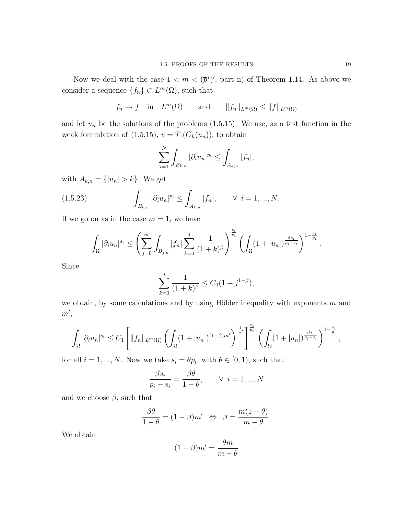Now we deal with the case  $1 < m < (\bar{p}^*)'$ , part ii) of Theorem 1.14. As above we consider a sequence  $\{f_n\} \subset L^{\infty}(\Omega)$ , such that

$$
f_n \to f
$$
 in  $L^m(\Omega)$  and  $||f_n||_{L^m(\Omega)} \le ||f||_{L^m(\Omega)}$ 

and let  $u_n$  be the solutions of the problems  $(1.5.15)$ . We use, as a test function in the weak formulation of (1.5.15),  $v = T_1(G_k(u_n))$ , to obtain

$$
\sum_{i=1}^{N} \int_{B_{k,n}} |\partial_i u_n|^{p_i} \le \int_{A_{k,n}} |f_n|,
$$

with  $A_{k,n} = \{|u_n| > k\}$ . We get

(1.5.23) 
$$
\int_{B_{k,n}} |\partial_i u_n|^{p_i} \leq \int_{A_{k,n}} |f_n|, \qquad \forall \ i = 1, ..., N.
$$

If we go on as in the case  $m = 1$ , we have

$$
\int_{\Omega} |\partial_i u_n|^{s_i} \leq \left( \sum_{j=0}^{\infty} \int_{B_{j,n}} |f_n| \sum_{k=0}^j \frac{1}{(1+k)^{\beta}} \right)^{\frac{s_i}{p_i}} \left( \int_{\Omega} (1+|u_n|)^{\frac{\beta s_i}{p_i-s_i}} \right)^{1-\frac{s_i}{p_i}}.
$$

Since

$$
\sum_{k=0}^{j} \frac{1}{(1+k)^{\beta}} \le C_0 (1+j^{1-\beta}),
$$

we obtain, by some calculations and by using Hölder inequality with exponents  $m$  and  $m',$ 

$$
\int_{\Omega} |\partial_i u_n|^{s_i} \leq C_1 \left[ \|f_n\|_{L^m(\Omega)} \left( \int_{\Omega} (1+|u_n|)^{(1-\beta)m'} \right)^{\frac{1}{m'}} \right]^{\frac{s_i}{p_i}} \left( \int_{\Omega} (1+|u_n|)^{\frac{\beta s_i}{p_i-s_i}} \right)^{1-\frac{s_i}{p_i}},
$$

for all  $i = 1, ..., N$ . Now we take  $s_i = \theta p_i$ , with  $\theta \in [0, 1)$ , such that

$$
\frac{\beta s_i}{p_i - s_i} = \frac{\beta \theta}{1 - \theta}, \qquad \forall \ i = 1, ..., N
$$

and we choose  $\beta$ , such that

$$
\frac{\beta \theta}{1 - \theta} = (1 - \beta)m' \iff \beta = \frac{m(1 - \theta)}{m - \theta}.
$$

We obtain

$$
(1 - \beta)m' = \frac{\theta m}{m - \theta}
$$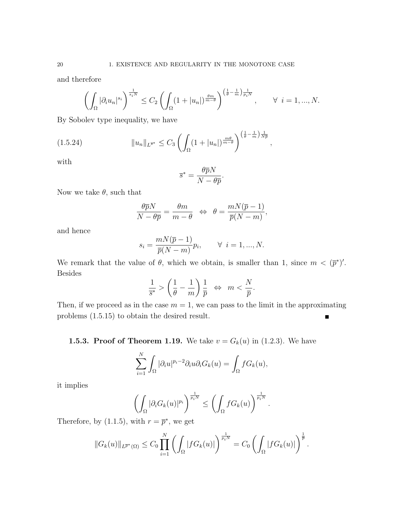and therefore

$$
\left(\int_{\Omega}|\partial_i u_n|^{s_i}\right)^{\frac{1}{s_iN}} \leq C_2 \left(\int_{\Omega} (1+|u_n|)^{\frac{\theta m}{m-\theta}}\right)^{\left(\frac{1}{\theta}-\frac{1}{m}\right)\frac{1}{p_iN}}, \qquad \forall \ i=1,...,N.
$$

By Sobolev type inequality, we have

$$
(1.5.24) \t\t ||u_n||_{L^{\overline{s}^*}} \leq C_3 \left( \int_{\Omega} (1+|u_n|)^{\frac{m\theta}{m-\theta}} \right)^{\left(\frac{1}{\theta}-\frac{1}{m}\right)\frac{1}{N\overline{p}}},
$$

with

$$
\overline{s}^* = \frac{\theta \overline{p} N}{N - \theta \overline{p}}.
$$

Now we take  $\theta$ , such that

$$
\frac{\theta \overline{p}N}{N - \theta \overline{p}} = \frac{\theta m}{m - \theta} \iff \theta = \frac{mN(\overline{p} - 1)}{\overline{p}(N - m)},
$$

and hence

$$
s_i = \frac{mN(\overline{p} - 1)}{\overline{p}(N - m)} p_i, \qquad \forall \ i = 1, ..., N.
$$

We remark that the value of  $\theta$ , which we obtain, is smaller than 1, since  $m < (\bar{p}^*)'$ . Besides

$$
\frac{1}{\overline{s}^*} > \left(\frac{1}{\theta} - \frac{1}{m}\right) \frac{1}{\overline{p}} \iff m < \frac{N}{\overline{p}}.
$$

Then, if we proceed as in the case  $m = 1$ , we can pass to the limit in the approximating problems (1.5.15) to obtain the desired result.  $\blacksquare$ 

**1.5.3. Proof of Theorem 1.19.** We take  $v = G_k(u)$  in (1.2.3). We have

$$
\sum_{i=1}^N \int_{\Omega} |\partial_i u|^{p_i - 2} \partial_i u \partial_i G_k(u) = \int_{\Omega} f G_k(u),
$$

it implies

$$
\left(\int_{\Omega}|\partial_i G_k(u)|^{p_i}\right)^{\frac{1}{p_iN}} \leq \left(\int_{\Omega} f G_k(u)\right)^{\frac{1}{p_iN}}.
$$

Therefore, by (1.1.5), with  $r = \overline{p}^*$ , we get

$$
||G_k(u)||_{L^{\overline{p}^*}(\Omega)} \leq C_0 \prod_{i=1}^N \left( \int_{\Omega} |fG_k(u)| \right)^{\frac{1}{p_i N}} = C_0 \left( \int_{\Omega} |fG_k(u)| \right)^{\frac{1}{\overline{p}}}.
$$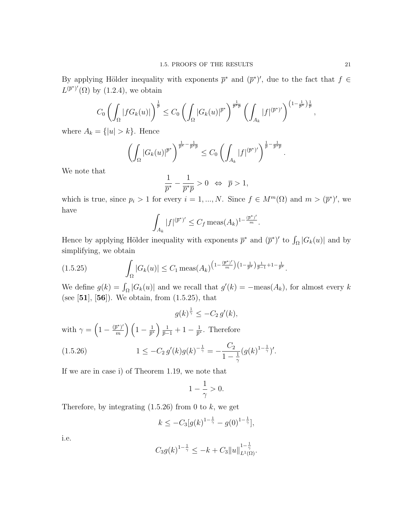By applying Hölder inequality with exponents  $\bar{p}^*$  and  $(\bar{p}^*)'$ , due to the fact that  $f \in$  $L^{(\bar{p}^*)'}(\Omega)$  by (1.2.4), we obtain

$$
C_0\left(\int_{\Omega} |fG_k(u)|\right)^{\frac{1}{\overline{p}}} \leq C_0\left(\int_{\Omega} |G_k(u)|^{\overline{p}^*}\right)^{\frac{1}{\overline{p}^*\overline{p}}} \left(\int_{A_k} |f|^{(\overline{p}^*)'}\right)^{\left(1-\frac{1}{\overline{p}^*}\right)\frac{1}{\overline{p}}},
$$

where  $A_k = \{|u| > k\}$ . Hence

$$
\left(\int_{\Omega} |G_k(u)|^{\overline{p}^*}\right)^{\frac{1}{\overline{p}^*} - \frac{1}{\overline{p}^*\overline{p}}} \leq C_0 \left(\int_{A_k} |f|^{(\overline{p}^*)'}\right)^{\frac{1}{\overline{p}} - \frac{1}{\overline{p}^*\overline{p}}}
$$

We note that

$$
\frac{1}{\overline{p}^*} - \frac{1}{\overline{p}^*\overline{p}} > 0 \iff \overline{p} > 1,
$$

which is true, since  $p_i > 1$  for every  $i = 1, ..., N$ . Since  $f \in M^m(\Omega)$  and  $m > (\bar{p}^*)'$ , we have

$$
\int_{A_k} |f|^{(\bar{p}^*)'} \le C_f \operatorname{meas}(A_k)^{1 - \frac{(\bar{p}^*)'}{m}}.
$$

Hence by applying Hölder inequality with exponents  $\bar{p}^*$  and  $(\bar{p}^*)'$  to  $\int_{\Omega} |G_k(u)|$  and by simplifying, we obtain

$$
(1.5.25) \qquad \qquad \int_{\Omega} |G_k(u)| \leq C_1 \operatorname{meas}(A_k)^{\left(1 - \frac{(\overline{p}^*)'}{m}\right)\left(1 - \frac{1}{\overline{p}^*}\right)\frac{1}{\overline{p}-1} + 1 - \frac{1}{\overline{p}^*}}.
$$

We define  $g(k) = \int_{\Omega} |G_k(u)|$  and we recall that  $g'(k) = -\text{meas}(A_k)$ , for almost every k (see  $[51]$ ,  $[56]$ ). We obtain, from  $(1.5.25)$ , that

$$
g(k)^{\frac{1}{\gamma}} \le -C_2 g'(k),
$$

with  $\gamma = \left(1 - \frac{(\bar{p}^*)'}{m}\right)$  $\binom{\bar{\jmath}^*)'}{m}\left(1-\frac{1}{\bar{p}^*}\right)$  $\frac{1}{\overline{p}^*}\Big)\frac{1}{\overline{p}-1}+1-\frac{1}{\overline{p}^*}$  $\frac{1}{\overline{p}^*}$ . Therefore

(1.5.26) 
$$
1 \leq -C_2 g'(k)g(k)^{-\frac{1}{\gamma}} = -\frac{C_2}{1-\frac{1}{\gamma}}(g(k)^{1-\frac{1}{\gamma}})'.
$$

If we are in case i) of Theorem 1.19, we note that

$$
1-\frac{1}{\gamma}>0.
$$

Therefore, by integrating  $(1.5.26)$  from 0 to k, we get

$$
k \le -C_3[g(k)^{1-\frac{1}{\gamma}} - g(0)^{1-\frac{1}{\gamma}}],
$$

i.e.

$$
C_3 g(k)^{1-\frac{1}{\gamma}} \leq -k + C_3 \|u\|_{L^1(\Omega)}^{1-\frac{1}{\gamma}}.
$$

.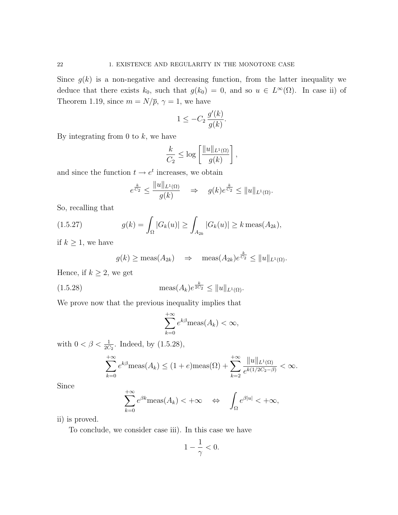Since  $g(k)$  is a non-negative and decreasing function, from the latter inequality we deduce that there exists  $k_0$ , such that  $g(k_0) = 0$ , and so  $u \in L^{\infty}(\Omega)$ . In case ii) of Theorem 1.19, since  $m = N/\overline{p}$ ,  $\gamma = 1$ , we have

$$
1 \le -C_2 \, \frac{g'(k)}{g(k)}.
$$

By integrating from 0 to  $k$ , we have

$$
\frac{k}{C_2} \le \log \left[ \frac{\|u\|_{L^1(\Omega)}}{g(k)} \right],
$$

and since the function  $t \to e^t$  increases, we obtain

$$
e^{\frac{k}{C_2}} \le \frac{\|u\|_{L^1(\Omega)}}{g(k)} \quad \Rightarrow \quad g(k)e^{\frac{k}{C_2}} \le \|u\|_{L^1(\Omega)}.
$$

So, recalling that

(1.5.27) 
$$
g(k) = \int_{\Omega} |G_k(u)| \ge \int_{A_{2k}} |G_k(u)| \ge k \operatorname{meas}(A_{2k}),
$$

if  $k \geq 1$ , we have

$$
g(k) \ge \text{meas}(A_{2k}) \Rightarrow \text{meas}(A_{2k})e^{\frac{k}{C_2}} \le ||u||_{L^1(\Omega)}.
$$

Hence, if  $k \geq 2$ , we get

(1.5.28) 
$$
\qquad \qquad \max(A_k)e^{\frac{k}{2C_2}} \leq ||u||_{L^1(\Omega)}.
$$

We prove now that the previous inequality implies that

$$
\sum_{k=0}^{+\infty} e^{k\beta} \text{meas}(A_k) < \infty,
$$

with  $0 < \beta < \frac{1}{2C_2}$ . Indeed, by  $(1.5.28)$ ,

$$
\sum_{k=0}^{+\infty} e^{k\beta} \text{meas}(A_k) \le (1+e) \text{meas}(\Omega) + \sum_{k=2}^{+\infty} \frac{||u||_{L^1(\Omega)}}{e^{k(1/2C_2 - \beta)}} < \infty.
$$

Since

$$
\sum_{k=0}^{+\infty} e^{\beta k} \text{meas}(A_k) < +\infty \quad \Leftrightarrow \quad \int_{\Omega} e^{\beta |u|} < +\infty,
$$

ii) is proved.

To conclude, we consider case iii). In this case we have

$$
1-\frac{1}{\gamma}<0.
$$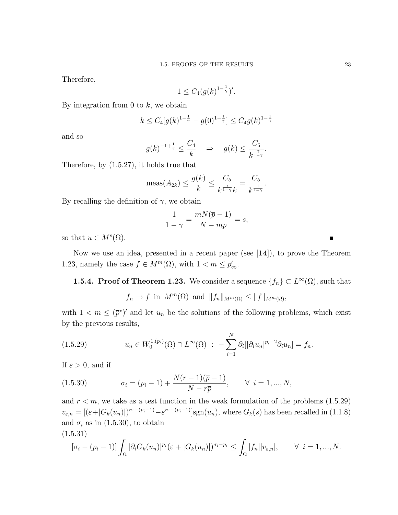Therefore,

$$
1 \le C_4(g(k)^{1-\frac{1}{\gamma}})'
$$

.

By integration from 0 to  $k$ , we obtain

$$
k \le C_4[g(k)^{1-\frac{1}{\gamma}} - g(0)^{1-\frac{1}{\gamma}}] \le C_4g(k)^{1-\frac{1}{\gamma}}
$$

and so

$$
g(k)^{-1+\frac{1}{\gamma}} \leq \frac{C_4}{k} \Rightarrow g(k) \leq \frac{C_5}{k^{\frac{\gamma}{1-\gamma}}}.
$$

Therefore, by (1.5.27), it holds true that

$$
\text{meas}(A_{2k}) \le \frac{g(k)}{k} \le \frac{C_5}{k^{\frac{\gamma}{1-\gamma}}k} = \frac{C_5}{k^{\frac{1}{1-\gamma}}}.
$$

By recalling the definition of  $\gamma$ , we obtain

$$
\frac{1}{1-\gamma} = \frac{mN(\overline{p}-1)}{N-m\overline{p}} = s,
$$

so that  $u \in M^s(\Omega)$ .

Now we use an idea, presented in a recent paper (see [14]), to prove the Theorem 1.23, namely the case  $f \in M^m(\Omega)$ , with  $1 < m \le p'_\infty$ .

**1.5.4. Proof of Theorem 1.23.** We consider a sequence  $\{f_n\} \subset L^{\infty}(\Omega)$ , such that

 $f_n \to f$  in  $M^m(\Omega)$  and  $||f_n||_{M^m(\Omega)} \leq ||f||_{M^m(\Omega)}$ ,

with  $1 < m \leq (\bar{p}^*)'$  and let  $u_n$  be the solutions of the following problems, which exist by the previous results,

$$
(1.5.29) \t u_n \in W_0^{1,(p_i)}(\Omega) \cap L^{\infty}(\Omega) : -\sum_{i=1}^N \partial_i [|\partial_i u_n|^{p_i-2} \partial_i u_n] = f_n.
$$

If  $\varepsilon > 0$ , and if

(1.5.30) 
$$
\sigma_i = (p_i - 1) + \frac{N(r - 1)(\overline{p} - 1)}{N - r\overline{p}}, \quad \forall \ i = 1, ..., N,
$$

and  $r < m$ , we take as a test function in the weak formulation of the problems  $(1.5.29)$  $v_{\varepsilon,n} = [(\varepsilon + |G_k(u_n)|)^{\sigma_i - (p_i-1)} - \varepsilon^{\sigma_i - (p_i-1)}]$ sgn $(u_n)$ , where  $G_k(s)$  has been recalled in  $(1.1.8)$ and  $\sigma_i$  as in (1.5.30), to obtain

$$
(1.5.31)
$$

$$
[\sigma_i - (p_i - 1)] \int_{\Omega} |\partial_i G_k(u_n)|^{p_i} (\varepsilon + |G_k(u_n)|)^{\sigma_i - p_i} \leq \int_{\Omega} |f_n||v_{\varepsilon,n}|, \qquad \forall \ i = 1, ..., N.
$$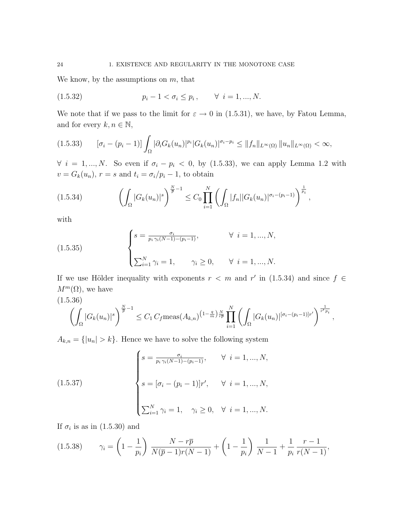We know, by the assumptions on  $m$ , that

(1.5.32) 
$$
p_i - 1 < \sigma_i \leq p_i, \quad \forall \ i = 1, ..., N.
$$

We note that if we pass to the limit for  $\varepsilon \to 0$  in (1.5.31), we have, by Fatou Lemma, and for every  $k, n \in \mathbb{N}$ ,

$$
(1.5.33) \qquad [\sigma_i - (p_i - 1)] \int_{\Omega} |\partial_i G_k(u_n)|^{p_i} |G_k(u_n)|^{\sigma_i - p_i} \le ||f_n||_{L^{\infty}(\Omega)} ||u_n||_{L^{\infty}(\Omega)} < \infty,
$$

 $\forall i = 1, ..., N$ . So even if  $\sigma_i - p_i < 0$ , by (1.5.33), we can apply Lemma 1.2 with  $v = G_k(u_n)$ ,  $r = s$  and  $t_i = \sigma_i/p_i - 1$ , to obtain

$$
(1.5.34) \qquad \left(\int_{\Omega} |G_k(u_n)|^s\right)^{\frac{N}{p}-1} \leq C_0 \prod_{i=1}^N \left(\int_{\Omega} |f_n| |G_k(u_n)|^{\sigma_i-(p_i-1)}\right)^{\frac{1}{p_i}},
$$

with

(1.5.35) 
$$
\begin{cases} s = \frac{\sigma_i}{p_i \gamma_i (N-1) - (p_i - 1)}, & \forall i = 1, ..., N, \\ \sum_{i=1}^N \gamma_i = 1, & \gamma_i \ge 0, \forall i = 1, ..., N. \end{cases}
$$

If we use Hölder inequality with exponents  $r < m$  and  $r'$  in (1.5.34) and since  $f \in$  $M^m(\Omega)$ , we have

$$
(1.5.36)
$$

$$
\left(\int_{\Omega} |G_k(u_n)|^s\right)^{\frac{N}{\overline{p}}-1} \leq C_1 C_f \operatorname{meas}(A_{k,n})^{\left(1-\frac{q}{m}\right)\frac{N}{r\overline{p}}}\prod_{i=1}^N \left(\int_{\Omega} |G_k(u_n)|^{[\sigma_i-(p_i-1)]r'}\right)^{\frac{1}{r'p_i}},
$$

 $A_{k,n} = \{|u_n| > k\}$ . Hence we have to solve the following system

(1.5.37)  

$$
\begin{cases}\ns = \frac{\sigma_i}{p_i \gamma_i (N-1) - (p_i - 1)}, & \forall i = 1, ..., N, \\
s = [\sigma_i - (p_i - 1)]r', & \forall i = 1, ..., N, \\
\sum_{i=1}^N \gamma_i = 1, & \gamma_i \ge 0, \forall i = 1, ..., N.\n\end{cases}
$$

If  $\sigma_i$  is as in  $(1.5.30)$  and

$$
(1.5.38) \t\t \gamma_i = \left(1 - \frac{1}{p_i}\right) \frac{N - r\overline{p}}{N(\overline{p} - 1)r(N - 1)} + \left(1 - \frac{1}{p_i}\right) \frac{1}{N - 1} + \frac{1}{p_i} \frac{r - 1}{r(N - 1)},
$$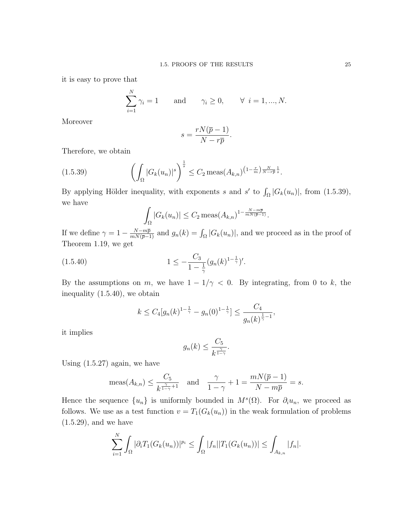it is easy to prove that

$$
\sum_{i=1}^{N} \gamma_i = 1 \quad \text{and} \quad \gamma_i \ge 0, \quad \forall \ i = 1, ..., N.
$$

Moreover

$$
s = \frac{rN(\overline{p} - 1)}{N - r\overline{p}}.
$$

Therefore, we obtain

$$
(1.5.39) \qquad \left(\int_{\Omega} |G_k(u_n)|^s\right)^{\frac{1}{s}} \le C_2 \operatorname{meas}(A_{k,n})^{\left(1-\frac{r}{m}\right)\frac{N}{N-r\overline{p}}\frac{1}{s}}.
$$

By applying Hölder inequality, with exponents s and s' to  $\int_{\Omega} |G_k(u_n)|$ , from (1.5.39), we have

$$
\int_{\Omega} |G_k(u_n)| \le C_2 \operatorname{meas}(A_{k,n})^{1 - \frac{N - m\overline{p}}{mN(\overline{p} - 1)}}.
$$

If we define  $\gamma = 1 - \frac{N - m\bar{p}}{mN(\bar{p}-1)}$  and  $g_n(k) = \int_{\Omega} |G_k(u_n)|$ , and we proceed as in the proof of Theorem 1.19, we get

$$
(1.5.40) \t\t 1 \le -\frac{C_3}{1 - \frac{1}{\gamma}} (g_n(k)^{1 - \frac{1}{\gamma}})'.
$$

By the assumptions on m, we have  $1 - 1/\gamma < 0$ . By integrating, from 0 to k, the inequality (1.5.40), we obtain

$$
k \le C_4[g_n(k)^{1-\frac{1}{\gamma}} - g_n(0)^{1-\frac{1}{\gamma}}] \le \frac{C_4}{g_n(k)^{\frac{1}{\gamma}-1}},
$$

it implies

$$
g_n(k) \le \frac{C_5}{k^{\frac{\gamma}{1-\gamma}}}.
$$

Using  $(1.5.27)$  again, we have

$$
\operatorname{meas}(A_{k,n}) \le \frac{C_5}{k^{\frac{\gamma}{1-\gamma}+1}} \quad \text{and} \quad \frac{\gamma}{1-\gamma} + 1 = \frac{mN(\overline{p}-1)}{N-m\overline{p}} = s.
$$

Hence the sequence  $\{u_n\}$  is uniformly bounded in  $M^s(\Omega)$ . For  $\partial_i u_n$ , we proceed as follows. We use as a test function  $v = T_1(G_k(u_n))$  in the weak formulation of problems (1.5.29), and we have

$$
\sum_{i=1}^N \int_{\Omega} |\partial_i T_1(G_k(u_n))|^{p_i} \leq \int_{\Omega} |f_n| |T_1(G_k(u_n))| \leq \int_{A_{k,n}} |f_n|.
$$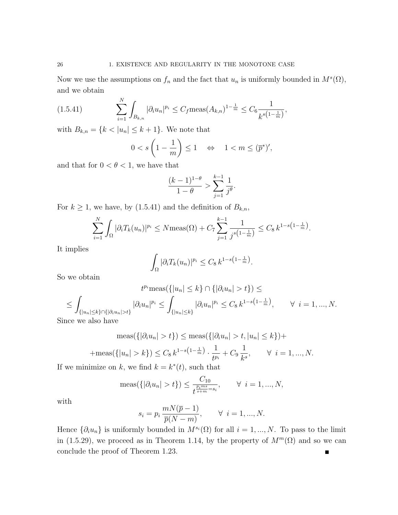Now we use the assumptions on  $f_n$  and the fact that  $u_n$  is uniformly bounded in  $M<sup>s</sup>(\Omega)$ , and we obtain

$$
(1.5.41) \qquad \qquad \sum_{i=1}^{N} \int_{B_{k,n}} |\partial_i u_n|^{p_i} \le C_f \text{meas}(A_{k,n})^{1-\frac{1}{m}} \le C_6 \frac{1}{k^{s(1-\frac{1}{m})}},
$$

with  $B_{k,n} = \{k < |u_n| \leq k+1\}$ . We note that

$$
0 < s \left( 1 - \frac{1}{m} \right) \le 1 \quad \Leftrightarrow \quad 1 < m \le (\overline{p}^*)',
$$

and that for  $0 < \theta < 1$ , we have that

$$
\frac{(k-1)^{1-\theta}}{1-\theta} > \sum_{j=1}^{k-1} \frac{1}{j^{\theta}}.
$$

For  $k \geq 1$ , we have, by (1.5.41) and the definition of  $B_{k,n}$ ,

$$
\sum_{i=1}^{N} \int_{\Omega} |\partial_i T_k(u_n)|^{p_i} \le N \text{meas}(\Omega) + C_7 \sum_{j=1}^{k-1} \frac{1}{j^{s(1-\frac{1}{m})}} \le C_8 k^{1-s(1-\frac{1}{m})}.
$$

It implies

$$
\int_{\Omega} |\partial_i T_k(u_n)|^{p_i} \leq C_8 k^{1-s\left(1-\frac{1}{m}\right)}.
$$

So we obtain

$$
t^{p_i} \text{meas}(\{|u_n| \le k\} \cap \{|\partial_i u_n| > t\}) \le
$$
  

$$
\le \int_{\{|u_n| \le k\} \cap \{|\partial_i u_n| > t\}} |\partial_i u_n|^{p_i} \le \int_{\{|u_n| \le k\}} |\partial_i u_n|^{p_i} \le C_8 k^{1-s(1-\frac{1}{m})}, \qquad \forall \ i = 1, ..., N.
$$

Since we also have

$$
\operatorname{meas}(\{|\partial_i u_n| > t\}) \le \operatorname{meas}(\{|\partial_i u_n| > t, |u_n| \le k\}) +
$$
  
+
$$
\operatorname{meas}(\{|u_n| > k\}) \le C_8 k^{1-s(1-\frac{1}{m})} \cdot \frac{1}{t^{p_i}} + C_9 \frac{1}{k^s}, \qquad \forall \ i = 1, ..., N.
$$

If we minimize on k, we find  $k = k^*(t)$ , such that

$$
\text{meas}(\{|\partial_i u_n| > t\}) \le \frac{C_{10}}{t^{\frac{p_i m s}{s+m} = s_i}}, \qquad \forall \ i = 1, ..., N,
$$

with

$$
s_i = p_i \frac{mN(\overline{p} - 1)}{\overline{p}(N - m)}, \qquad \forall \ i = 1, ..., N.
$$

Hence  $\{\partial_i u_n\}$  is uniformly bounded in  $M^{s_i}(\Omega)$  for all  $i = 1, ..., N$ . To pass to the limit in (1.5.29), we proceed as in Theorem 1.14, by the property of  $M^m(\Omega)$  and so we can conclude the proof of Theorem 1.23. $\blacksquare$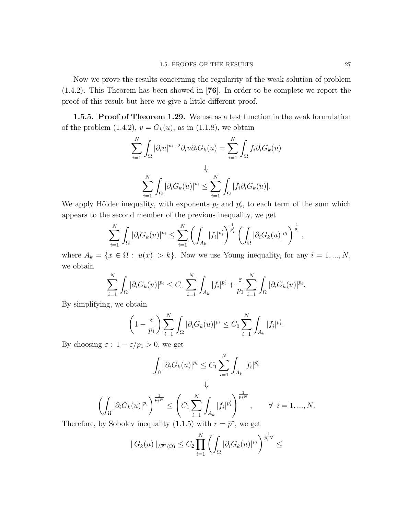Now we prove the results concerning the regularity of the weak solution of problem (1.4.2). This Theorem has been showed in [76]. In order to be complete we report the proof of this result but here we give a little different proof.

**1.5.5. Proof of Theorem 1.29.** We use as a test function in the weak formulation of the problem (1.4.2),  $v = G_k(u)$ , as in (1.1.8), we obtain

$$
\sum_{i=1}^{N} \int_{\Omega} |\partial_i u|^{p_i - 2} \partial_i u \partial_i G_k(u) = \sum_{i=1}^{N} \int_{\Omega} f_i \partial_i G_k(u)
$$
  

$$
\downarrow \qquad \qquad \downarrow \qquad \qquad \downarrow
$$
  

$$
\sum_{i=1}^{N} \int_{\Omega} |\partial_i G_k(u)|^{p_i} \leq \sum_{i=1}^{N} \int_{\Omega} |f_i \partial_i G_k(u)|.
$$

We apply Hölder inequality, with exponents  $p_i$  and  $p'_i$ , to each term of the sum which appears to the second member of the previous inequality, we get

$$
\sum_{i=1}^N \int_{\Omega} |\partial_i G_k(u)|^{p_i} \leq \sum_{i=1}^N \left( \int_{A_k} |f_i|^{p_i'} \right)^{\frac{1}{p_i'}} \left( \int_{\Omega} |\partial_i G_k(u)|^{p_i} \right)^{\frac{1}{p_i}},
$$

where  $A_k = \{x \in \Omega : |u(x)| > k\}$ . Now we use Young inequality, for any  $i = 1, ..., N$ , we obtain

$$
\sum_{i=1}^N \int_{\Omega} |\partial_i G_k(u)|^{p_i} \leq C_{\varepsilon} \sum_{i=1}^N \int_{A_k} |f_i|^{p_i'} + \frac{\varepsilon}{p_1} \sum_{i=1}^N \int_{\Omega} |\partial_i G_k(u)|^{p_i}.
$$

By simplifying, we obtain

$$
\left(1 - \frac{\varepsilon}{p_1}\right) \sum_{i=1}^N \int_{\Omega} |\partial_i G_k(u)|^{p_i} \leq C_0 \sum_{i=1}^N \int_{A_k} |f_i|^{p'_i}.
$$

By choosing  $\varepsilon$  :  $1 - \varepsilon/p_1 > 0$ , we get

$$
\int_{\Omega} |\partial_i G_k(u)|^{p_i} \leq C_1 \sum_{i=1}^N \int_{A_k} |f_i|^{p_i'}
$$
  

$$
\Downarrow
$$

$$
\left(\int_{\Omega} |\partial_i G_k(u)|^{p_i}\right)^{\frac{1}{p_i N}} \leq \left(C_1 \sum_{i=1}^N \int_{A_k} |f_i|^{p_i'}\right)^{\frac{1}{p_i N}}, \qquad \forall \ i = 1, ..., N.
$$

Therefore, by Sobolev inequality (1.1.5) with  $r = \overline{p}^*$ , we get

$$
||G_k(u)||_{L^{\overline{p}^*}(\Omega)} \leq C_2 \prod_{i=1}^N \left( \int_{\Omega} |\partial_i G_k(u)|^{p_i} \right)^{\frac{1}{p_i N}} \leq
$$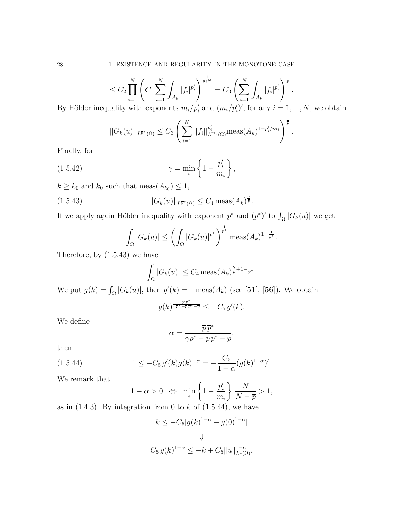$$
\leq C_2 \prod_{i=1}^N \left( C_1 \sum_{i=1}^N \int_{A_k} |f_i|^{p_i'} \right)^{\frac{1}{p_i N}} = C_3 \left( \sum_{i=1}^N \int_{A_k} |f_i|^{p_i'} \right)^{\frac{1}{p}}.
$$
  
allity with exponents  $m_i / n'_i$  and  $(m_i / n'_i)'$  for any  $i-1$ 

By Hölder inequality with exponents  $m_i/p_i'$  and  $(m_i/p_i')'$ , for any  $i = 1, ..., N$ , we obtain

$$
||G_k(u)||_{L^{\overline{p}^*}(\Omega)} \leq C_3 \left( \sum_{i=1}^N ||f_i||_{L^{m_i}(\Omega)}^{p_i'} \operatorname{meas}(A_k)^{1-p_i'/m_i} \right)^{\frac{1}{\overline{p}}}.
$$

Finally, for

(1.5.42) 
$$
\gamma = \min_{i} \left\{ 1 - \frac{p_i'}{m_i} \right\},
$$

 $k \geq k_0$  and  $k_0$  such that meas $(A_{k_0}) \leq 1$ ,

(1.5.43) 
$$
||G_k(u)||_{L^{\bar{p}^*}(\Omega)} \leq C_4 \operatorname{meas}(A_k)^{\frac{\gamma}{\bar{p}}}.
$$

If we apply again Hölder inequality with exponent  $\overline{p}^*$  and  $(\overline{p}^*)'$  to  $\int_{\Omega} |G_k(u)|$  we get

$$
\int_{\Omega} |G_k(u)| \le \left( \int_{\Omega} |G_k(u)|^{\overline{p}^*} \right)^{\frac{1}{\overline{p}^*}} \operatorname{meas}(A_k)^{1 - \frac{1}{\overline{p}^*}}.
$$

Therefore, by (1.5.43) we have

$$
\int_{\Omega} |G_k(u)| \leq C_4 \operatorname{meas}(A_k)^{\frac{\gamma}{p}+1-\frac{1}{\overline{p}^*}}.
$$

We put  $g(k) = \int_{\Omega} |G_k(u)|$ , then  $g'(k) = -\text{meas}(A_k)$  (see [51], [56]). We obtain  $g(k)^\frac{\overline{p}\,\overline{p}^*}{\gamma\overline{p}^*+\overline{p}\,\overline{p}^*-\overline{p}} \leq -C_5\,g'(k).$ 

We define

$$
\alpha = \frac{\overline{p}\,\overline{p}^*}{\gamma \overline{p}^* + \overline{p}\,\overline{p}^* - \overline{p}},
$$

then

(1.5.44) 
$$
1 \leq -C_5 g'(k)g(k)^{-\alpha} = -\frac{C_5}{1-\alpha}(g(k)^{1-\alpha})'.
$$

We remark that

$$
1 - \alpha > 0 \Leftrightarrow \min_{i} \left\{ 1 - \frac{p_i'}{m_i} \right\} \frac{N}{N - \overline{p}} > 1,
$$

as in  $(1.4.3)$ . By integration from 0 to k of  $(1.5.44)$ , we have

$$
k \le -C_5[g(k)^{1-\alpha} - g(0)^{1-\alpha}]
$$
  

$$
\Downarrow
$$
  

$$
C_5 g(k)^{1-\alpha} \le -k + C_5 \|u\|_{L^1(\Omega)}^{1-\alpha}.
$$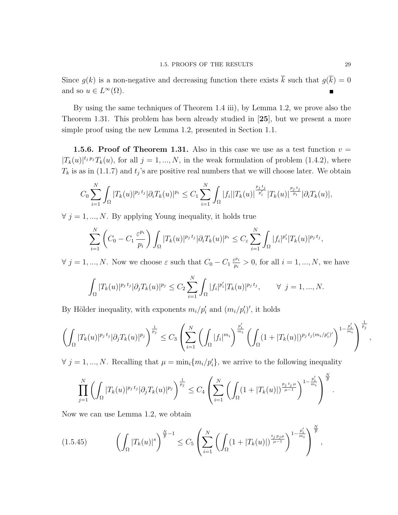Since  $g(k)$  is a non-negative and decreasing function there exists  $\overline{k}$  such that  $g(\overline{k}) = 0$ and so  $u \in L^{\infty}(\Omega)$ .

By using the same techniques of Theorem 1.4 iii), by Lemma 1.2, we prove also the Theorem 1.31. This problem has been already studied in [25], but we present a more simple proof using the new Lemma 1.2, presented in Section 1.1.

**1.5.6. Proof of Theorem 1.31.** Also in this case we use as a test function  $v =$  $|T_k(u)|^{t_j p_j} T_k(u)$ , for all  $j = 1, ..., N$ , in the weak formulation of problem (1.4.2), where  $T_k$  is as in (1.1.7) and  $t_j$ 's are positive real numbers that we will choose later. We obtain

$$
C_0 \sum_{i=1}^N \int_{\Omega} |T_k(u)|^{p_j t_j} |\partial_i T_k(u)|^{p_i} \leq C_1 \sum_{i=1}^N \int_{\Omega} |f_i| |T_k(u)|^{\frac{p_j t_j}{p'_i}} |T_k(u)|^{\frac{p_j t_j}{p_i}} |\partial_i T_k(u)|,
$$

 $\forall$  j = 1, ..., N. By applying Young inequality, it holds true

$$
\sum_{i=1}^N \left( C_0 - C_1 \frac{\varepsilon^{p_i}}{p_i} \right) \int_{\Omega} |T_k(u)|^{p_j t_j} |\partial_i T_k(u)|^{p_i} \leq C_{\varepsilon} \sum_{i=1}^N \int_{\Omega} |f_i|^{p_i'} |T_k(u)|^{p_j t_j},
$$

 $\forall j = 1, ..., N$ . Now we choose  $\varepsilon$  such that  $C_0 - C_1 \frac{\varepsilon^{p_i}}{n_i}$  $\frac{p_i p_i}{p_i} > 0$ , for all  $i = 1, ..., N$ , we have

$$
\int_{\Omega} |T_k(u)|^{p_j t_j} |\partial_j T_k(u)|^{p_j} \leq C_2 \sum_{i=1}^N \int_{\Omega} |f_i|^{p_i'} |T_k(u)|^{p_j t_j}, \qquad \forall j = 1, ..., N.
$$

By Hölder inequality, with exponents  $m_i/p_i'$  and  $(m_i/p_i')'$ , it holds

$$
\left(\int_{\Omega} |T_k(u)|^{p_j t_j} |\partial_j T_k(u)|^{p_j}\right)^{\frac{1}{p_j}} \leq C_3 \left(\sum_{i=1}^N \left(\int_{\Omega} |f_i|^{m_i}\right)^{\frac{p'_i}{m_i}} \left(\int_{\Omega} (1+|T_k(u)|)^{p_j t_j(m_i/p'_i)'}\right)^{1-\frac{p'_i}{m_i}}\right)^{\frac{1}{p_j}}
$$

 $\forall j = 1, ..., N$ . Recalling that  $\mu = \min_i \{m_i / p'_i\}$ , we arrive to the following inequality

$$
\prod_{j=1}^N \left( \int_{\Omega} |T_k(u)|^{p_j t_j} |\partial_j T_k(u)|^{p_j} \right)^{\frac{1}{p_j}} \le C_4 \left( \sum_{i=1}^N \left( \int_{\Omega} (1 + |T_k(u)|)^{\frac{p_j t_j \mu}{\mu - 1}} \right)^{1 - \frac{p'_i}{m_i}} \right)^{\frac{N}{\overline{p}}}
$$

Now we can use Lemma 1.2, we obtain

$$
(1.5.45) \qquad \left(\int_{\Omega} |T_k(u)|^s\right)^{\frac{N}{p}-1} \leq C_5 \left(\sum_{i=1}^N \left(\int_{\Omega} (1+|T_k(u)|)^{\frac{t_j p_j \mu}{\mu-1}}\right)^{1-\frac{p_i'}{m_i}}\right)^{\frac{N}{p}},
$$

,

.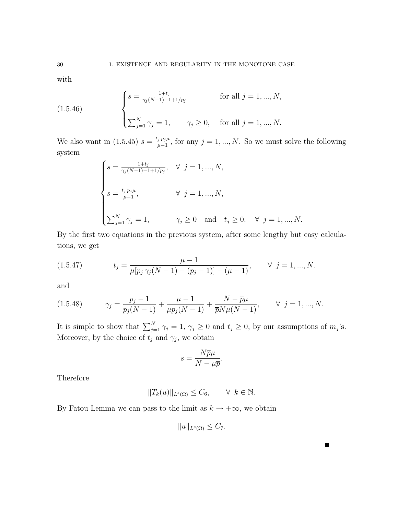with

(1.5.46) 
$$
\begin{cases} s = \frac{1+t_j}{\gamma_j(N-1)-1+1/p_j} & \text{for all } j = 1, ..., N, \\ \sum_{j=1}^N \gamma_j = 1, \quad \gamma_j \ge 0, & \text{for all } j = 1, ..., N. \end{cases}
$$

We also want in  $(1.5.45) s = \frac{t_j p_j \mu}{\mu - 1}$  $\frac{j p_j \mu}{\mu - 1}$ , for any  $j = 1, ..., N$ . So we must solve the following system

$$
\begin{cases}\ns = \frac{1+t_j}{\gamma_j(N-1)-1+1/p_j}, & \forall j = 1, ..., N, \\
s = \frac{t_j p_j \mu}{\mu - 1}, & \forall j = 1, ..., N, \\
\sum_{j=1}^N \gamma_j = 1, & \gamma_j \ge 0 \text{ and } t_j \ge 0, \forall j = 1, ..., N.\n\end{cases}
$$

By the first two equations in the previous system, after some lengthy but easy calculations, we get

(1.5.47) 
$$
t_j = \frac{\mu - 1}{\mu[p_j \gamma_j(N - 1) - (p_j - 1)] - (\mu - 1)}, \quad \forall j = 1, ..., N.
$$

and

$$
(1.5.48) \t\t \gamma_j = \frac{p_j - 1}{p_j(N-1)} + \frac{\mu - 1}{\mu p_j(N-1)} + \frac{N - \overline{p}\mu}{\overline{p}N\mu(N-1)}, \t\t \forall j = 1, ..., N.
$$

It is simple to show that  $\sum_{j=1}^{N} \gamma_j = 1$ ,  $\gamma_j \geq 0$  and  $t_j \geq 0$ , by our assumptions of  $m_j$ 's. Moreover, by the choice of  $t_j$  and  $\gamma_j$ , we obtain

$$
s = \frac{N\overline{p}\mu}{N - \mu\overline{p}}.
$$

Therefore

$$
||T_k(u)||_{L^s(\Omega)} \le C_6, \qquad \forall \ k \in \mathbb{N}.
$$

By Fatou Lemma we can pass to the limit as  $k \to +\infty$ , we obtain

$$
||u||_{L^s(\Omega)} \leq C_7.
$$

 $\blacksquare$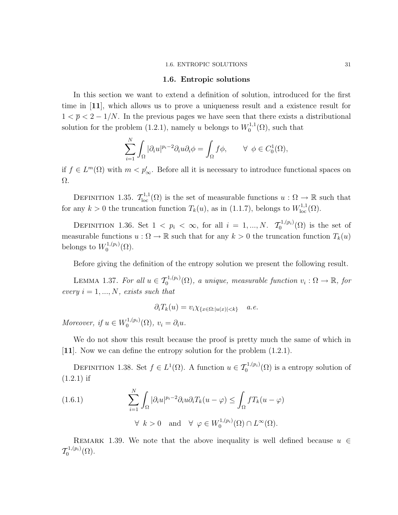#### 1.6. ENTROPIC SOLUTIONS 31

### 1.6. Entropic solutions

In this section we want to extend a definition of solution, introduced for the first time in [11], which allows us to prove a uniqueness result and a existence result for  $1 < \bar{p} < 2 - 1/N$ . In the previous pages we have seen that there exists a distributional solution for the problem (1.2.1), namely u belongs to  $W_0^{1,1}$  $_{0}^{\text{1,1}}(\Omega)$ , such that

$$
\sum_{i=1}^N \int_{\Omega} |\partial_i u|^{p_i - 2} \partial_i u \partial_i \phi = \int_{\Omega} f \phi, \qquad \forall \phi \in C_0^1(\Omega),
$$

if  $f \in L^m(\Omega)$  with  $m < p'_\infty$ . Before all it is necessary to introduce functional spaces on Ω.

DEFINITION 1.35.  $\mathcal{T}_{loc}^{1,1}(\Omega)$  is the set of measurable functions  $u:\Omega\to\mathbb{R}$  such that for any  $k > 0$  the truncation function  $T_k(u)$ , as in (1.1.7), belongs to  $W^{1,1}_{loc}(\Omega)$ .

DEFINITION 1.36. Set  $1 < p_i < \infty$ , for all  $i = 1, ..., N$ .  $\mathcal{T}_0^{1,(p_i)}$  $_{0}^{\mathfrak{a},(p_{i})}(\Omega)$  is the set of measurable functions  $u : \Omega \to \mathbb{R}$  such that for any  $k > 0$  the truncation function  $T_k(u)$ belongs to  $W_0^{1,(p_i)}$  $0^{(1,(p_i)}(\Omega).$ 

Before giving the definition of the entropy solution we present the following result.

LEMMA 1.37. For all  $u \in \mathcal{T}_0^{1,(p_i)}(\Omega)$ , a unique, measurable function  $v_i : \Omega \to \mathbb{R}$ , for every  $i = 1, ..., N$ , exists such that

$$
\partial_i T_k(u) = v_i \chi_{\{x \in \Omega : |u(x)| < k\}} \quad a.e.
$$

Moreover, if  $u \in W_0^{1,(p_i)}$  $v_0^{1,(p_i)}(\Omega), v_i = \partial_i u.$ 

 $\overline{N}$ 

We do not show this result because the proof is pretty much the same of which in [11]. Now we can define the entropy solution for the problem (1.2.1).

DEFINITION 1.38. Set  $f \in L^1(\Omega)$ . A function  $u \in \mathcal{T}_0^{1,(p_i)}(\Omega)$  is a entropy solution of  $(1.2.1)$  if

(1.6.1) 
$$
\sum_{i=1}^{N} \int_{\Omega} |\partial_i u|^{p_i - 2} \partial_i u \partial_i T_k (u - \varphi) \leq \int_{\Omega} f T_k (u - \varphi)
$$
  
  $\forall k > 0 \text{ and } \forall \varphi \in W_0^{1, (p_i)}(\Omega) \cap L^{\infty}(\Omega).$ 

REMARK 1.39. We note that the above inequality is well defined because  $u \in$  $\mathcal{T}_0^{1,(p_i)}$  $_{0}^{-1,(p_{i})}(\Omega).$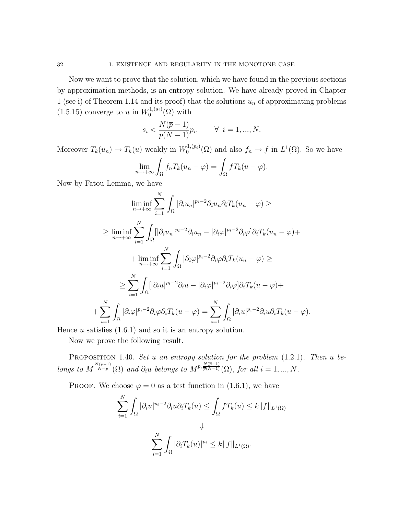Now we want to prove that the solution, which we have found in the previous sections by approximation methods, is an entropy solution. We have already proved in Chapter 1 (see i) of Theorem 1.14 and its proof) that the solutions  $u_n$  of approximating problems  $(1.5.15)$  converge to u in  $W_0^{1,(s_i)}$  $\binom{1,(s_i)}{0}$  with

$$
s_i < \frac{N(\overline{p} - 1)}{\overline{p}(N-1)} p_i, \qquad \forall \ i = 1, \dots, N.
$$

Moreover  $T_k(u_n) \to T_k(u)$  weakly in  $W_0^{1,(p_i)}$  $\mathcal{L}_0^{1,(p_i)}(\Omega)$  and also  $f_n \to f$  in  $L^1(\Omega)$ . So we have

$$
\lim_{n \to +\infty} \int_{\Omega} f_n T_k(u_n - \varphi) = \int_{\Omega} f T_k(u - \varphi).
$$

Now by Fatou Lemma, we have

$$
\liminf_{n \to +\infty} \sum_{i=1}^{N} \int_{\Omega} |\partial_i u_n|^{p_i - 2} \partial_i u_n \partial_i T_k (u_n - \varphi) \ge
$$
\n
$$
\geq \liminf_{n \to +\infty} \sum_{i=1}^{N} \int_{\Omega} [|\partial_i u_n|^{p_i - 2} \partial_i u_n - |\partial_i \varphi|^{p_i - 2} \partial_i \varphi] \partial_i T_k (u_n - \varphi) +
$$
\n
$$
+ \liminf_{n \to +\infty} \sum_{i=1}^{N} \int_{\Omega} |\partial_i \varphi|^{p_i - 2} \partial_i \varphi \partial_i T_k (u_n - \varphi) \ge
$$
\n
$$
\geq \sum_{i=1}^{N} \int_{\Omega} [|\partial_i u|^{p_i - 2} \partial_i u - |\partial_i \varphi|^{p_i - 2} \partial_i \varphi] \partial_i T_k (u - \varphi) +
$$
\n
$$
+ \sum_{i=1}^{N} \int_{\Omega} |\partial_i \varphi|^{p_i - 2} \partial_i \varphi \partial_i T_k (u - \varphi) = \sum_{i=1}^{N} \int_{\Omega} |\partial_i u|^{p_i - 2} \partial_i u \partial_i T_k (u - \varphi).
$$

Hence  $u$  satisfies  $(1.6.1)$  and so it is an entropy solution.

Now we prove the following result.

PROPOSITION 1.40. Set u an entropy solution for the problem  $(1.2.1)$ . Then u belongs to  $M^{\frac{N(\overline{p}-1)}{N-\overline{p}}}(\Omega)$  and  $\partial_i u$  belongs to  $M^{p_i \frac{N(\overline{p}-1)}{\overline{p}(N-1)}}(\Omega)$ , for all  $i=1,...,N$ .

PROOF. We choose  $\varphi = 0$  as a test function in (1.6.1), we have

$$
\sum_{i=1}^{N} \int_{\Omega} |\partial_i u|^{p_i - 2} \partial_i u \partial_i T_k(u) \le \int_{\Omega} f T_k(u) \le k \|f\|_{L^1(\Omega)}
$$
  

$$
\Downarrow
$$
  

$$
\sum_{i=1}^{N} \int_{\Omega} |\partial_i T_k(u)|^{p_i} \le k \|f\|_{L^1(\Omega)}.
$$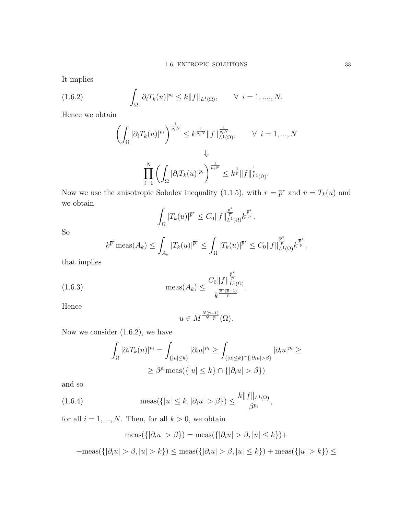It implies

(1.6.2) 
$$
\int_{\Omega} |\partial_i T_k(u)|^{p_i} \leq k \|f\|_{L^1(\Omega)}, \qquad \forall \ i = 1, ..., N.
$$

Hence we obtain

$$
\left(\int_{\Omega} |\partial_i T_k(u)|^{p_i}\right)^{\frac{1}{p_i N}} \leq k^{\frac{1}{p_i N}} \|f\|_{L^1(\Omega)}^{\frac{1}{p_i N}}, \qquad \forall \ i = 1, ..., N
$$
  

$$
\Downarrow
$$
  

$$
\prod_{i=1}^N \left(\int_{\Omega} |\partial_i T_k(u)|^{p_i}\right)^{\frac{1}{p_i N}} \leq k^{\frac{1}{\overline{p}}} \|f\|_{L^1(\Omega)}^{\frac{1}{\overline{p}}}.
$$

Now we use the anisotropic Sobolev inequality (1.1.5), with  $r = \bar{p}^*$  and  $v = T_k(u)$  and we obtain

$$
\int_{\Omega} |T_k(u)|^{\overline{p}^*} \leq C_0 \|f\|_{L^1(\Omega)}^{\frac{\overline{p}^*}{\overline{p}}},
$$

So

$$
k^{\bar{p}^*}\text{meas}(A_k) \leq \int_{A_k} |T_k(u)|^{\bar{p}^*} \leq \int_{\Omega} |T_k(u)|^{\bar{p}^*} \leq C_0 \|f\|_{L^1(\Omega)}^{\frac{\bar{p}^*}{\bar{p}}},
$$

that implies

(1.6.3) 
$$
\text{meas}(A_k) \leq \frac{C_0 \|f\|_{L^1(\Omega)}^{\frac{\bar{p}^*}{\bar{p}}}}{k^{\frac{\bar{p}^*(\bar{p}-1)}{\bar{p}}}}
$$

Hence

$$
u\in M^{\frac{N(\overline{p}-1)}{N-\overline{p}}}(\Omega).
$$

.

Now we consider  $(1.6.2)$ , we have

$$
\int_{\Omega} |\partial_i T_k(u)|^{p_i} = \int_{\{|u| \le k\}} |\partial_i u|^{p_i} \ge \int_{\{|u| \le k\} \cap {\{|\partial_i u| > \beta\}}} |\partial_i u|^{p_i} \ge
$$
  

$$
\ge \beta^{p_i} \text{meas}({\{|u| \le k\}} \cap {\{|\partial_i u| > \beta\}})
$$

and so

(1.6.4) 
$$
\operatorname{meas}(\{|u| \le k, |\partial_i u| > \beta\}) \le \frac{k \|f\|_{L^1(\Omega)}}{\beta^{p_i}},
$$

for all  $i = 1, ..., N$ . Then, for all  $k > 0$ , we obtain

$$
\operatorname{meas}(\{|\partial_i u| > \beta\}) = \operatorname{meas}(\{|\partial_i u| > \beta, |u| \le k\}) +
$$

 $+\text{meas}(\{|\partial_i u| > \beta, |u| > k\}) \leq \text{meas}(\{|\partial_i u| > \beta, |u| \leq k\}) + \text{meas}(\{ |u| > k\}) \leq$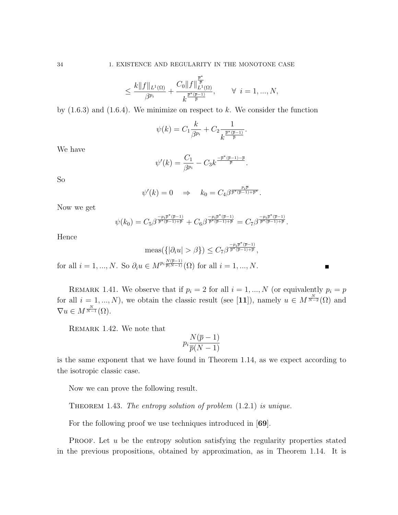$$
\leq \frac{k \| f \|_{L^1(\Omega)}}{\beta^{p_i}} + \frac{C_0 \| f \|_{L^1(\Omega)}^{\frac{\overline{p}^*}{\overline{p}}}}{k^{\frac{\overline{p}^*(\overline{p}-1)}{\overline{p}}}}, \qquad \forall \ \ i=1,...,N,
$$

by  $(1.6.3)$  and  $(1.6.4)$ . We minimize on respect to k. We consider the function

$$
\psi(k) = C_1 \frac{k}{\beta^{p_i}} + C_2 \frac{1}{k^{\frac{\overline{p}^*(\overline{p}-1)}{\overline{p}}}.
$$

We have

$$
\psi'(k) = \frac{C_1}{\beta^{p_i}} - C_3 k^{\frac{-\overline{p}^*(\overline{p}-1) - \overline{p}}{\overline{p}}}.
$$

So

$$
\psi'(k) = 0 \quad \Rightarrow \quad k_0 = C_4 \beta^{\frac{p_i \overline{p}}{\overline{p}^*(\overline{p}-1) + \overline{p}^*}}.
$$

Now we get

$$
\psi(k_0)=C_5\beta^{\frac{-p_i\bar p^*(\bar p-1)}{\bar p^*(\bar p-1)+\bar p}}+C_6\beta^{\frac{-p_i\bar p^*(\bar p-1)}{\bar p^*(\bar p-1)+\bar p}}=C_7\beta^{\frac{-p_i\bar p^*(\bar p-1)}{\bar p^*(\bar p-1)+\bar p}}.
$$

Hence

$$
\operatorname{meas}(\{|\partial_i u| > \beta\}) \le C_7 \beta^{\frac{-p_i \overline{p}^*(\overline{p}-1)}{\overline{p}^*(\overline{p}-1)+\overline{p}}},
$$
  
for all  $i = 1, ..., N$ . So  $\partial_i u \in M^{p_i \frac{N(\overline{p}-1)}{\overline{p}(N-1)}}(\Omega)$  for all  $i = 1, ..., N$ .

REMARK 1.41. We observe that if  $p_i = 2$  for all  $i = 1, ..., N$  (or equivalently  $p_i = p$ for all  $i = 1, ..., N$ , we obtain the classic result (see [11]), namely  $u \in M^{\frac{N}{N-2}}(\Omega)$  and  $\nabla u \in M^{\frac{N}{N-1}}(\Omega).$ 

REMARK 1.42. We note that

$$
p_i \frac{N(\overline{p} - 1)}{\overline{p}(N - 1)}
$$

is the same exponent that we have found in Theorem 1.14, as we expect according to the isotropic classic case.

Now we can prove the following result.

THEOREM 1.43. The entropy solution of problem  $(1.2.1)$  is unique.

For the following proof we use techniques introduced in [69].

**PROOF.** Let  $u$  be the entropy solution satisfying the regularity properties stated in the previous propositions, obtained by approximation, as in Theorem 1.14. It is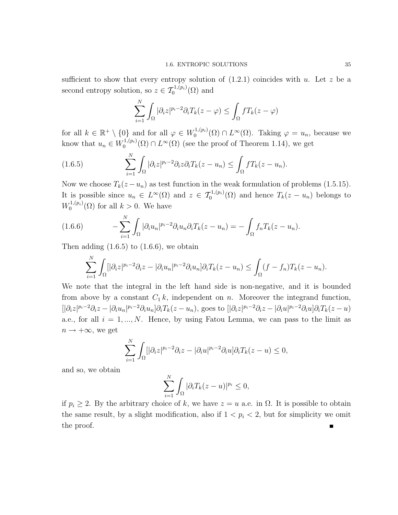sufficient to show that every entropy solution of  $(1.2.1)$  coincides with u. Let z be a second entropy solution, so  $z \in \mathcal{T}_0^{1,(p_i)}(\Omega)$  and

$$
\sum_{i=1}^{N} \int_{\Omega} |\partial_i z|^{p_i - 2} \partial_i T_k(z - \varphi) \le \int_{\Omega} f T_k(z - \varphi)
$$

for all  $k \in \mathbb{R}^+ \setminus \{0\}$  and for all  $\varphi \in W_0^{1,(p_i)}$  $\mathcal{O}_0^{1,(p_i)}(\Omega) \cap L^{\infty}(\Omega)$ . Taking  $\varphi = u_n$ , because we know that  $u_n \in W_0^{1,(p_i)}$  $\mathcal{O}_0^{(1,(p_i)}(\Omega) \cap L^{\infty}(\Omega)$  (see the proof of Theorem 1.14), we get

(1.6.5) 
$$
\sum_{i=1}^{N} \int_{\Omega} |\partial_i z|^{p_i - 2} \partial_i z \partial_i T_k(z - u_n) \leq \int_{\Omega} f T_k(z - u_n).
$$

Now we choose  $T_k(z - u_n)$  as test function in the weak formulation of problems (1.5.15). It is possible since  $u_n \in L^{\infty}(\Omega)$  and  $z \in \mathcal{T}_0^{1,(p_i)}(\Omega)$  and hence  $T_k(z - u_n)$  belongs to  $W_0^{1,(p_i)}$  $\binom{1}{0}$  ( $\Omega$ ) for all  $k > 0$ . We have

(1.6.6) 
$$
-\sum_{i=1}^N \int_{\Omega} |\partial_i u_n|^{p_i-2} \partial_i u_n \partial_i T_k(z-u_n) = -\int_{\Omega} f_n T_k(z-u_n).
$$

Then adding  $(1.6.5)$  to  $(1.6.6)$ , we obtain

$$
\sum_{i=1}^N \int_{\Omega} [|\partial_i z|^{p_i-2} \partial_i z - |\partial_i u_n|^{p_i-2} \partial_i u_n] \partial_i T_k(z - u_n) \leq \int_{\Omega} (f - f_n) T_k(z - u_n).
$$

We note that the integral in the left hand side is non-negative, and it is bounded from above by a constant  $C_1 k$ , independent on n. Moreover the integrand function,  $[|\partial_i z|^{p_i-2}\partial_i z - |\partial_i u_n|^{p_i-2}\partial_i u_n] \partial_i T_k(z-u_n)$ , goes to  $[|\partial_i z|^{p_i-2}\partial_i z - |\partial_i u|^{p_i-2}\partial_i u] \partial_i T_k(z-u)$ a.e., for all  $i = 1, ..., N$ . Hence, by using Fatou Lemma, we can pass to the limit as  $n \rightarrow +\infty$ , we get

$$
\sum_{i=1}^N \int_{\Omega} [|\partial_i z|^{p_i - 2} \partial_i z - |\partial_i u|^{p_i - 2} \partial_i u] \partial_i T_k(z - u) \le 0,
$$

and so, we obtain

$$
\sum_{i=1}^N \int_{\Omega} |\partial_i T_k(z-u)|^{p_i} \leq 0,
$$

if  $p_i \geq 2$ . By the arbitrary choice of k, we have  $z = u$  a.e. in  $\Omega$ . It is possible to obtain the same result, by a slight modification, also if  $1 < p<sub>i</sub> < 2$ , but for simplicity we omit the proof.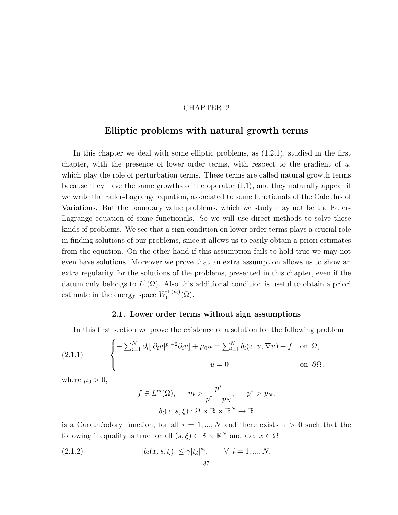## CHAPTER 2

# Elliptic problems with natural growth terms

In this chapter we deal with some elliptic problems, as (1.2.1), studied in the first chapter, with the presence of lower order terms, with respect to the gradient of  $u$ , which play the role of perturbation terms. These terms are called natural growth terms because they have the same growths of the operator (I.1), and they naturally appear if we write the Euler-Lagrange equation, associated to some functionals of the Calculus of Variations. But the boundary value problems, which we study may not be the Euler-Lagrange equation of some functionals. So we will use direct methods to solve these kinds of problems. We see that a sign condition on lower order terms plays a crucial role in finding solutions of our problems, since it allows us to easily obtain a priori estimates from the equation. On the other hand if this assumption fails to hold true we may not even have solutions. Moreover we prove that an extra assumption allows us to show an extra regularity for the solutions of the problems, presented in this chapter, even if the datum only belongs to  $L^1(\Omega)$ . Also this additional condition is useful to obtain a priori estimate in the energy space  $W_0^{1,(p_i)}$  $0^{(1,(p_i)}(\Omega).$ 

## 2.1. Lower order terms without sign assumptions

In this first section we prove the existence of a solution for the following problem

(2.1.1) 
$$
\begin{cases} -\sum_{i=1}^{N} \partial_{i} [|\partial_{i} u|^{p_{i}-2} \partial_{i} u] + \mu_{0} u = \sum_{i=1}^{N} b_{i} (x, u, \nabla u) + f & \text{on } \Omega, \\ u = 0 & \text{on } \partial \Omega, \end{cases}
$$

where  $\mu_0 > 0$ ,

$$
f \in L^m(\Omega), \qquad m > \frac{\overline{p}^*}{\overline{p}^* - p_N}, \qquad \overline{p}^* > p_N,
$$
\n
$$
b_i(x, s, \xi) : \Omega \times \mathbb{R} \times \mathbb{R}^N \to \mathbb{R}
$$

is a Carathéodory function, for all  $i = 1, ..., N$  and there exists  $\gamma > 0$  such that the following inequality is true for all  $(s, \xi) \in \mathbb{R} \times \mathbb{R}^N$  and a.e.  $x \in \Omega$ 

(2.1.2)  $|b_i(x, s, \xi)| \leq \gamma |\xi_i|^{p_i}, \quad \forall \ i = 1, ..., N,$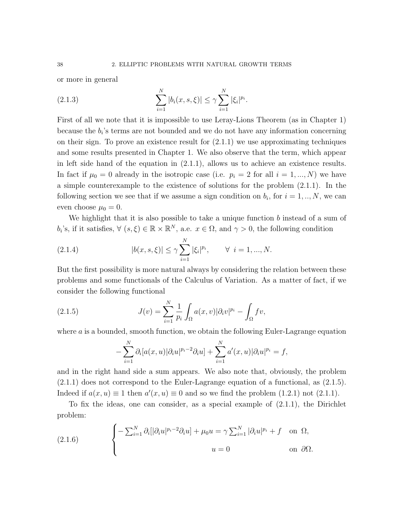or more in general

(2.1.3) 
$$
\sum_{i=1}^{N} |b_i(x, s, \xi)| \leq \gamma \sum_{i=1}^{N} |\xi_i|^{p_i}.
$$

First of all we note that it is impossible to use Leray-Lions Theorem (as in Chapter 1) because the  $b_i$ 's terms are not bounded and we do not have any information concerning on their sign. To prove an existence result for  $(2.1.1)$  we use approximating techniques and some results presented in Chapter 1. We also observe that the term, which appear in left side hand of the equation in (2.1.1), allows us to achieve an existence results. In fact if  $\mu_0 = 0$  already in the isotropic case (i.e.  $p_i = 2$  for all  $i = 1, ..., N$ ) we have a simple counterexample to the existence of solutions for the problem (2.1.1). In the following section we see that if we assume a sign condition on  $b_i$ , for  $i = 1, ..., N$ , we can even choose  $\mu_0 = 0$ .

We highlight that it is also possible to take a unique function  $b$  instead of a sum of  $b_i$ 's, if it satisfies,  $\forall (s, \xi) \in \mathbb{R} \times \mathbb{R}^N$ , a.e.  $x \in \Omega$ , and  $\gamma > 0$ , the following condition

(2.1.4) 
$$
|b(x, s, \xi)| \leq \gamma \sum_{i=1}^{N} |\xi_i|^{p_i}, \qquad \forall \ i = 1, ..., N.
$$

But the first possibility is more natural always by considering the relation between these problems and some functionals of the Calculus of Variation. As a matter of fact, if we consider the following functional

(2.1.5) 
$$
J(v) = \sum_{i=1}^{N} \frac{1}{p_i} \int_{\Omega} a(x, v) |\partial_i v|^{p_i} - \int_{\Omega} f v,
$$

where  $a$  is a bounded, smooth function, we obtain the following Euler-Lagrange equation

$$
-\sum_{i=1}^N \partial_i[a(x,u)|\partial_i u|^{p_i-2}\partial_i u] + \sum_{i=1}^N a'(x,u)|\partial_i u|^{p_i} = f,
$$

and in the right hand side a sum appears. We also note that, obviously, the problem (2.1.1) does not correspond to the Euler-Lagrange equation of a functional, as (2.1.5). Indeed if  $a(x, u) \equiv 1$  then  $a'(x, u) \equiv 0$  and so we find the problem (1.2.1) not (2.1.1).

To fix the ideas, one can consider, as a special example of (2.1.1), the Dirichlet problem:

(2.1.6) 
$$
\begin{cases}\n-\sum_{i=1}^{N} \partial_{i} [|\partial_{i} u|^{p_{i}-2} \partial_{i} u] + \mu_{0} u = \gamma \sum_{i=1}^{N} |\partial_{i} u|^{p_{i}} + f \quad \text{on } \Omega, \\
u = 0 \quad \text{on } \partial \Omega.\n\end{cases}
$$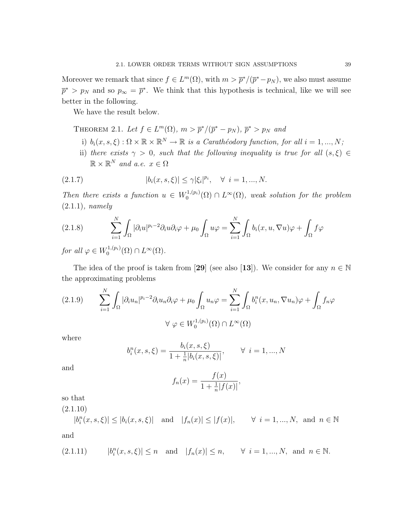Moreover we remark that since  $f \in L^m(\Omega)$ , with  $m > \bar{p}^*/(\bar{p}^* - p_N)$ , we also must assume  $\bar{p}^* > p_N$  and so  $p_{\infty} = \bar{p}^*$ . We think that this hypothesis is technical, like we will see better in the following.

We have the result below.

THEOREM 2.1. Let  $f \in L^m(\Omega)$ ,  $m > \overline{p}^*/(\overline{p}^* - p_N)$ ,  $\overline{p}^* > p_N$  and

- i)  $b_i(x, s, \xi) : \Omega \times \mathbb{R} \times \mathbb{R}^N \to \mathbb{R}$  is a Carathéodory function, for all  $i = 1, ..., N$ ;
- ii) there exists  $\gamma > 0$ , such that the following inequality is true for all  $(s, \xi) \in$  $\mathbb{R} \times \mathbb{R}^N$  and a.e.  $x \in \Omega$

(2.1.7) 
$$
|b_i(x, s, \xi)| \leq \gamma |\xi_i|^{p_i}, \quad \forall \ i = 1, ..., N.
$$

Then there exists a function  $u \in W_0^{1,(p_i)}$  $\mathcal{O}_0^{1,(p_i)}(\Omega) \cap L^{\infty}(\Omega)$ , weak solution for the problem  $(2.1.1)$ , namely

(2.1.8) 
$$
\sum_{i=1}^{N} \int_{\Omega} |\partial_i u|^{p_i - 2} \partial_i u \partial_i \varphi + \mu_0 \int_{\Omega} u \varphi = \sum_{i=1}^{N} \int_{\Omega} b_i(x, u, \nabla u) \varphi + \int_{\Omega} f \varphi
$$

for all  $\varphi \in W_0^{1,(p_i)}$  $L^{1,(p_i)}(\Omega)\cap L^{\infty}(\Omega).$ 

The idea of the proof is taken from [29] (see also [13]). We consider for any  $n \in \mathbb{N}$ the approximating problems

$$
(2.1.9) \qquad \sum_{i=1}^{N} \int_{\Omega} |\partial_i u_n|^{p_i - 2} \partial_i u_n \partial_i \varphi + \mu_0 \int_{\Omega} u_n \varphi = \sum_{i=1}^{N} \int_{\Omega} b_i^n(x, u_n, \nabla u_n) \varphi + \int_{\Omega} f_n \varphi
$$

$$
\forall \varphi \in W_0^{1, (p_i)}(\Omega) \cap L^{\infty}(\Omega)
$$

where

$$
b_i^n(x, s, \xi) = \frac{b_i(x, s, \xi)}{1 + \frac{1}{n}|b_i(x, s, \xi)|}, \quad \forall i = 1, ..., N
$$

and

$$
f_n(x) = \frac{f(x)}{1 + \frac{1}{n}|f(x)|},
$$

so that

 $(2.1.10)$ 

 $|b_i^n(x, s, \xi)| \le |b_i(x, s, \xi)|$  and  $|f_n(x)| \le |f(x)|$ ,  $\forall i = 1, ..., N$ , and  $n \in \mathbb{N}$ and

$$
(2.1.11) \t |b_i^n(x, s, \xi)| \le n \quad \text{and} \quad |f_n(x)| \le n, \t \forall i = 1, ..., N, \text{ and } n \in \mathbb{N}.
$$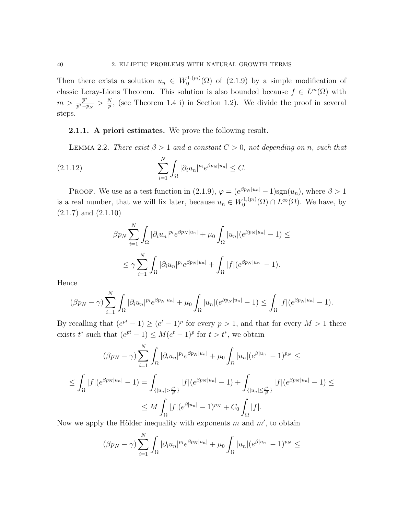Then there exists a solution  $u_n \in W_0^{1,(p_i)}$  $0^{(1,(p_i)}(\Omega)$  of  $(2.1.9)$  by a simple modification of classic Leray-Lions Theorem. This solution is also bounded because  $f \in L^m(\Omega)$  with  $m > \frac{\bar{p}^*}{\bar{p}^* - q}$  $\frac{\overline{p}^*}{\overline{p}^* - p_N} > \frac{N}{\overline{p}}$  $\frac{N}{p}$ , (see Theorem 1.4 i) in Section 1.2). We divide the proof in several steps.

### 2.1.1. A priori estimates. We prove the following result.

LEMMA 2.2. There exist  $\beta > 1$  and a constant  $C > 0$ , not depending on n, such that

(2.1.12) 
$$
\sum_{i=1}^N \int_{\Omega} |\partial_i u_n|^{p_i} e^{\beta p_N |u_n|} \leq C.
$$

PROOF. We use as a test function in (2.1.9),  $\varphi = (e^{\beta p_N |u_n|} - 1)$ sgn $(u_n)$ , where  $\beta > 1$ is a real number, that we will fix later, because  $u_n \in W_0^{1,(p_i)}$  $L_0^{1,(p_i)}(\Omega) \cap L^{\infty}(\Omega)$ . We have, by  $(2.1.7)$  and  $(2.1.10)$ 

$$
\beta p_N \sum_{i=1}^N \int_{\Omega} |\partial_i u_n|^{p_i} e^{\beta p_N |u_n|} + \mu_0 \int_{\Omega} |u_n| (e^{\beta p_N |u_n|} - 1) \le
$$
  

$$
\le \gamma \sum_{i=1}^N \int_{\Omega} |\partial_i u_n|^{p_i} e^{\beta p_N |u_n|} + \int_{\Omega} |f| (e^{\beta p_N |u_n|} - 1).
$$

Hence

$$
(\beta p_N - \gamma) \sum_{i=1}^N \int_{\Omega} |\partial_i u_n|^{p_i} e^{\beta p_N |u_n|} + \mu_0 \int_{\Omega} |u_n| (e^{\beta p_N |u_n|} - 1) \le \int_{\Omega} |f| (e^{\beta p_N |u_n|} - 1).
$$

By recalling that  $(e^{pt}-1) \ge (e^t-1)^p$  for every  $p>1$ , and that for every  $M>1$  there exists  $t^*$  such that  $(e^{pt}-1) \leq M(e^t-1)^p$  for  $t > t^*$ , we obtain

$$
(\beta p_N - \gamma) \sum_{i=1}^N \int_{\Omega} |\partial_i u_n|^{p_i} e^{\beta p_N |u_n|} + \mu_0 \int_{\Omega} |u_n| (e^{\beta |u_n|} - 1)^{p_N} \le
$$
  

$$
\leq \int_{\Omega} |f| (e^{\beta p_N |u_n|} - 1) = \int_{\{|u_n| > \frac{t^*}{\beta}\}} |f| (e^{\beta p_N |u_n|} - 1) + \int_{\{|u_n| \le \frac{t^*}{\beta}\}} |f| (e^{\beta p_N |u_n|} - 1) \le
$$
  

$$
\leq M \int_{\Omega} |f| (e^{\beta |u_n|} - 1)^{p_N} + C_0 \int_{\Omega} |f|.
$$

Now we apply the Hölder inequality with exponents  $m$  and  $m'$ , to obtain

$$
(\beta p_N - \gamma) \sum_{i=1}^N \int_{\Omega} |\partial_i u_n|^{p_i} e^{\beta p_N |u_n|} + \mu_0 \int_{\Omega} |u_n| (e^{\beta |u_n|} - 1)^{p_N} \le
$$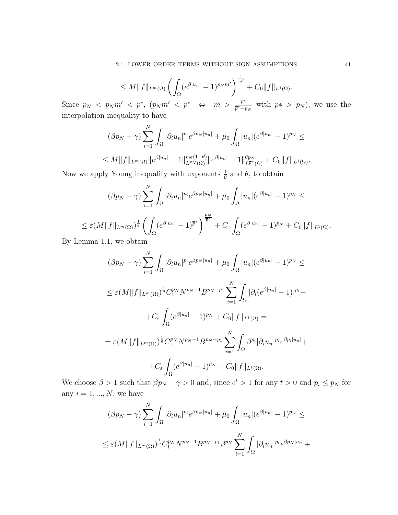$$
\leq M \|f\|_{L^m(\Omega)} \left( \int_{\Omega} (e^{\beta |u_n|} - 1)^{p_N m'} \right)^{\frac{1}{m'}} + C_0 \|f\|_{L^1(\Omega)}.
$$

Since  $p_N < p_N m' < \bar{p}^*$ ,  $(p_N m' < \bar{p}^* \Leftrightarrow m > \frac{\bar{p}^*}{\bar{p}^* - 1}$  $\frac{p^*}{p^*-p_N}$  with  $\bar{p}^* > p_N$ , we use the interpolation inequality to have

$$
(\beta p_N - \gamma) \sum_{i=1}^N \int_{\Omega} |\partial_i u_n|^{p_i} e^{\beta p_N |u_n|} + \mu_0 \int_{\Omega} |u_n| (e^{\beta |u_n|} - 1)^{p_N} \le
$$
  

$$
\leq M \|f\|_{L^m(\Omega)} \|e^{\beta |u_n|} - 1 \|_{L^{p_N}(\Omega)}^{p_N(1-\theta)} \|e^{\beta |u_n|} - 1 \|_{L^{\overline{p}^*}(\Omega)}^{\theta p_N} + C_0 \|f\|_{L^1(\Omega)}.
$$

Now we apply Young inequality with exponents  $\frac{1}{\theta}$  and  $\theta$ , to obtain

$$
(\beta p_N - \gamma) \sum_{i=1}^N \int_{\Omega} |\partial_i u_n|^{p_i} e^{\beta p_N |u_n|} + \mu_0 \int_{\Omega} |u_n| (e^{\beta |u_n|} - 1)^{p_N} \le
$$
  

$$
\leq \varepsilon (M \|f\|_{L^m(\Omega)})^{\frac{1}{\theta}} \left( \int_{\Omega} (e^{\beta |u_n|} - 1)^{\overline{p}^*} \right)^{\frac{p_N}{\overline{p}^*}} + C_{\varepsilon} \int_{\Omega} (e^{\beta |u_n|} - 1)^{p_N} + C_0 \|f\|_{L^1(\Omega)}.
$$

By Lemma 1.1, we obtain

$$
(\beta p_N - \gamma) \sum_{i=1}^N \int_{\Omega} |\partial_i u_n|^{p_i} e^{\beta p_N |u_n|} + \mu_0 \int_{\Omega} |u_n| (e^{\beta |u_n|} - 1)^{p_N} \le
$$
  
\n
$$
\leq \varepsilon (M ||f||_{L^m(\Omega)})^{\frac{1}{\theta}} C_1^{p_N} N^{p_N - 1} B^{p_N - p_1} \sum_{i=1}^N \int_{\Omega} |\partial_i (e^{\beta |u_n|} - 1)|^{p_i} + C_{\varepsilon} \int_{\Omega} (e^{\beta |u_n|} - 1)^{p_N} + C_0 ||f||_{L^1(\Omega)} =
$$
  
\n
$$
= \varepsilon (M ||f||_{L^m(\Omega)})^{\frac{1}{\theta}} C_1^{p_N} N^{p_N - 1} B^{p_N - p_1} \sum_{i=1}^N \int_{\Omega} \beta^{p_i} |\partial_i u_n|^{p_i} e^{\beta p_i |u_n|} + C_{\varepsilon} \int_{\Omega} (e^{\beta |u_n|} - 1)^{p_N} + C_0 ||f||_{L^1(\Omega)}.
$$

We choose  $\beta > 1$  such that  $\beta p_N - \gamma > 0$  and, since  $e^t > 1$  for any  $t > 0$  and  $p_i \le p_N$  for any  $i = 1, ..., N$ , we have

$$
(\beta p_N - \gamma) \sum_{i=1}^N \int_{\Omega} |\partial_i u_n|^{p_i} e^{\beta p_N |u_n|} + \mu_0 \int_{\Omega} |u_n| (e^{\beta |u_n|} - 1)^{p_N} \le
$$
  

$$
\leq \varepsilon (M \|f\|_{L^m(\Omega)})^{\frac{1}{\theta}} C_1^{p_N} N^{p_N - 1} B^{p_N - p_1} \beta^{p_N} \sum_{i=1}^N \int_{\Omega} |\partial_i u_n|^{p_i} e^{\beta p_N |u_n|} +
$$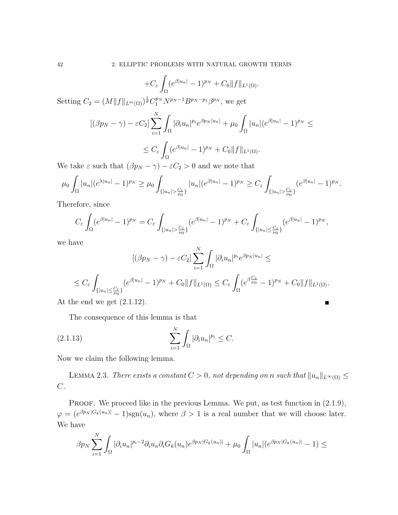$$
+C_{\varepsilon}\int_{\Omega}(e^{\beta|u_n|}-1)^{p_N}+C_0\|f\|_{L^1(\Omega)}.
$$

Setting  $C_2 = (M \|f\|_{L^m(\Omega)})^{\frac{1}{\theta}} C_1^{p_N} N^{p_N - 1} B^{p_N - p_1} \beta^{p_N}$ , we get

$$
[(\beta p_N - \gamma) - \varepsilon C_2] \sum_{i=1}^N \int_{\Omega} |\partial_i u_n|^{p_i} e^{\beta p_N |u_n|} + \mu_0 \int_{\Omega} |u_n| (e^{\beta |u_n|} - 1)^{p_N} \le
$$
  

$$
\le C_{\varepsilon} \int_{\Omega} (e^{\beta |u_n|} - 1)^{p_N} + C_0 \|f\|_{L^1(\Omega)}.
$$

We take  $\varepsilon$  such that  $(\beta p_N - \gamma) - \varepsilon C_2 > 0$  and we note that

$$
\mu_0 \int_{\Omega} |u_n| (e^{\lambda |u_n|} - 1)^{p_N} \geq \mu_0 \int_{\{|u_n| > \frac{C_{\varepsilon}}{\mu_0}\}} |u_n| (e^{\beta |u_n|} - 1)^{p_N} \geq C_{\varepsilon} \int_{\{|u_n| > \frac{C_{\varepsilon}}{\mu_0}\}} (e^{\beta |u_n|} - 1)^{p_N}.
$$

Therefore, since

$$
C_{\varepsilon} \int_{\Omega} (e^{\beta |u_n|} - 1)^{p_N} = C_{\varepsilon} \int_{\{|u_n| > \frac{C_{\varepsilon}}{\mu_0}\}} (e^{\beta |u_n|} - 1)^{p_N} + C_{\varepsilon} \int_{\{|u_n| \leq \frac{C_{\varepsilon}}{\mu_0}\}} (e^{\beta |u_n|} - 1)^{p_N},
$$

we have

$$
[(\beta p_N - \gamma) - \varepsilon C_2] \sum_{i=1}^N \int_{\Omega} |\partial_i u_n|^{p_i} e^{\beta p_N |u_n|} \le
$$
  
\n
$$
\le C_{\varepsilon} \int_{\{|u_n| \le \frac{C_{\varepsilon}}{\mu_0}\}} (e^{\beta |u_n|} - 1)^{p_N} + C_0 \|f\|_{L^1(\Omega)} \le C_{\varepsilon} \int_{\Omega} (e^{\beta \frac{C_{\varepsilon}}{\mu_0}} - 1)^{p_N} + C_0 \|f\|_{L^1(\Omega)}.
$$
  
\nthe end we get (2.1.12).

At the end we get  $(2.1.12)$ .

The consequence of this lemma is that

$$
(2.1.13)\qquad \qquad \sum_{i=1}^{N} \int_{\Omega} |\partial_i u_n|^{p_i} \leq C.
$$

Now we claim the following lemma.

LEMMA 2.3. There exists a constant  $C > 0$ , not depending on n such that  $||u_n||_{L^{\infty}(\Omega)} \le$  $C$ .

**PROOF.** We proceed like in the previous Lemma. We put, as test function in  $(2.1.9)$ ,  $\varphi = (e^{\beta p_N |G_k(u_n)|} - 1)$ sgn $(u_n)$ , where  $\beta > 1$  is a real number that we will choose later. We have

$$
\beta p_N \sum_{i=1}^N \int_{\Omega} |\partial_i u_n|^{p_i-2} \partial_i u_n \partial_i G_k(u_n) e^{\beta p_N |G_k(u_n)|} + \mu_0 \int_{\Omega} |u_n| (e^{\beta p_N |G_k(u_n)|} - 1) \le
$$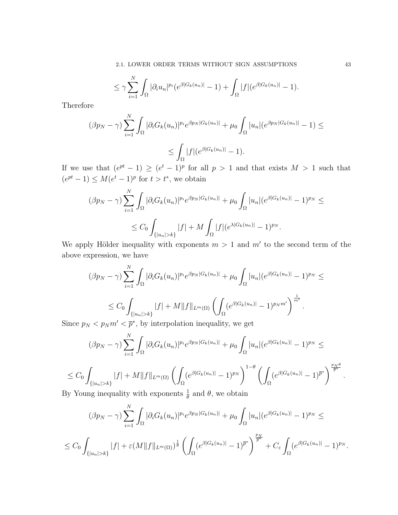2.1. LOWER ORDER TERMS WITHOUT SIGN ASSUMPTIONS 43

$$
\leq \gamma \sum_{i=1}^{N} \int_{\Omega} |\partial_i u_n|^{p_i} (e^{\beta |G_k(u_n)|} - 1) + \int_{\Omega} |f| (e^{\beta |G_k(u_n)|} - 1).
$$

Therefore

$$
(\beta p_N - \gamma) \sum_{i=1}^N \int_{\Omega} |\partial_i G_k(u_n)|^{p_i} e^{\beta p_N |G_k(u_n)|} + \mu_0 \int_{\Omega} |u_n| (e^{\beta p_N |G_k(u_n)|} - 1) \le
$$
  

$$
\leq \int_{\Omega} |f| (e^{\beta |G_k(u_n)|} - 1).
$$

If we use that  $(e^{pt}-1) \geq (e^t-1)^p$  for all  $p > 1$  and that exists  $M > 1$  such that  $(e^{pt}-1) \leq M(e^t-1)^p$  for  $t > t^*$ , we obtain

$$
(\beta p_N - \gamma) \sum_{i=1}^N \int_{\Omega} |\partial_i G_k(u_n)|^{p_i} e^{\beta p_N |G_k(u_n)|} + \mu_0 \int_{\Omega} |u_n| (e^{\beta |G_k(u_n)|} - 1)^{p_N} \le
$$
  

$$
\le C_0 \int_{\{|u_n| > k\}} |f| + M \int_{\Omega} |f| (e^{\lambda |G_k(u_n)|} - 1)^{p_N}.
$$

We apply Hölder inequality with exponents  $m > 1$  and  $m'$  to the second term of the above expression, we have

$$
(\beta p_N - \gamma) \sum_{i=1}^N \int_{\Omega} |\partial_i G_k(u_n)|^{p_i} e^{\beta p_N|G_k(u_n)|} + \mu_0 \int_{\Omega} |u_n| (e^{\beta |G_k(u_n)|} - 1)^{p_N} \le
$$
  

$$
\le C_0 \int_{\{|u_n| > k\}} |f| + M \|f\|_{L^m(\Omega)} \left( \int_{\Omega} (e^{\beta |G_k(u_n)|} - 1)^{p_N m'} \right)^{\frac{1}{m'}}.
$$

Since  $p_N < p_N m' < \bar{p}^*$ , by interpolation inequality, we get

$$
(\beta p_N - \gamma) \sum_{i=1}^N \int_{\Omega} |\partial_i G_k(u_n)|^{p_i} e^{\beta p_N |G_k(u_n)|} + \mu_0 \int_{\Omega} |u_n| (e^{\beta |G_k(u_n)|} - 1)^{p_N} \le
$$
  

$$
\sum_{i=1}^N \int_{\{|u_n| > k\}} |f| + M \|f\|_{L^m(\Omega)} \left( \int_{\Omega} (e^{\beta |G_k(u_n)|} - 1)^{p_N} \right)^{1-\theta} \left( \int_{\Omega} (e^{\beta |G_k(u_n)|} - 1)^{\overline{p}^*} \right)^{\frac{p_N \theta}{\overline{p}^*}}
$$

$$
\leq C_0 \int_{\{|u_n|>k\}} |f| + M \|f\|_{L^m(\Omega)} \left( \int_{\Omega} (e^{\beta|G_k(u_n)|} - 1)^{p_N} \right)^{1-\theta} \left( \int_{\Omega} (e^{\beta|G_k(u_n)|} - 1)^{p_N} \right)^{1-\theta}
$$
  
By Young inequality with exponents  $\frac{1}{\epsilon}$  and  $\theta$ , we obtain

By Young inequality with exponents  $\frac{1}{\theta}$  and  $\theta$ , we obtain

$$
(\beta p_N - \gamma) \sum_{i=1}^N \int_{\Omega} |\partial_i G_k(u_n)|^{p_i} e^{\beta p_N |G_k(u_n)|} + \mu_0 \int_{\Omega} |u_n| (e^{\beta |G_k(u_n)|} - 1)^{p_N} \le
$$
  

$$
\le C_0 \int_{\{|u_n| > k\}} |f| + \varepsilon (M \|f\|_{L^m(\Omega)})^{\frac{1}{\theta}} \left( \int_{\Omega} (e^{\beta |G_k(u_n)|} - 1)^{\overline{p}^*} \right)^{\frac{p_N}{\overline{p}^*}} + C_{\varepsilon} \int_{\Omega} (e^{\beta |G_k(u_n)|} - 1)^{p_N}.
$$

.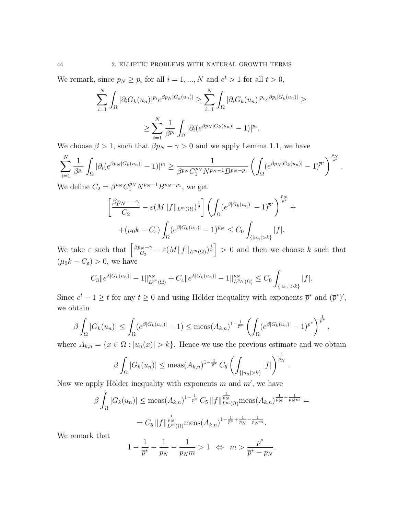We remark, since  $p_N \geq p_i$  for all  $i = 1, ..., N$  and  $e^t > 1$  for all  $t > 0$ ,

$$
\sum_{i=1}^N \int_{\Omega} |\partial_i G_k(u_n)|^{p_i} e^{\beta p_N|G_k(u_n)|} \geq \sum_{i=1}^N \int_{\Omega} |\partial_i G_k(u_n)|^{p_i} e^{\beta p_i|G_k(u_n)|} \geq
$$
  

$$
\geq \sum_{i=1}^N \frac{1}{\beta^{p_i}} \int_{\Omega} |\partial_i (e^{\beta p_N|G_k(u_n)|} - 1)|^{p_i}.
$$

We choose  $\beta > 1$ , such that  $\beta p_N - \gamma > 0$  and we apply Lemma 1.1, we have

$$
\sum_{i=1}^N \frac{1}{\beta^{p_i}} \int_{\Omega} |\partial_i (e^{\beta p_N |G_k(u_n)|} - 1)|^{p_i} \geq \frac{1}{\beta^{p_N} C_1^{p_N} N^{p_N - 1} B^{p_N - p_1}} \left( \int_{\Omega} (e^{\beta p_N |G_k(u_n)|} - 1)^{\overline{p}^*} \right)^{\frac{p_N}{\overline{p}^*}}.
$$

We define  $C_2 = \beta^{p_N} C_1^{p_N} N^{p_N - 1} B^{p_N - p_1}$ , we get

$$
\left[\frac{\beta p_N - \gamma}{C_2} - \varepsilon (M \|f\|_{L^m(\Omega)})^{\frac{1}{\theta}}\right] \left(\int_{\Omega} (e^{\beta |G_k(u_n)|} - 1)^{\overline{p}^*}\right)^{\frac{p_N}{\overline{p}^*}} + (\mu_0 k - C_{\varepsilon}) \int_{\Omega} (e^{\beta |G_k(u_n)|} - 1)^{p_N} \le C_0 \int_{\{|u_n| > k\}} |f|.
$$

 $^{+}$ 

.

We take  $\varepsilon$  such that  $\left[\frac{\beta p_N - \gamma}{C_0}\right]$  $\frac{N-N}{C_2} - \varepsilon \left(M \|f\|_{L^m(\Omega)}\right)^{\frac{1}{\theta}} \Big| > 0$  and then we choose k such that  $(\mu_0 k - C_{\varepsilon}) > 0$ , we have

$$
C_3||e^{\lambda|G_k(u_n)|}-1||_{L^{\overline{p}^*}(\Omega)}^{p_N}+C_4||e^{\lambda|G_k(u_n)|}-1||_{L^{p_N}(\Omega)}^{p_N}\leq C_0\int_{\{|u_n|>k\}}|f|.
$$

Since  $e^t - 1 \geq t$  for any  $t \geq 0$  and using Hölder inequality with exponents  $\bar{p}^*$  and  $(\bar{p}^*)'$ , we obtain

$$
\beta \int_{\Omega} |G_k(u_n)| \leq \int_{\Omega} (e^{\beta |G_k(u_n)|} - 1) \leq \text{meas}(A_{k,n})^{1 - \frac{1}{\overline{p}^*}} \left( \int_{\Omega} (e^{\beta |G_k(u_n)|} - 1)^{\overline{p}^*} \right)^{\frac{1}{\overline{p}^*}},
$$

where  $A_{k,n} = \{x \in \Omega : |u_n(x)| > k\}$ . Hence we use the previous estimate and we obtain

$$
\beta \int_{\Omega} |G_k(u_n)| \leq \text{meas}(A_{k,n})^{1 - \frac{1}{\overline{p}^*}} C_5 \left( \int_{\{|u_n| > k\}} |f| \right)^{\frac{1}{p_N}}
$$

Now we apply Hölder inequality with exponents  $m$  and  $m'$ , we have

$$
\beta \int_{\Omega} |G_k(u_n)| \leq \text{meas}(A_{k,n})^{1 - \frac{1}{\overline{p}^*}} C_5 \|f\|_{L^m(\Omega)}^{\frac{1}{p_N}} \text{meas}(A_{k,n})^{\frac{1}{p_N} - \frac{1}{p_N m}} =
$$
  
=  $C_5 \|f\|_{L^m(\Omega)}^{\frac{1}{p_N}} \text{meas}(A_{k,n})^{1 - \frac{1}{\overline{p}^*} + \frac{1}{p_N} - \frac{1}{p_N m}}.$ 

We remark that

$$
1-\frac{1}{\overline{p}^*}+\frac{1}{p_N}-\frac{1}{p_Nm}>1\ \ \Leftrightarrow\ \ m>\frac{\overline{p}^*}{\overline{p}^*-p_N}.
$$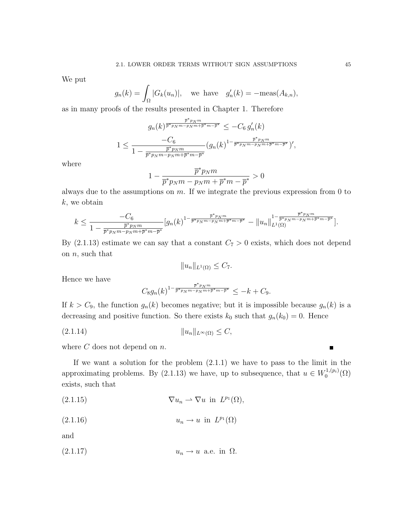We put

$$
g_n(k) = \int_{\Omega} |G_k(u_n)|
$$
, we have  $g'_n(k) = -\text{meas}(A_{k,n})$ ,

as in many proofs of the results presented in Chapter 1. Therefore

$$
g_n(k)^{\frac{\overline{p}^*p_Nm}{\overline{p}^*p_Nm - p_Nm + \overline{p}^*m - \overline{p}^*}} \le -C_6 g'_n(k)
$$
  

$$
1 \le \frac{-C_6}{1 - \frac{\overline{p}^*p_Nm}{\overline{p}^*p_Nm - p_Nm + \overline{p}^*m - \overline{p}^*}} (g_n(k)^{1 - \frac{\overline{p}^*p_Nm}{\overline{p}^*p_Nm - p_Nm + \overline{p}^*m - \overline{p}^*}})',
$$

where

$$
1 - \frac{\overline{p}^* p_N m}{\overline{p}^* p_N m - p_N m + \overline{p}^* m - \overline{p}^*} > 0
$$

always due to the assumptions on  $m$ . If we integrate the previous expression from 0 to k, we obtain

$$
k \leq \frac{-C_6}{1 - \frac{\overline{p}^* p_N m}{\overline{p}^* p_N m - p_N m + \overline{p}^* m - \overline{p}^*}} [g_n(k)^{1 - \frac{\overline{p}^* p_N m}{\overline{p}^* p_N m - p_N m + \overline{p}^* m - \overline{p}^*}} - ||u_n||_{L^1(\Omega)}^{1 - \frac{\overline{p}^* p_N m}{\overline{p}^* p_N m - p_N m + \overline{p}^* m - \overline{p}^*}}].
$$

By (2.1.13) estimate we can say that a constant  $C_7 > 0$  exists, which does not depend on  $n$ , such that

$$
||u_n||_{L^1(\Omega)} \leq C_7.
$$

Hence we have

$$
C_8 g_n(k)^{1-\frac{\overline{p}^* p_N m}{\overline{p}^* p_N m - p_N m + \overline{p}^* m - \overline{p}^*}} \leq -k + C_9.
$$

If  $k > C_9$ , the function  $g_n(k)$  becomes negative; but it is impossible because  $g_n(k)$  is a decreasing and positive function. So there exists  $k_0$  such that  $g_n(k_0) = 0$ . Hence

(2.1.14) kunkL∞(Ω) ≤ C,

where  $C$  does not depend on  $n$ .

If we want a solution for the problem  $(2.1.1)$  we have to pass to the limit in the approximating problems. By (2.1.13) we have, up to subsequence, that  $u \in W_0^{1,(p_i)}$  $\mathcal{O}^{(1,(p_i)}(\Omega)$ exists, such that

$$
(2.1.15) \t\t \nabla u_n \rightharpoonup \nabla u \text{ in } L^{p_1}(\Omega),
$$

$$
(2.1.16) \t\t u_n \to u \text{ in } L^{p_1}(\Omega)
$$

and

$$
(2.1.17) \t\t u_n \to u \t a.e. in \t \Omega.
$$

Е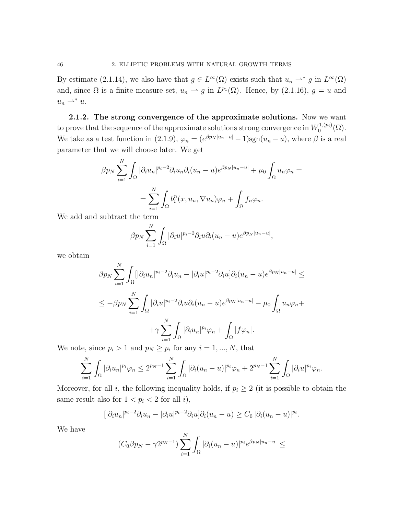By estimate (2.1.14), we also have that  $g \in L^{\infty}(\Omega)$  exists such that  $u_n \rightharpoonup^* g$  in  $L^{\infty}(\Omega)$ and, since  $\Omega$  is a finite measure set,  $u_n \rightharpoonup g$  in  $L^{p_1}(\Omega)$ . Hence, by  $(2.1.16)$ ,  $g = u$  and  $u_n \rightharpoonup^* u.$ 

2.1.2. The strong convergence of the approximate solutions. Now we want to prove that the sequence of the approximate solutions strong convergence in  $W_0^{1,(p_i)}$  ${\zeta_0^{1,(p_i)}(\Omega)}$ . We take as a test function in (2.1.9),  $\varphi_n = (e^{\beta p_N |u_n - u|} - 1)$ sgn $(u_n - u)$ , where  $\beta$  is a real parameter that we will choose later. We get

$$
\beta p_N \sum_{i=1}^N \int_{\Omega} |\partial_i u_n|^{p_i - 2} \partial_i u_n \partial_i (u_n - u) e^{\beta p_N |u_n - u|} + \mu_0 \int_{\Omega} u_n \varphi_n =
$$
  
= 
$$
\sum_{i=1}^N \int_{\Omega} b_i^n(x, u_n, \nabla u_n) \varphi_n + \int_{\Omega} f_n \varphi_n.
$$

We add and subtract the term

$$
\beta p_N \sum_{i=1}^N \int_{\Omega} |\partial_i u|^{p_i-2} \partial_i u \partial_i (u_n - u) e^{\beta p_N |u_n - u|},
$$

we obtain

$$
\beta p_N \sum_{i=1}^N \int_{\Omega} [|\partial_i u_n|^{p_i-2} \partial_i u_n - |\partial_i u|^{p_i-2} \partial_i u] \partial_i (u_n - u) e^{\beta p_N |u_n - u|} \le
$$
  

$$
\leq -\beta p_N \sum_{i=1}^N \int_{\Omega} |\partial_i u|^{p_i-2} \partial_i u \partial_i (u_n - u) e^{\beta p_N |u_n - u|} - \mu_0 \int_{\Omega} u_n \varphi_n + \sum_{i=1}^N \int_{\Omega} |\partial_i u_n|^{p_i} \varphi_n + \int_{\Omega} |f \varphi_n|.
$$

We note, since  $p_i > 1$  and  $p_N \geq p_i$  for any  $i = 1, ..., N$ , that

$$
\sum_{i=1}^N \int_{\Omega} |\partial_i u_n|^{p_i} \varphi_n \leq 2^{p_N - 1} \sum_{i=1}^N \int_{\Omega} |\partial_i (u_n - u)|^{p_i} \varphi_n + 2^{p_N - 1} \sum_{i=1}^N \int_{\Omega} |\partial_i u|^{p_i} \varphi_n.
$$

Moreover, for all i, the following inequality holds, if  $p_i \geq 2$  (it is possible to obtain the same result also for  $1 < p_i < 2$  for all i),

$$
[|\partial_i u_n|^{p_i-2}\partial_i u_n - |\partial_i u|^{p_i-2}\partial_i u] \partial_i (u_n-u) \geq C_0 |\partial_i (u_n-u)|^{p_i}.
$$

We have

$$
(C_0\beta p_N - \gamma 2^{p_N-1})\sum_{i=1}^N \int_{\Omega} |\partial_i(u_n-u)|^{p_i} e^{\beta p_N|u_n-u|} \le
$$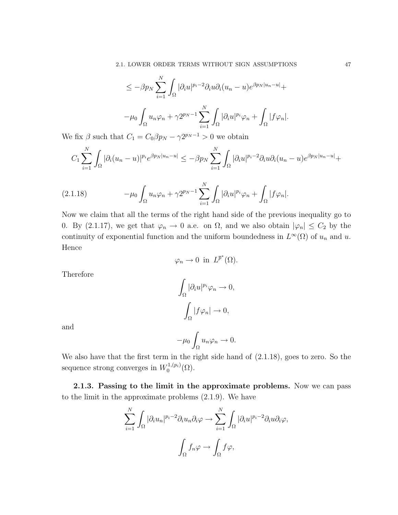$$
\leq -\beta p_N \sum_{i=1}^N \int_{\Omega} |\partial_i u|^{p_i - 2} \partial_i u \partial_i (u_n - u) e^{\beta p_N |u_n - u|} +
$$
  

$$
-\mu_0 \int_{\Omega} u_n \varphi_n + \gamma 2^{p_N - 1} \sum_{i=1}^N \int_{\Omega} |\partial_i u|^{p_i} \varphi_n + \int_{\Omega} |f \varphi_n|.
$$

We fix  $\beta$  such that  $C_1 = C_0 \beta p_N - \gamma 2^{p_N - 1} > 0$  we obtain

$$
C_1\sum_{i=1}^N\int_{\Omega}|\partial_i(u_n-u)|^{p_i}e^{\beta p_N|u_n-u|}\leq -\beta p_N\sum_{i=1}^N\int_{\Omega}|\partial_iu|^{p_i-2}\partial_iu\partial_i(u_n-u)e^{\beta p_N|u_n-u|}+
$$

(2.1.18) 
$$
-\mu_0 \int_{\Omega} u_n \varphi_n + \gamma 2^{p_N - 1} \sum_{i=1}^N \int_{\Omega} |\partial_i u|^{p_i} \varphi_n + \int_{\Omega} |f \varphi_n|.
$$

Now we claim that all the terms of the right hand side of the previous inequality go to 0. By (2.1.17), we get that  $\varphi_n \to 0$  a.e. on  $\Omega$ , and we also obtain  $|\varphi_n| \leq C_2$  by the continuity of exponential function and the uniform boundedness in  $L^{\infty}(\Omega)$  of  $u_n$  and  $u$ . Hence

$$
\varphi_n \to 0 \text{ in } L^{\overline{p}^*}(\Omega).
$$

Therefore

$$
\int_{\Omega} |\partial_i u|^{p_i} \varphi_n \to 0,
$$

$$
\int_{\Omega} |f \varphi_n| \to 0,
$$

$$
-\mu_0 \int u_n \varphi_n \to 0.
$$

and

We also have that the first term in the right side hand of (2.1.18), goes to zero. So the sequence strong converges in  $W_0^{1,(p_i)}$  $0^{(1,(p_i)}(\Omega).$ 

Ω

2.1.3. Passing to the limit in the approximate problems. Now we can pass to the limit in the approximate problems (2.1.9). We have

$$
\sum_{i=1}^{N} \int_{\Omega} |\partial_i u_n|^{p_i - 2} \partial_i u_n \partial_i \varphi \to \sum_{i=1}^{N} \int_{\Omega} |\partial_i u|^{p_i - 2} \partial_i u \partial_i \varphi,
$$

$$
\int_{\Omega} f_n \varphi \to \int_{\Omega} f \varphi,
$$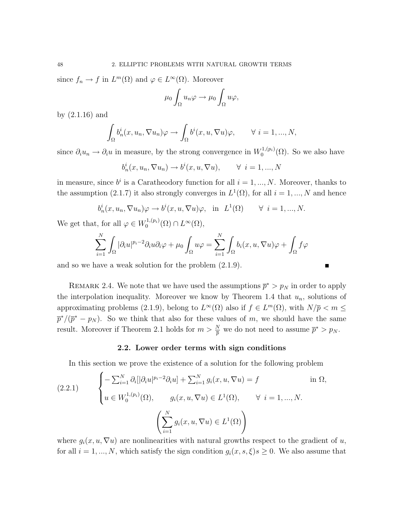since  $f_n \to f$  in  $L^m(\Omega)$  and  $\varphi \in L^{\infty}(\Omega)$ . Moreover

$$
\mu_0 \int_{\Omega} u_n \varphi \to \mu_0 \int_{\Omega} u \varphi,
$$

by (2.1.16) and

$$
\int_{\Omega} b_n^i(x, u_n, \nabla u_n) \varphi \to \int_{\Omega} b^i(x, u, \nabla u) \varphi, \qquad \forall \ i = 1, ..., N,
$$

since  $\partial_i u_n \to \partial_i u$  in measure, by the strong convergence in  $W_0^{1,(p_i)}$  $\binom{1}{0}$  ( $\Omega$ ). So we also have

$$
b_n^i(x, u_n, \nabla u_n) \to b^i(x, u, \nabla u), \qquad \forall \ i = 1, ..., N
$$

in measure, since  $b^i$  is a Caratheodory function for all  $i = 1, ..., N$ . Moreover, thanks to the assumption (2.1.7) it also strongly converges in  $L^1(\Omega)$ , for all  $i = 1, ..., N$  and hence

$$
b_n^i(x, u_n, \nabla u_n)\varphi \to b^i(x, u, \nabla u)\varphi
$$
, in  $L^1(\Omega) \quad \forall i = 1, ..., N$ .

We get that, for all  $\varphi \in W_0^{1,(p_i)}$  $L^{1,(p_i)}(\Omega)\cap L^{\infty}(\Omega),$ 

$$
\sum_{i=1}^{N} \int_{\Omega} |\partial_i u|^{p_i - 2} \partial_i u \partial_i \varphi + \mu_0 \int_{\Omega} u \varphi = \sum_{i=1}^{N} \int_{\Omega} b_i(x, u, \nabla u) \varphi + \int_{\Omega} f \varphi
$$

and so we have a weak solution for the problem (2.1.9).

$$
\blacksquare
$$

REMARK 2.4. We note that we have used the assumptions  $\bar{p}^* > p_N$  in order to apply the interpolation inequality. Moreover we know by Theorem 1.4 that  $u_n$ , solutions of approximating problems (2.1.9), belong to  $L^{\infty}(\Omega)$  also if  $f \in L^m(\Omega)$ , with  $N/\overline{p} < m \leq$  $\bar{p}^*/(\bar{p}^* - p_N)$ . So we think that also for these values of m, we should have the same result. Moreover if Theorem 2.1 holds for  $m > \frac{N}{p}$  we do not need to assume  $\bar{p}^* > p_N$ .

## 2.2. Lower order terms with sign conditions

In this section we prove the existence of a solution for the following problem

$$
(2.2.1) \qquad \begin{cases} -\sum_{i=1}^{N} \partial_i [|\partial_i u|^{p_i - 2} \partial_i u] + \sum_{i=1}^{N} g_i(x, u, \nabla u) = f & \text{in } \Omega, \\ u \in W_0^{1, (p_i)}(\Omega), \qquad g_i(x, u, \nabla u) \in L^1(\Omega), \qquad \forall \ i = 1, \dots, N. \end{cases}
$$
\n
$$
\left( \sum_{i=1}^{N} g_i(x, u, \nabla u) \in L^1(\Omega) \right)
$$

where  $g_i(x, u, \nabla u)$  are nonlinearities with natural growths respect to the gradient of u, for all  $i = 1, ..., N$ , which satisfy the sign condition  $g_i(x, s, \xi)s \geq 0$ . We also assume that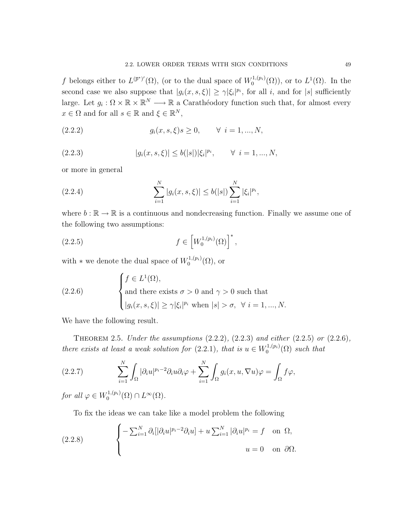f belongs either to  $L^{(\bar{p}^*)'}(\Omega)$ , (or to the dual space of  $W_0^{1,(p_i)}$  $L^{1,(p_i)}(\Omega)$ , or to  $L^1(\Omega)$ . In the second case we also suppose that  $|g_i(x, s, \xi)| \geq \gamma |\xi_i|^{p_i}$ , for all i, and for  $|s|$  sufficiently large. Let  $g_i : \Omega \times \mathbb{R} \times \mathbb{R}^N \longrightarrow \mathbb{R}$  a Carathéodory function such that, for almost every  $x \in \Omega$  and for all  $s \in \mathbb{R}$  and  $\xi \in \mathbb{R}^N$ ,

(2.2.2) 
$$
g_i(x, s, \xi)s \ge 0, \quad \forall i = 1, ..., N,
$$

(2.2.3) 
$$
|g_i(x, s, \xi)| \le b(|s|) |\xi_i|^{p_i}, \quad \forall \ i = 1, ..., N,
$$

or more in general

(2.2.4) 
$$
\sum_{i=1}^{N} |g_i(x, s, \xi)| \leq b(|s|) \sum_{i=1}^{N} |\xi_i|^{p_i},
$$

where  $b : \mathbb{R} \to \mathbb{R}$  is a continuous and nondecreasing function. Finally we assume one of the following two assumptions:

(2.2.5) 
$$
f \in [W_0^{1,(p_i)}(\Omega)]^*,
$$

with  $*$  we denote the dual space of  $W_0^{1,(p_i)}$  $\mathfrak{o}^{(1,(p_i)}(\Omega)$ , or

(2.2.6) 
$$
\begin{cases} f \in L^{1}(\Omega), \\ \text{and there exists } \sigma > 0 \text{ and } \gamma > 0 \text{ such that} \\ |g_{i}(x, s, \xi)| \geq \gamma |\xi_{i}|^{p_{i}} \text{ when } |s| > \sigma, \ \forall \ i = 1, ..., N. \end{cases}
$$

We have the following result.

THEOREM 2.5. Under the assumptions  $(2.2.2)$ ,  $(2.2.3)$  and either  $(2.2.5)$  or  $(2.2.6)$ , there exists at least a weak solution for (2.2.1), that is  $u \in W_0^{1,(p_i)}$  $C^{1,(p_i)}(0)$  such that

(2.2.7) 
$$
\sum_{i=1}^N \int_{\Omega} |\partial_i u|^{p_i-2} \partial_i u \partial_i \varphi + \sum_{i=1}^N \int_{\Omega} g_i(x, u, \nabla u) \varphi = \int_{\Omega} f \varphi,
$$

for all  $\varphi \in W_0^{1,(p_i)}$  $L^{1,(p_i)}(\Omega)\cap L^{\infty}(\Omega).$ 

To fix the ideas we can take like a model problem the following

(2.2.8) 
$$
\begin{cases}\n-\sum_{i=1}^{N} \partial_{i} [|\partial_{i} u|^{p_{i}-2} \partial_{i} u] + u \sum_{i=1}^{N} |\partial_{i} u|^{p_{i}} = f & \text{on } \Omega, \\
u = 0 & \text{on } \partial \Omega.\n\end{cases}
$$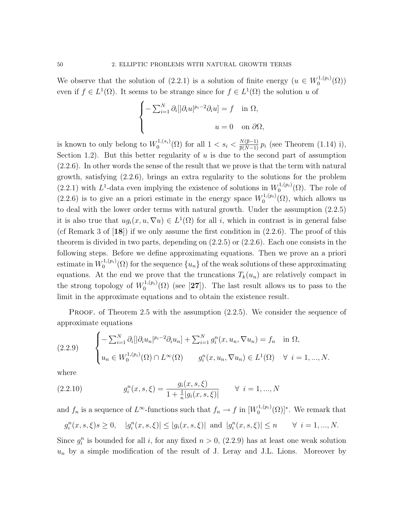We observe that the solution of (2.2.1) is a solution of finite energy  $(u \in W_0^{1,(p_i)})$  $\binom{1,(p_i)}{0}(\Omega)$ even if  $f \in L^1(\Omega)$ . It seems to be strange since for  $f \in L^1(\Omega)$  the solution u of

$$
\begin{cases}\n-\sum_{i=1}^{N} \partial_i [|\partial_i u|^{p_i-2} \partial_i u] = f & \text{in } \Omega, \\
u = 0 & \text{on } \partial \Omega,\n\end{cases}
$$

is known to only belong to  $W_0^{1,(s_i)}$ <sup>1</sup>,(s<sub>i</sub>)(Ω) for all 1 < s<sub>i</sub> <  $\frac{N(\bar{p}-1)}{\bar{p}(N-1)} p_i$  (see Theorem (1.14) i), Section 1.2). But this better regularity of  $u$  is due to the second part of assumption (2.2.6). In other words the sense of the result that we prove is that the term with natural growth, satisfying (2.2.6), brings an extra regularity to the solutions for the problem  $(2.2.1)$  with L<sup>1</sup>-data even implying the existence of solutions in  $W_0^{1,(p_i)}$  $\mathcal{O}_0^{(1,(p_i)}(\Omega)$ . The role of  $(2.2.6)$  is to give an a priori estimate in the energy space  $W_0^{1,(p_i)}$  $\mathcal{O}_0^{(1,(p_i)}(\Omega)$ , which allows us to deal with the lower order terms with natural growth. Under the assumption (2.2.5) it is also true that  $ug_i(x, u, \nabla u) \in L^1(\Omega)$  for all i, which in contrast is in general false (cf Remark 3 of  $[18]$ ) if we only assume the first condition in  $(2.2.6)$ . The proof of this theorem is divided in two parts, depending on  $(2.2.5)$  or  $(2.2.6)$ . Each one consists in the following steps. Before we define approximating equations. Then we prove an a priori estimate in  $W_0^{1,(p_i)}$  $\binom{1}{0}$  ( $\Omega$ ) for the sequence  $\{u_n\}$  of the weak solutions of these approximating equations. At the end we prove that the truncations  $T_k(u_n)$  are relatively compact in the strong topology of  $W_0^{1,(p_i)}$  $\binom{1}{0}$  (see [27]). The last result allows us to pass to the limit in the approximate equations and to obtain the existence result.

PROOF. of Theorem 2.5 with the assumption  $(2.2.5)$ . We consider the sequence of approximate equations

$$
(2.2.9) \qquad \begin{cases} -\sum_{i=1}^{N} \partial_{i} [|\partial_{i} u_{n}|^{p_{i}-2} \partial_{i} u_{n}] + \sum_{i=1}^{N} g_{i}^{n}(x, u_{n}, \nabla u_{n}) = f_{n} & \text{in } \Omega, \\ u_{n} \in W_{0}^{1,(p_{i})}(\Omega) \cap L^{\infty}(\Omega) & g_{i}^{n}(x, u_{n}, \nabla u_{n}) \in L^{1}(\Omega) \quad \forall \ i = 1, ..., N. \end{cases}
$$

where

(2.2.10) 
$$
g_i^n(x, s, \xi) = \frac{g_i(x, s, \xi)}{1 + \frac{1}{n} |g_i(x, s, \xi)|} \quad \forall i = 1, ..., N
$$

and  $f_n$  is a sequence of  $L^{\infty}$ -functions such that  $f_n \to f$  in  $[W_0^{1,(p_i)}]$  $\mathcal{O}_0^{1,(p_i)}(\Omega)$ <sup>\*</sup>. We remark that

$$
g_i^n(x, s, \xi)s \ge 0
$$
,  $|g_i^n(x, s, \xi)| \le |g_i(x, s, \xi)|$  and  $|g_i^n(x, s, \xi)| \le n \quad \forall i = 1, ..., N$ .

Since  $g_i^n$  is bounded for all i, for any fixed  $n > 0$ , (2.2.9) has at least one weak solution  $u_n$  by a simple modification of the result of J. Leray and J.L. Lions. Moreover by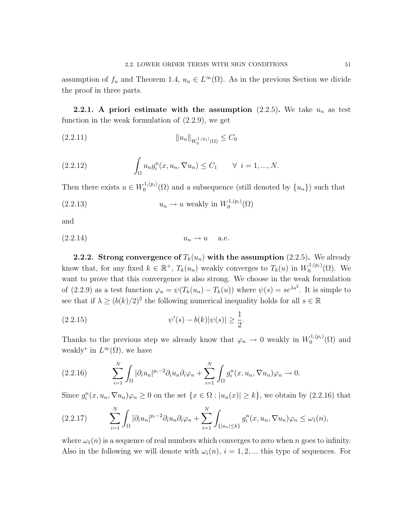assumption of  $f_n$  and Theorem 1.4,  $u_n \in L^{\infty}(\Omega)$ . As in the previous Section we divide the proof in three parts.

**2.2.1.** A priori estimate with the assumption  $(2.2.5)$ . We take  $u_n$  as test function in the weak formulation of (2.2.9), we get

$$
||u_n||_{W_0^{1,(p_i)}(\Omega)} \leq C_0
$$

(2.2.12) 
$$
\int_{\Omega} u_n g_i^n(x, u_n, \nabla u_n) \le C_1 \quad \forall \ i = 1, ..., N.
$$

Then there exists  $u \in W_0^{1,(p_i)}$  $\binom{1}{0}$  and a subsequence (still denoted by  $\{u_n\}$ ) such that

(2.2.13) 
$$
u_n \to u \text{ weakly in } W_0^{1,(p_i)}(\Omega)
$$

and

$$
(2.2.14) \t\t u_n \to u \t a.e.
$$

**2.2.2.** Strong convergence of  $T_k(u_n)$  with the assumption (2.2.5). We already know that, for any fixed  $k \in \mathbb{R}^+$ ,  $T_k(u_n)$  weakly converges to  $T_k(u)$  in  $W_0^{1,(p_i)}$  $_{0}^{\prime 1,(p_{i})}(\Omega)$ . We want to prove that this convergence is also strong. We choose in the weak formulation of (2.2.9) as a test function  $\varphi_n = \psi(T_k(u_n) - T_k(u))$  where  $\psi(s) = s e^{\lambda s^2}$ . It is simple to see that if  $\lambda \geq (b(k)/2)^2$  the following numerical inequality holds for all  $s \in \mathbb{R}$ 

(2.2.15) 
$$
\psi'(s) - b(k)|\psi(s)| \ge \frac{1}{2}.
$$

Thanks to the previous step we already know that  $\varphi_n \to 0$  weakly in  $W_0^{1,(p_i)}$  $\binom{1,(p_i)}{0}$  and weakly<sup>\*</sup> in  $L^{\infty}(\Omega)$ , we have

(2.2.16) 
$$
\sum_{i=1}^N \int_{\Omega} |\partial_i u_n|^{p_i-2} \partial_i u_n \partial_i \varphi_n + \sum_{i=1}^N \int_{\Omega} g_i^n(x, u_n, \nabla u_n) \varphi_n \to 0.
$$

Since  $g_i^n(x, u_n, \nabla u_n)\varphi_n \ge 0$  on the set  $\{x \in \Omega : |u_n(x)| \ge k\}$ , we obtain by  $(2.2.16)$  that

$$
(2.2.17) \qquad \sum_{i=1}^N \int_{\Omega} |\partial_i u_n|^{p_i-2} \partial_i u_n \partial_i \varphi_n + \sum_{i=1}^N \int_{\{|u_n| \le k\}} g_i^n(x, u_n, \nabla u_n) \varphi_n \le \omega_1(n),
$$

where  $\omega_1(n)$  is a sequence of real numbers which converges to zero when n goes to infinity. Also in the following we will denote with  $\omega_i(n)$ ,  $i = 1, 2, ...$  this type of sequences. For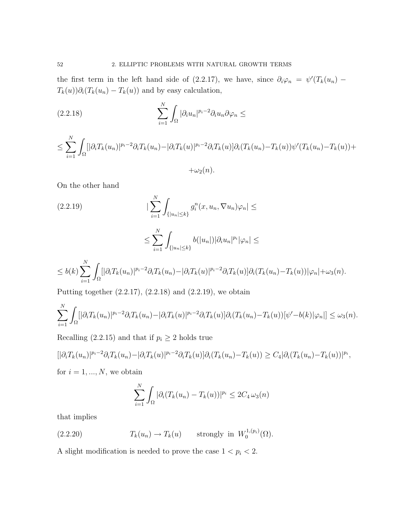the first term in the left hand side of (2.2.17), we have, since  $\partial_i \varphi_n = \psi'(T_k(u_n) T_k(u))\partial_i(T_k(u_n) - T_k(u))$  and by easy calculation,

(2.2.18) 
$$
\sum_{i=1}^{N} \int_{\Omega} |\partial_i u_n|^{p_i-2} \partial_i u_n \partial \varphi_n \leq
$$

$$
\leq \sum_{i=1}^N \int_{\Omega} [|\partial_i T_k(u_n)|^{p_i-2} \partial_i T_k(u_n) - |\partial_i T_k(u)|^{p_i-2} \partial_i T_k(u)] \partial_i (T_k(u_n) - T_k(u)) \psi'(T_k(u_n) - T_k(u)) +
$$

 $+\omega_2(n)$ .

On the other hand

$$
(2.2.19) \qquad \qquad \vert \sum_{i=1}^{N} \int_{\{|u_n| \le k\}} g_i^n(x, u_n, \nabla u_n) \varphi_n \vert \le
$$

$$
\leq \sum_{i=1}^N \int_{\{|u_n|\leq k\}} b(|u_n|) |\partial_i u_n|^{p_i} |\varphi_n| \leq
$$

$$
\leq b(k)\sum_{i=1}^N\int_{\Omega} [|\partial_i T_k(u_n)|^{p_i-2}\partial_i T_k(u_n)-|\partial_i T_k(u)|^{p_i-2}\partial_i T_k(u)]\partial_i (T_k(u_n)-T_k(u))|\varphi_n|+\omega_3(n).
$$

Putting together (2.2.17), (2.2.18) and (2.2.19), we obtain

$$
\sum_{i=1}^N \int_{\Omega} [|\partial_i T_k(u_n)|^{p_i-2} \partial_i T_k(u_n) - |\partial_i T_k(u)|^{p_i-2} \partial_i T_k(u)| \partial_i (T_k(u_n) - T_k(u)) [\psi'-b(k)|\varphi_n|] \leq \omega_3(n).
$$

Recalling (2.2.15) and that if  $p_i \geq 2$  holds true

$$
[|\partial_i T_k(u_n)|^{p_i-2} \partial_i T_k(u_n) - |\partial_i T_k(u)|^{p_i-2} \partial_i T_k(u)] \partial_i (T_k(u_n) - T_k(u)) \ge C_4 |\partial_i (T_k(u_n) - T_k(u))|^{p_i},
$$
  
for  $i = 1, ..., N$ , we obtain

$$
\sum_{i=1}^N \int_{\Omega} |\partial_i (T_k(u_n) - T_k(u))|^{p_i} \leq 2C_4 \,\omega_3(n)
$$

that implies

(2.2.20) 
$$
T_k(u_n) \to T_k(u) \quad \text{strongly in } W_0^{1,(p_i)}(\Omega).
$$

A slight modification is needed to prove the case  $1 < p_i < 2$ .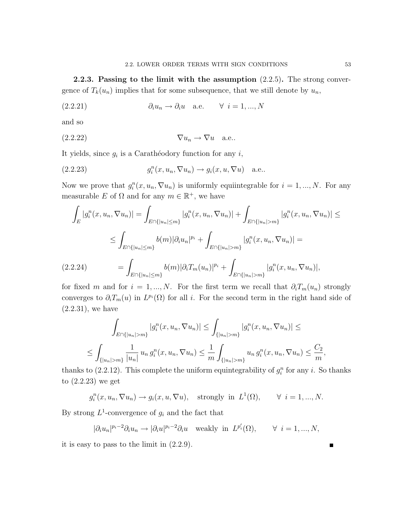2.2.3. Passing to the limit with the assumption (2.2.5). The strong convergence of  $T_k(u_n)$  implies that for some subsequence, that we still denote by  $u_n$ ,

$$
(2.2.21) \t\t \t\t \partial_i u_n \to \partial_i u \t \text{a.e.} \t \forall i = 1,...,N
$$

and so

$$
(2.2.22) \t\t \nabla u_n \to \nabla u \quad \text{a.e.}.
$$

It yields, since  $g_i$  is a Carathéodory function for any i,

(2.2.23) 
$$
g_i^n(x, u_n, \nabla u_n) \to g_i(x, u, \nabla u) \quad \text{a.e.}.
$$

Now we prove that  $g_i^n(x, u_n, \nabla u_n)$  is uniformly equiintegrable for  $i = 1, ..., N$ . For any measurable E of  $\Omega$  and for any  $m \in \mathbb{R}^+$ , we have

$$
\int_{E} |g_i^n(x, u_n, \nabla u_n)| = \int_{E \cap \{|u_n| \le m\}} |g_i^n(x, u_n, \nabla u_n)| + \int_{E \cap \{|u_n| > m\}} |g_i^n(x, u_n, \nabla u_n)| \le
$$
\n
$$
\le \int_{E \cap \{|u_n| \le m\}} b(m) |\partial_i u_n|^{p_i} + \int_{E \cap \{|u_n| > m\}} |g_i^n(x, u_n, \nabla u_n)| =
$$
\n
$$
(2.2.24) \qquad \qquad = \int_{E \cap \{|u_n| \le m\}} b(m) |\partial_i T_m(u_n)|^{p_i} + \int_{E \cap \{|u_n| > m\}} |g_i^n(x, u_n, \nabla u_n)|,
$$

for fixed m and for  $i = 1, ..., N$ . For the first term we recall that  $\partial_i T_m(u_n)$  strongly converges to  $\partial_i T_m(u)$  in  $L^{p_i}(\Omega)$  for all i. For the second term in the right hand side of (2.2.31), we have

$$
\int_{E \cap \{|u_n| > m\}} |g_i^n(x, u_n, \nabla u_n)| \leq \int_{\{|u_n| > m\}} |g_i^n(x, u_n, \nabla u_n)| \leq
$$
\n
$$
\leq \int_{\{|u_n| > m\}} \frac{1}{|u_n|} u_n g_i^n(x, u_n, \nabla u_n) \leq \frac{1}{m} \int_{\{|u_n| > m\}} u_n g_i^n(x, u_n, \nabla u_n) \leq \frac{C_2}{m},
$$

thanks to  $(2.2.12)$ . This complete the uniform equintegrability of  $g_i^n$  for any i. So thanks to (2.2.23) we get

 $g_i^n(x, u_n, \nabla u_n) \to g_i(x, u, \nabla u)$ , strongly in  $L^1(\Omega)$ ,  $\forall i = 1, ..., N$ .

By strong  $L^1$ -convergence of  $g_i$  and the fact that

$$
|\partial_i u_n|^{p_i-2} \partial_i u_n \to |\partial_i u|^{p_i-2} \partial_i u \quad \text{weakly in } L^{p_i'}(\Omega), \qquad \forall \ i = 1, ..., N,
$$

it is easy to pass to the limit in (2.2.9).

П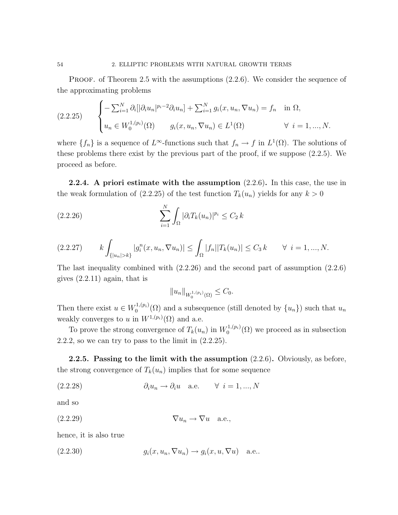PROOF. of Theorem 2.5 with the assumptions  $(2.2.6)$ . We consider the sequence of the approximating problems

$$
(2.2.25) \qquad \begin{cases} -\sum_{i=1}^{N} \partial_{i} [|\partial_{i} u_{n}|^{p_{i}-2} \partial_{i} u_{n}] + \sum_{i=1}^{N} g_{i}(x, u_{n}, \nabla u_{n}) = f_{n} & \text{in } \Omega, \\ u_{n} \in W_{0}^{1,(p_{i})}(\Omega) & g_{i}(x, u_{n}, \nabla u_{n}) \in L^{1}(\Omega) \qquad \forall \ i = 1, ..., N. \end{cases}
$$

where  $\{f_n\}$  is a sequence of  $L^{\infty}$ -functions such that  $f_n \to f$  in  $L^1(\Omega)$ . The solutions of these problems there exist by the previous part of the proof, if we suppose (2.2.5). We proceed as before.

**2.2.4.** A priori estimate with the assumption  $(2.2.6)$ . In this case, the use in the weak formulation of  $(2.2.25)$  of the test function  $T_k(u_n)$  yields for any  $k > 0$ 

(2.2.26) 
$$
\sum_{i=1}^{N} \int_{\Omega} |\partial_i T_k(u_n)|^{p_i} \leq C_2 k
$$

$$
(2.2.27) \t k \int_{\{|u_n|>k\}} |g_i^n(x, u_n, \nabla u_n)| \leq \int_{\Omega} |f_n||T_k(u_n)| \leq C_3 k \quad \forall \ i = 1, ..., N.
$$

The last inequality combined with (2.2.26) and the second part of assumption (2.2.6) gives  $(2.2.11)$  again, that is

$$
||u_n||_{W_0^{1,(p_i)}(\Omega)} \leq C_0.
$$

Then there exist  $u \in W_0^{1,(p_i)}$  $\binom{1}{0}^{1,(p_i)}(\Omega)$  and a subsequence (still denoted by  $\{u_n\}$ ) such that  $u_n$ weakly converges to u in  $W^{1,(p_i)}(\Omega)$  and a.e.

To prove the strong convergence of  $T_k(u_n)$  in  $W_0^{1,(p_i)}$  $0^{(1,(p_i)}(\Omega)$  we proceed as in subsection 2.2.2, so we can try to pass to the limit in  $(2.2.25)$ .

**2.2.5.** Passing to the limit with the assumption  $(2.2.6)$ . Obviously, as before, the strong convergence of  $T_k(u_n)$  implies that for some sequence

$$
(2.2.28) \t\t \t\t \partial_i u_n \to \partial_i u \t \text{a.e.} \t \forall i = 1, ..., N
$$

and so

$$
(2.2.29) \t\t \nabla u_n \to \nabla u \quad \text{a.e.,}
$$

hence, it is also true

(2.2.30) 
$$
g_i(x, u_n, \nabla u_n) \to g_i(x, u, \nabla u) \quad \text{a.e.}.
$$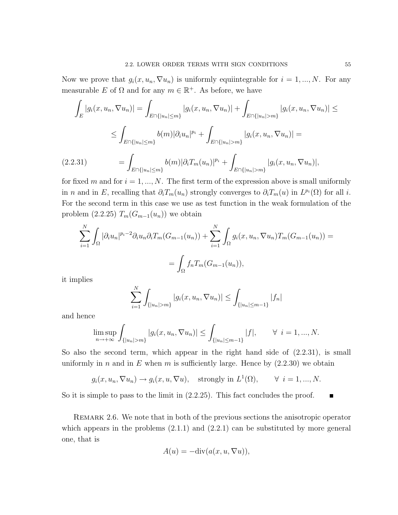Now we prove that  $g_i(x, u_n, \nabla u_n)$  is uniformly equiintegrable for  $i = 1, ..., N$ . For any measurable E of  $\Omega$  and for any  $m \in \mathbb{R}^+$ . As before, we have

$$
\int_{E} |g_{i}(x, u_{n}, \nabla u_{n})| = \int_{E \cap \{|u_{n}| \le m\}} |g_{i}(x, u_{n}, \nabla u_{n})| + \int_{E \cap \{|u_{n}| > m\}} |g_{i}(x, u_{n}, \nabla u_{n})| \le
$$
\n
$$
\le \int_{E \cap \{|u_{n}| \le m\}} b(m) |\partial_{i} u_{n}|^{p_{i}} + \int_{E \cap \{|u_{n}| > m\}} |g_{i}(x, u_{n}, \nabla u_{n})| =
$$
\n(2.2.31)\n
$$
= \int_{E \cap \{|u_{n}| \le m\}} b(m) |\partial_{i} T_{m}(u_{n})|^{p_{i}} + \int_{E \cap \{|u_{n}| > m\}} |g_{i}(x, u_{n}, \nabla u_{n})|,
$$

for fixed m and for  $i = 1, ..., N$ . The first term of the expression above is small uniformly in n and in E, recalling that  $\partial_i T_m(u_n)$  strongly converges to  $\partial_i T_m(u)$  in  $L^{p_i}(\Omega)$  for all i. For the second term in this case we use as test function in the weak formulation of the problem  $(2.2.25)$   $T_m(G_{m-1}(u_n))$  we obtain

$$
\sum_{i=1}^{N} \int_{\Omega} |\partial_i u_n|^{p_i-2} \partial_i u_n \partial_i T_m(G_{m-1}(u_n)) + \sum_{i=1}^{N} \int_{\Omega} g_i(x, u_n, \nabla u_n) T_m(G_{m-1}(u_n)) =
$$
  
= 
$$
\int_{\Omega} f_n T_m(G_{m-1}(u_n)),
$$

it implies

$$
\sum_{i=1}^{N} \int_{\{|u_n| > m\}} |g_i(x, u_n, \nabla u_n)| \leq \int_{\{|u_n| \leq m-1\}} |f_n|
$$

and hence

$$
\limsup_{n \to +\infty} \int_{\{|u_n| > m\}} |g_i(x, u_n, \nabla u_n)| \le \int_{\{|u_n| \le m-1\}} |f|, \qquad \forall \ i = 1, ..., N.
$$

So also the second term, which appear in the right hand side of (2.2.31), is small uniformly in n and in E when m is sufficiently large. Hence by  $(2.2.30)$  we obtain

$$
g_i(x, u_n, \nabla u_n) \to g_i(x, u, \nabla u),
$$
 strongly in  $L^1(\Omega)$ ,  $\forall i = 1, ..., N$ .

So it is simple to pass to the limit in  $(2.2.25)$ . This fact concludes the proof.  $\blacksquare$ 

REMARK 2.6. We note that in both of the previous sections the anisotropic operator which appears in the problems  $(2.1.1)$  and  $(2.2.1)$  can be substituted by more general one, that is

$$
A(u) = -\text{div}(a(x, u, \nabla u)),
$$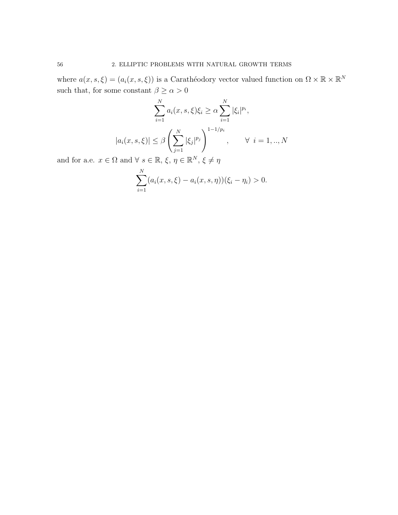where  $a(x, s, \xi) = (a_i(x, s, \xi))$  is a Carathéodory vector valued function on  $\Omega \times \mathbb{R} \times \mathbb{R}^N$ such that, for some constant  $\beta \geq \alpha > 0$ 

$$
\sum_{i=1}^{N} a_i(x, s, \xi) \xi_i \ge \alpha \sum_{i=1}^{N} |\xi_i|^{p_i},
$$

$$
|a_i(x, s, \xi)| \le \beta \left(\sum_{j=1}^{N} |\xi_j|^{p_j}\right)^{1 - 1/p_i}, \qquad \forall \ i = 1, ..., N
$$

and for a.e.  $x \in \Omega$  and  $\forall s \in \mathbb{R}, \xi, \eta \in \mathbb{R}^N, \xi \neq \eta$ 

$$
\sum_{i=1}^{N} (a_i(x, s, \xi) - a_i(x, s, \eta))(\xi_i - \eta_i) > 0.
$$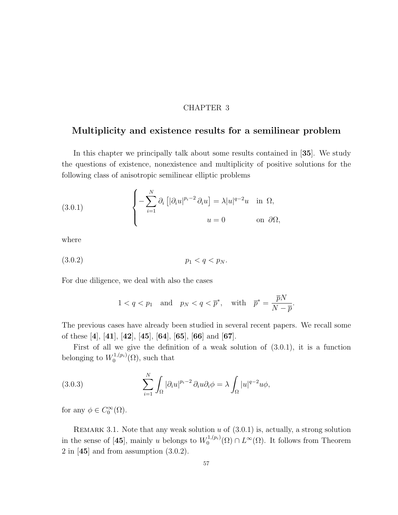## CHAPTER 3

## Multiplicity and existence results for a semilinear problem

In this chapter we principally talk about some results contained in [35]. We study the questions of existence, nonexistence and multiplicity of positive solutions for the following class of anisotropic semilinear elliptic problems

(3.0.1) 
$$
\begin{cases} -\sum_{i=1}^{N} \partial_{i} \left[ |\partial_{i} u|^{p_{i}-2} \partial_{i} u \right] = \lambda |u|^{q-2} u & \text{in } \Omega, \\ u = 0 & \text{on } \partial \Omega, \end{cases}
$$

where

$$
(3.0.2) \t\t\t p_1 < q < p_N.
$$

For due diligence, we deal with also the cases

$$
1 < q < p_1 \quad \text{and} \quad p_N < q < \overline{p}^*, \quad \text{with} \quad \overline{p}^* = \frac{\overline{p}N}{N - \overline{p}}.
$$

The previous cases have already been studied in several recent papers. We recall some of these [4], [41], [42], [45], [64], [65], [66] and [67].

First of all we give the definition of a weak solution of (3.0.1), it is a function belonging to  $W_0^{1,(p_i)}$  $\mathcal{O}^{1,(p_i)}(\Omega)$ , such that

(3.0.3) 
$$
\sum_{i=1}^{N} \int_{\Omega} |\partial_i u|^{p_i - 2} \partial_i u \partial_i \phi = \lambda \int_{\Omega} |u|^{q - 2} u \phi,
$$

for any  $\phi \in C_0^{\infty}(\Omega)$ .

REMARK 3.1. Note that any weak solution  $u$  of  $(3.0.1)$  is, actually, a strong solution in the sense of [45], mainly u belongs to  $W_0^{1,(p_i)}$  $L^{1,(p_i)}(\Omega) \cap L^{\infty}(\Omega)$ . It follows from Theorem  $2 \text{ in } [45]$  and from assumption  $(3.0.2)$ .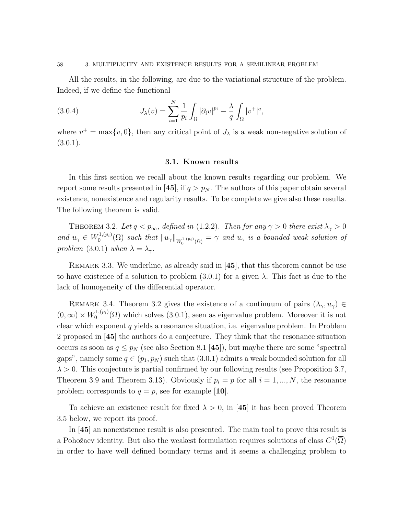#### 58 3. MULTIPLICITY AND EXISTENCE RESULTS FOR A SEMILINEAR PROBLEM

All the results, in the following, are due to the variational structure of the problem. Indeed, if we define the functional

(3.0.4) 
$$
J_{\lambda}(v) = \sum_{i=1}^{N} \frac{1}{p_i} \int_{\Omega} |\partial_i v|^{p_i} - \frac{\lambda}{q} \int_{\Omega} |v^+|^q,
$$

where  $v^+ = \max\{v, 0\}$ , then any critical point of  $J_\lambda$  is a weak non-negative solution of  $(3.0.1).$ 

## 3.1. Known results

In this first section we recall about the known results regarding our problem. We report some results presented in [45], if  $q > p_N$ . The authors of this paper obtain several existence, nonexistence and regularity results. To be complete we give also these results. The following theorem is valid.

THEOREM 3.2. Let  $q < p_{\infty}$ , defined in (1.2.2). Then for any  $\gamma > 0$  there exist  $\lambda_{\gamma} > 0$ and  $u_{\gamma} \in W_0^{1,(p_i)}$  $\int_0^{1,(p_i)} (\Omega)$  such that  $\|u_\gamma\|_{W_0^{1,(p_i)}(\Omega)} = \gamma$  and  $u_\gamma$  is a bounded weak solution of problem (3.0.1) when  $\lambda = \lambda_{\gamma}$ .

REMARK 3.3. We underline, as already said in [45], that this theorem cannot be use to have existence of a solution to problem  $(3.0.1)$  for a given  $\lambda$ . This fact is due to the lack of homogeneity of the differential operator.

REMARK 3.4. Theorem 3.2 gives the existence of a continuum of pairs  $(\lambda_{\gamma}, u_{\gamma}) \in$  $(0,\infty) \times W_0^{1,(p_i)}$  $0^{(1,(p_i)}(0)$  which solves  $(3.0.1)$ , seen as eigenvalue problem. Moreover it is not clear which exponent  $q$  yields a resonance situation, i.e. eigenvalue problem. In Problem 2 proposed in [45] the authors do a conjecture. They think that the resonance situation occurs as soon as  $q \leq p_N$  (see also Section 8.1 [45]), but maybe there are some "spectral gaps", namely some  $q \in (p_1, p_N)$  such that  $(3.0.1)$  admits a weak bounded solution for all  $\lambda > 0$ . This conjecture is partial confirmed by our following results (see Proposition 3.7, Theorem 3.9 and Theorem 3.13). Obviously if  $p_i = p$  for all  $i = 1, ..., N$ , the resonance problem corresponds to  $q = p$ , see for example [10].

To achieve an existence result for fixed  $\lambda > 0$ , in [45] it has been proved Theorem 3.5 below, we report its proof.

In [45] an nonexistence result is also presented. The main tool to prove this result is a Pohožaev identity. But also the weakest formulation requires solutions of class  $C^1(\overline{\Omega})$ in order to have well defined boundary terms and it seems a challenging problem to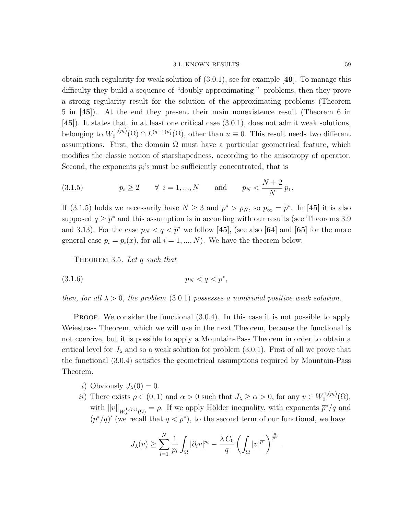#### 3.1. KNOWN RESULTS 59

obtain such regularity for weak solution of (3.0.1), see for example [49]. To manage this difficulty they build a sequence of "doubly approximating " problems, then they prove a strong regularity result for the solution of the approximating problems (Theorem 5 in [45]). At the end they present their main nonexistence result (Theorem 6 in [45]). It states that, in at least one critical case (3.0.1), does not admit weak solutions, belonging to  $W_0^{1,(p_i)}$  $\mathcal{O}_0^{(1,(p_i)}(\Omega) \cap L^{(q-1)p'_1}(\Omega)$ , other than  $u \equiv 0$ . This result needs two different assumptions. First, the domain  $\Omega$  must have a particular geometrical feature, which modifies the classic notion of starshapedness, according to the anisotropy of operator. Second, the exponents  $p_i$ 's must be sufficiently concentrated, that is

(3.1.5) 
$$
p_i \ge 2
$$
  $\forall i = 1, ..., N$  and  $p_N < \frac{N+2}{N}p_1$ .

If (3.1.5) holds we necessarily have  $N \geq 3$  and  $\bar{p}^* > p_N$ , so  $p_{\infty} = \bar{p}^*$ . In [45] it is also supposed  $q \geq \overline{p}^*$  and this assumption is in according with our results (see Theorems 3.9) and 3.13). For the case  $p_N < q < \bar{p}^*$  we follow [45], (see also [64] and [65] for the more general case  $p_i = p_i(x)$ , for all  $i = 1, ..., N$ ). We have the theorem below.

THEOREM 3.5. Let q such that

(3.1.6) p<sup>N</sup> < q < p ∗ ,

then, for all  $\lambda > 0$ , the problem (3.0.1) possesses a nontrivial positive weak solution.

**PROOF.** We consider the functional  $(3.0.4)$ . In this case it is not possible to apply Weiestrass Theorem, which we will use in the next Theorem, because the functional is not coercive, but it is possible to apply a Mountain-Pass Theorem in order to obtain a critical level for  $J_{\lambda}$  and so a weak solution for problem (3.0.1). First of all we prove that the functional (3.0.4) satisfies the geometrical assumptions required by Mountain-Pass Theorem.

- i) Obviously  $J_{\lambda}(0) = 0$ .
- *ii*) There exists  $\rho \in (0, 1)$  and  $\alpha > 0$  such that  $J_{\lambda} \ge \alpha > 0$ , for any  $v \in W_0^{1,(p_i)}$  $\mathcal{O}^{(1,(p_i)}(\Omega),$ with  $||v||_{W_0^{1,(p_i)}(\Omega)} = \rho$ . If we apply Hölder inequality, with exponents  $\overline{p}^*/q$  and  $(\bar{p}^*/q)'$  (we recall that  $q < \bar{p}^*$ ), to the second term of our functional, we have

$$
J_{\lambda}(v) \geq \sum_{i=1}^{N} \frac{1}{p_i} \int_{\Omega} |\partial_i v|^{p_i} - \frac{\lambda C_0}{q} \left( \int_{\Omega} |v|^{p^*} \right)^{\frac{q}{p^*}}.
$$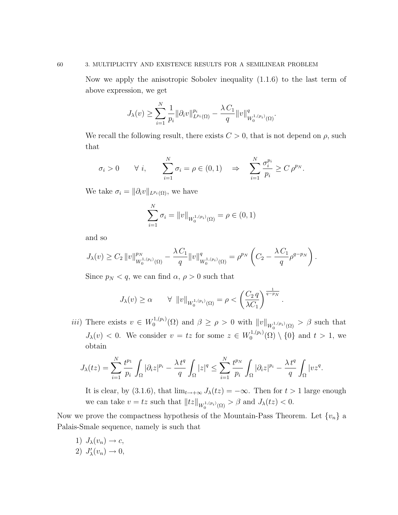## 60 3. MULTIPLICITY AND EXISTENCE RESULTS FOR A SEMILINEAR PROBLEM

Now we apply the anisotropic Sobolev inequality (1.1.6) to the last term of above expression, we get

$$
J_{\lambda}(v) \geq \sum_{i=1}^{N} \frac{1}{p_i} \|\partial_i v\|_{L^{p_i}(\Omega)}^{p_i} - \frac{\lambda C_1}{q} \|v\|_{W_0^{1,(p_i)}(\Omega)}^q.
$$

We recall the following result, there exists  $C > 0$ , that is not depend on  $\rho$ , such that

$$
\sigma_i > 0 \qquad \forall \ i, \qquad \sum_{i=1}^N \sigma_i = \rho \in (0,1) \quad \Rightarrow \quad \sum_{i=1}^N \frac{\sigma_i^{p_i}}{p_i} \ge C \rho^{p_N}.
$$

We take  $\sigma_i = ||\partial_i v||_{L^{p_i}(\Omega)}$ , we have

$$
\sum_{i=1}^{N} \sigma_i = ||v||_{W_0^{1,(p_i)}(\Omega)} = \rho \in (0,1)
$$

and so

$$
J_{\lambda}(v) \geq C_2 \|v\|_{W_0^{1,(p_i)}(\Omega)}^{p_N} - \frac{\lambda C_1}{q} \|v\|_{W_0^{1,(p_i)}(\Omega)}^q = \rho^{p_N} \left(C_2 - \frac{\lambda C_1}{q} \rho^{q-p_N}\right).
$$

Since  $p_N < q$ , we can find  $\alpha$ ,  $\rho > 0$  such that

$$
J_{\lambda}(v) \ge \alpha \qquad \forall \ \ \|v\|_{W_0^{1,(p_i)}(\Omega)} = \rho < \left(\frac{C_2 \, q}{\lambda C_1}\right)^{\frac{1}{q-p_N}}
$$

*iii*) There exists  $v \in W_0^{1,(p_i)}$  $\int_0^{1,(p_i)} (\Omega)$  and  $\beta \ge \rho > 0$  with  $||v||_{W_0^{1,(p_i)}(\Omega)} > \beta$  such that  $J_{\lambda}(v) < 0$ . We consider  $v = tz$  for some  $z \in W_0^{1,(p_i)}$  $\binom{1}{0}^{1,(p_i)}(\Omega) \setminus \{0\}$  and  $t > 1$ , we obtain

.

$$
J_{\lambda}(tz) = \sum_{i=1}^{N} \frac{t^{p_1}}{p_i} \int_{\Omega} |\partial_i z|^{p_i} - \frac{\lambda \, t^q}{q} \int_{\Omega} |z|^q \leq \sum_{i=1}^{N} \frac{t^{p_N}}{p_i} \int_{\Omega} |\partial_i z|^{p_i} - \frac{\lambda \, t^q}{q} \int_{\Omega} |v z^q.
$$

It is clear, by (3.1.6), that  $\lim_{t\to+\infty} J_{\lambda}(tz) = -\infty$ . Then for  $t > 1$  large enough we can take  $v = tz$  such that  $||tz||_{W_0^{1,(p_i)}(\Omega)} > \beta$  and  $J_\lambda(tz) < 0$ .

Now we prove the compactness hypothesis of the Mountain-Pass Theorem. Let  $\{v_n\}$  a Palais-Smale sequence, namely is such that

1)  $J_{\lambda}(v_n) \rightarrow c$ , 2)  $J'_{\lambda}(v_n) \to 0$ ,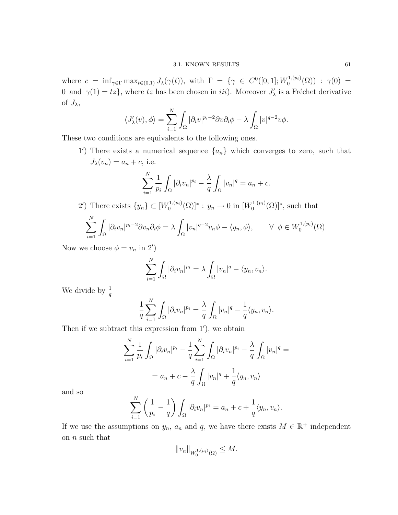where  $c = \inf_{\gamma \in \Gamma} \max_{t \in (0,1)} J_{\lambda}(\gamma(t))$ , with  $\Gamma = \{ \gamma \in C^0([0,1]; W_0^{1,(p_i)} \}$  $\gamma^{1,(p_i)}_{0}(\Omega))$  :  $\gamma(0)$  = 0 and  $\gamma(1) = tz$ , where tz has been chosen in *iii*). Moreover  $J'_{\lambda}$  is a Fréchet derivative of  $J_{\lambda}$ ,

$$
\langle J'_{\lambda}(v), \phi \rangle = \sum_{i=1}^{N} \int_{\Omega} |\partial_i v|^{p_i - 2} \partial v \partial_i \phi - \lambda \int_{\Omega} |v|^{q - 2} v \phi.
$$

These two conditions are equivalents to the following ones.

1') There exists a numerical sequence  $\{a_n\}$  which converges to zero, such that  $J_{\lambda}(v_n) = a_n + c$ , i.e.

$$
\sum_{i=1}^{N} \frac{1}{p_i} \int_{\Omega} |\partial_i v_n|^{p_i} - \frac{\lambda}{q} \int_{\Omega} |v_n|^q = a_n + c.
$$

2') There exists  $\{y_n\} \subset [W_0^{1,(p_i)}]$  $y_0^{(1,(p_i)}(\Omega)]^*$ :  $y_n \to 0$  in  $[W_0^{(1,(p_i))}]$  $\mathcal{O}_0^{1,(p_i)}(\Omega)$ <sup>\*</sup>, such that  $\mathbf{v}$ 

$$
\sum_{i=1}^N \int_{\Omega} |\partial_i v_n|^{p_i-2} \partial v_n \partial_i \phi = \lambda \int_{\Omega} |v_n|^{q-2} v_n \phi - \langle y_n, \phi \rangle, \qquad \forall \ \phi \in W_0^{1,(p_i)}(\Omega).
$$

Now we choose  $\phi = v_n$  in 2')

$$
\sum_{i=1}^N \int_{\Omega} |\partial_i v_n|^{p_i} = \lambda \int_{\Omega} |v_n|^q - \langle y_n, v_n \rangle.
$$

We divide by  $\frac{1}{q}$ 

$$
\frac{1}{q}\sum_{i=1}^N\int_{\Omega}|\partial_i v_n|^{p_i}=\frac{\lambda}{q}\int_{\Omega}|v_n|^q-\frac{1}{q}\langle y_n,v_n\rangle.
$$

Then if we subtract this expression from  $1'$ ), we obtain

$$
\sum_{i=1}^{N} \frac{1}{p_i} \int_{\Omega} |\partial_i v_n|^{p_i} - \frac{1}{q} \sum_{i=1}^{N} \int_{\Omega} |\partial_i v_n|^{p_i} - \frac{\lambda}{q} \int_{\Omega} |v_n|^q =
$$

$$
= a_n + c - \frac{\lambda}{q} \int_{\Omega} |v_n|^q + \frac{1}{q} \langle y_n, v_n \rangle
$$

and so

$$
\sum_{i=1}^N \left(\frac{1}{p_i} - \frac{1}{q}\right) \int_{\Omega} |\partial_i v_n|^{p_i} = a_n + c + \frac{1}{q} \langle y_n, v_n \rangle.
$$

If we use the assumptions on  $y_n$ ,  $a_n$  and q, we have there exists  $M \in \mathbb{R}^+$  independent on n such that

$$
||v_n||_{W_0^{1,(p_i)}(\Omega)} \leq M.
$$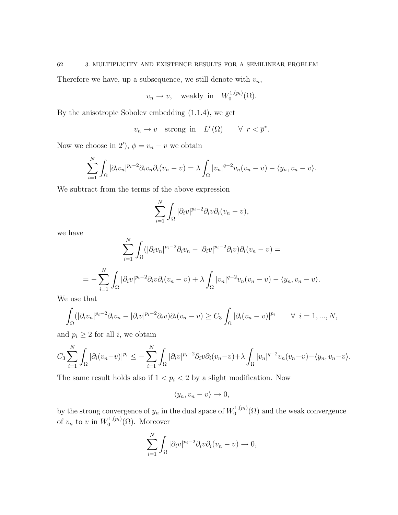Therefore we have, up a subsequence, we still denote with  $v_n$ ,

$$
v_n \to v
$$
, weakly in  $W_0^{1,(p_i)}(\Omega)$ .

By the anisotropic Sobolev embedding (1.1.4), we get

$$
v_n \to v
$$
 strong in  $L^r(\Omega)$   $\forall r < \overline{p}^*$ .

Now we choose in 2'),  $\phi = v_n - v$  we obtain

$$
\sum_{i=1}^N \int_{\Omega} |\partial_i v_n|^{p_i-2} \partial_i v_n \partial_i (v_n - v) = \lambda \int_{\Omega} |v_n|^{q-2} v_n (v_n - v) - \langle y_n, v_n - v \rangle.
$$

We subtract from the terms of the above expression

$$
\sum_{i=1}^N \int_{\Omega} |\partial_i v|^{p_i-2} \partial_i v \partial_i (v_n - v),
$$

we have

$$
\sum_{i=1}^{N} \int_{\Omega} (|\partial_i v_n|^{p_i-2} \partial_i v_n - |\partial_i v|^{p_i-2} \partial_i v) \partial_i (v_n - v) =
$$
  
= 
$$
-\sum_{i=1}^{N} \int_{\Omega} |\partial_i v|^{p_i-2} \partial_i v \partial_i (v_n - v) + \lambda \int_{\Omega} |v_n|^{q-2} v_n (v_n - v) - \langle y_n, v_n - v \rangle.
$$

We use that

$$
\int_{\Omega} (|\partial_i v_n|^{p_i-2} \partial_i v_n - |\partial_i v|^{p_i-2} \partial_i v) \partial_i (v_n - v) \geq C_3 \int_{\Omega} |\partial_i (v_n - v)|^{p_i} \qquad \forall \ i = 1, ..., N,
$$

and  $p_i \geq 2$  for all *i*, we obtain

$$
C_3 \sum_{i=1}^N \int_{\Omega} |\partial_i (v_n - v)|^{p_i} \leq - \sum_{i=1}^N \int_{\Omega} |\partial_i v|^{p_i - 2} \partial_i v \partial_i (v_n - v) + \lambda \int_{\Omega} |v_n|^{q - 2} v_n (v_n - v) - \langle y_n, v_n - v \rangle.
$$

The same result holds also if  $1 < p_i < 2$  by a slight modification. Now

$$
\langle y_n, v_n - v \rangle \to 0,
$$

by the strong convergence of  $y_n$  in the dual space of  $W_0^{1,(p_i)}$  $\binom{1}{0}$  ( $\Omega$ ) and the weak convergence of  $v_n$  to v in  $W_0^{1,(p_i)}$  $\mathcal{O}_0^{1,(p_i)}(\Omega)$ . Moreover

$$
\sum_{i=1}^N \int_{\Omega} |\partial_i v|^{p_i - 2} \partial_i v \partial_i (v_n - v) \to 0,
$$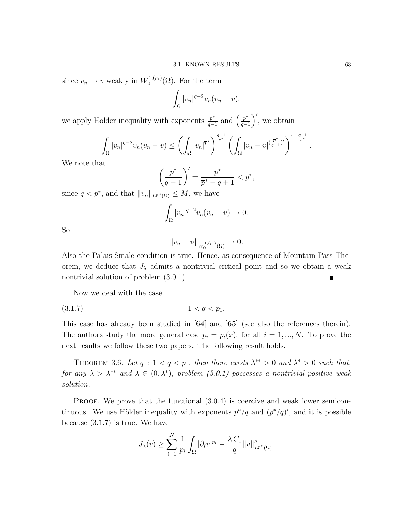since  $v_n \to v$  weakly in  $W_0^{1,(p_i)}$  $\mathcal{O}_0^{(1,(p_i)}(\Omega)$ . For the term

$$
\int_{\Omega} |v_n|^{q-2} v_n (v_n - v),
$$

we apply Hölder inequality with exponents  $\frac{\bar{p}^*}{q-1}$  $\frac{\overline{p}^*}{q-1}$  and  $\left(\frac{\overline{p}^*}{q-1}\right)$  $\left(\frac{\bar{p}^*}{q-1}\right)'$ , we obtain

$$
\int_{\Omega} |v_n|^{q-2} v_n(v_n - v) \le \left(\int_{\Omega} |v_n|^{p^*}\right)^{\frac{q-1}{p^*}} \left(\int_{\Omega} |v_n - v|^{(\frac{p^*}{q-1})'}\right)^{1-\frac{q-1}{p^*}}.
$$

We note that

$$
\left(\frac{\overline{p}^*}{q-1}\right)' = \frac{\overline{p}^*}{\overline{p}^* - q + 1} < \overline{p}^*,
$$

since  $q < \overline{p}^*$ , and that  $||v_n||_{L^{\overline{p}^*}(\Omega)} \leq M$ , we have

$$
\int_{\Omega} |v_n|^{q-2} v_n(v_n - v) \to 0.
$$

So

$$
||v_n - v||_{W_0^{1,(p_i)}(\Omega)} \to 0.
$$

Also the Palais-Smale condition is true. Hence, as consequence of Mountain-Pass Theorem, we deduce that  $J_{\lambda}$  admits a nontrivial critical point and so we obtain a weak nontrivial solution of problem (3.0.1).

Now we deal with the case

$$
(3.1.7) \t\t 1 < q < p1.
$$

This case has already been studied in [64] and [65] (see also the references therein). The authors study the more general case  $p_i = p_i(x)$ , for all  $i = 1, ..., N$ . To prove the next results we follow these two papers. The following result holds.

THEOREM 3.6. Let  $q: 1 < q < p_1$ , then there exists  $\lambda^{**} > 0$  and  $\lambda^{*} > 0$  such that, for any  $\lambda > \lambda^{**}$  and  $\lambda \in (0, \lambda^*)$ , problem (3.0.1) possesses a nontrivial positive weak solution.

PROOF. We prove that the functional  $(3.0.4)$  is coercive and weak lower semicontinuous. We use Hölder inequality with exponents  $\bar{p}^*/q$  and  $(\bar{p}^*/q)'$ , and it is possible because (3.1.7) is true. We have

$$
J_{\lambda}(v) \geq \sum_{i=1}^{N} \frac{1}{p_i} \int_{\Omega} |\partial_i v|^{p_i} - \frac{\lambda C_0}{q} ||v||_{L^{\overline{p}^*}(\Omega)}^q.
$$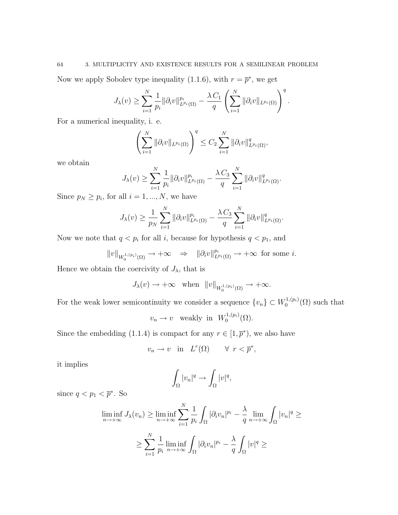## 64 3. MULTIPLICITY AND EXISTENCE RESULTS FOR A SEMILINEAR PROBLEM

Now we apply Sobolev type inequality (1.1.6), with  $r = \bar{p}^*$ , we get

$$
J_{\lambda}(v) \geq \sum_{i=1}^{N} \frac{1}{p_i} \|\partial_i v\|_{L^{p_i}(\Omega)}^{p_i} - \frac{\lambda \, C_1}{q} \left(\sum_{i=1}^{N} \|\partial_i v\|_{L^{p_i}(\Omega)}\right)^{q}.
$$

For a numerical inequality, i. e.

$$
\left(\sum_{i=1}^N \|\partial_i v\|_{L^{p_i}(\Omega)}\right)^q \leq C_2 \sum_{i=1}^N \|\partial_i v\|_{L^{p_i}(\Omega)}^q,
$$

we obtain

$$
J_{\lambda}(v) \geq \sum_{i=1}^{N} \frac{1}{p_i} \|\partial_i v\|_{L^{p_i}(\Omega)}^{p_i} - \frac{\lambda C_3}{q} \sum_{i=1}^{N} \|\partial_i v\|_{L^{p_i}(\Omega)}^q.
$$

Since  $p_N \geq p_i$ , for all  $i = 1, ..., N$ , we have

$$
J_{\lambda}(v) \geq \frac{1}{p_N} \sum_{i=1}^N \|\partial_i v\|_{L^{p_i}(\Omega)}^{p_i} - \frac{\lambda C_3}{q} \sum_{i=1}^N \|\partial_i v\|_{L^{p_i}(\Omega)}^q.
$$

Now we note that  $q < p_i$  for all i, because for hypothesis  $q < p_1$ , and

$$
||v||_{W_0^{1,(p_i)}(\Omega)} \to +\infty \quad \Rightarrow \quad ||\partial_i v||_{L^{p_i}(\Omega)}^{p_i} \to +\infty \text{ for some } i.
$$

Hence we obtain the coercivity of  $J_{\lambda}$ , that is

$$
J_{\lambda}(v) \to +\infty \text{ when } ||v||_{W_0^{1,(p_i)}(\Omega)} \to +\infty.
$$

For the weak lower semicontinuity we consider a sequence  $\{v_n\} \subset W_0^{1,(p_i)}$  $\mathcal{O}^{(1,(p_i)}(\Omega)$  such that

$$
v_n \to v
$$
 weakly in  $W_0^{1,(p_i)}(\Omega)$ .

Since the embedding (1.1.4) is compact for any  $r \in [1, \bar{p}^*),$  we also have

$$
v_n \to v \quad \text{in} \quad L^r(\Omega) \qquad \forall \ r < \overline{p}^*,
$$

it implies

$$
\int_{\Omega} |v_n|^q \to \int_{\Omega} |v|^q,
$$

since  $q < p_1 < \overline{p}^*$ . So

$$
\liminf_{n \to +\infty} J_{\lambda}(v_n) \ge \liminf_{n \to +\infty} \sum_{i=1}^N \frac{1}{p_i} \int_{\Omega} |\partial_i v_n|^{p_i} - \frac{\lambda}{q} \lim_{n \to +\infty} \int_{\Omega} |v_n|^q \ge
$$

$$
\ge \sum_{i=1}^N \frac{1}{p_i} \liminf_{n \to +\infty} \int_{\Omega} |\partial_i v_n|^{p_i} - \frac{\lambda}{q} \int_{\Omega} |v|^q \ge
$$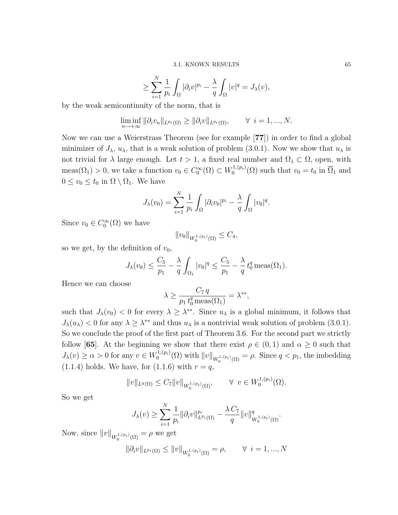$$
\geq \sum_{i=1}^N \frac{1}{p_i} \int_{\Omega} |\partial_i v|^{p_i} - \frac{\lambda}{q} \int_{\Omega} |v|^q = J_{\lambda}(v),
$$

by the weak semicontinuity of the norm, that is

$$
\liminf_{n \to +\infty} \|\partial_i v_n\|_{L^{p_i}(\Omega)} \ge \|\partial_i v\|_{L^{p_i}(\Omega)}, \qquad \forall \ i = 1, ..., N.
$$

Now we can use a Weierstrass Theorem (see for example [77]) in order to find a global minimizer of  $J_{\lambda}$ ,  $u_{\lambda}$ , that is a weak solution of problem (3.0.1). Now we show that  $u_{\lambda}$  is not trivial for  $\lambda$  large enough. Let  $t > 1$ , a fixed real number and  $\Omega_1 \subset \Omega$ , open, with meas( $\Omega_1$ ) > 0, we take a function  $v_0 \in C_0^{\infty}(\Omega) \subset W_0^{1,(p_i)}$  $v_0^{1,(p_i)}(\Omega)$  such that  $v_0 = t_0$  in  $\overline{\Omega}_1$  and  $0 \le v_0 \le t_0$  in  $\Omega \setminus \Omega_1$ . We have

$$
J_{\lambda}(v_0) = \sum_{i=1}^N \frac{1}{p_i} \int_{\Omega} |\partial_i v_0|^{p_i} - \frac{\lambda}{q} \int_{\Omega} |v_0|^q.
$$

Since  $v_0 \in C_0^{\infty}(\Omega)$  we have

$$
||v_0||_{W_0^{1,(p_i)}(\Omega)} \leq C_4,
$$

so we get, by the definition of  $v_0$ ,

$$
J_{\lambda}(v_0) \leq \frac{C_5}{p_1} - \frac{\lambda}{q} \int_{\Omega_1} |v_0|^q \leq \frac{C_5}{p_1} - \frac{\lambda}{q} t_0^q \operatorname{meas}(\Omega_1).
$$

Hence we can choose

$$
\lambda \ge \frac{C_7 q}{p_1 t_0^q \operatorname{meas}(\Omega_1)} = \lambda^{**},
$$

such that  $J_{\lambda}(v_0) < 0$  for every  $\lambda \geq \lambda^{**}$ . Since  $u_{\lambda}$  is a global minimum, it follows that  $J_{\lambda}(u_{\lambda})$  < 0 for any  $\lambda \geq \lambda^{**}$  and thus  $u_{\lambda}$  is a nontrivial weak solution of problem (3.0.1). So we conclude the proof of the first part of Theorem 3.6. For the second part we strictly follow [65]. At the beginning we show that there exist  $\rho \in (0,1)$  and  $\alpha \geq 0$  such that  $J_{\lambda}(v) \geq \alpha > 0$  for any  $v \in W_0^{1,(p_i)}$  $\int_0^{1,(p_i)} (\Omega)$  with  $||v||_{W_0^{1,(p_i)}(\Omega)} = \rho$ . Since  $q < p_1$ , the imbedding  $(1.1.4)$  holds. We have, for  $(1.1.6)$  with  $r = q$ ,

$$
||v||_{L^{q}(\Omega)} \leq C_7 ||v||_{W_0^{1,(p_i)}(\Omega)}, \qquad \forall \ v \in W_0^{1,(p_i)}(\Omega).
$$

So we get

$$
J_{\lambda}(v) \geq \sum_{i=1}^{N} \frac{1}{p_i} \|\partial_i v\|_{L^{p_i}(\Omega)}^{p_i} - \frac{\lambda C_7}{q} \|v\|_{W_0^{1,(p_i)}(\Omega)}^q.
$$

Now, since  $||v||_{W_0^{1,(p_i)}(\Omega)} = \rho$  we get

$$
\|\partial_i v\|_{L^{p_i}(\Omega)}\leq \|v\|_{W_0^{1,(p_i)}(\Omega)}=\rho, \qquad \forall \ i=1,...,N
$$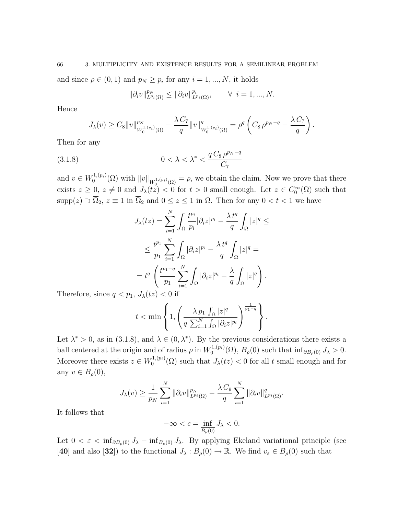and since  $\rho \in (0, 1)$  and  $p_N \geq p_i$  for any  $i = 1, ..., N$ , it holds

$$
\|\partial_i v\|_{L^{p_i}(\Omega)}^{p_N} \le \|\partial_i v\|_{L^{p_i}(\Omega)}^{p_i}, \qquad \forall \ i = 1, ..., N.
$$

Hence

$$
J_{\lambda}(v) \geq C_8 \|v\|_{W_0^{1,(p_i)}(\Omega)}^{p_N} - \frac{\lambda C_7}{q} \|v\|_{W_0^{1,(p_i)}(\Omega)}^q = \rho^q \left( C_8 \rho^{p_N-q} - \frac{\lambda C_7}{q} \right).
$$

Then for any

(3.1.8) 
$$
0 < \lambda < \lambda^* < \frac{q \, C_8 \, \rho^{p_N - q}}{C_7}
$$

and  $v \in W_0^{1,(p_i)}$  $\mathbb{Q}_0^{(1,(p_i)}(\Omega)$  with  $||v||_{W_0^{1,(p_i)}(\Omega)} = \rho$ , we obtain the claim. Now we prove that there exists  $z \geq 0$ ,  $z \neq 0$  and  $J_{\lambda}(tz) < 0$  for  $t > 0$  small enough. Let  $z \in C_0^{\infty}(\Omega)$  such that  $\text{supp}(z) \supset \overline{\Omega}_2$ ,  $z \equiv 1$  in  $\overline{\Omega}_2$  and  $0 \le z \le 1$  in  $\Omega$ . Then for any  $0 < t < 1$  we have

$$
J_{\lambda}(tz) = \sum_{i=1}^{N} \int_{\Omega} \frac{t^{p_i}}{p_i} |\partial_i z|^{p_i} - \frac{\lambda t^q}{q} \int_{\Omega} |z|^q \le
$$
  

$$
\leq \frac{t^{p_1}}{p_1} \sum_{i=1}^{N} \int_{\Omega} |\partial_i z|^{p_i} - \frac{\lambda t^q}{q} \int_{\Omega} |z|^q =
$$
  

$$
= t^q \left( \frac{t^{p_1-q}}{p_1} \sum_{i=1}^{N} \int_{\Omega} |\partial_i z|^{p_i} - \frac{\lambda}{q} \int_{\Omega} |z|^q \right).
$$
  

$$
J_{\lambda}(tz) < \Omega
$$
 if

Therefore, since  $q < p_1, J_\lambda(tz) < 0$  if

$$
t < \min\left\{1, \left(\frac{\lambda p_1 \int_{\Omega} |z|^q}{q \sum_{i=1}^N \int_{\Omega} |\partial_i z|^{p_i}}\right)^{\frac{1}{p_1-q}}\right\}.
$$

Let  $\lambda^* > 0$ , as in (3.1.8), and  $\lambda \in (0, \lambda^*)$ . By the previous considerations there exists a ball centered at the origin and of radius  $\rho$  in  $W_0^{1,(p_i)}$  $\int_0^{1,(p_i)} (\Omega)$ ,  $B_\rho(0)$  such that  $\inf_{\partial B_\rho(0)} J_\lambda > 0$ . Moreover there exists  $z \in W_0^{1,(p_i)}$  $\int_0^{1,(p_i)} (\Omega)$  such that  $J_\lambda(tz) < 0$  for all t small enough and for any  $v \in B_{\rho}(0)$ ,

$$
J_{\lambda}(v) \geq \frac{1}{p_N} \sum_{i=1}^N \|\partial_i v\|_{L^{p_i}(\Omega)}^{p_N} - \frac{\lambda C_9}{q} \sum_{i=1}^N \|\partial_i v\|_{L^{p_i}(\Omega)}^q.
$$

It follows that

$$
-\infty < \underline{c} = \inf_{\overline{B_{\rho}(0)}} J_{\lambda} < 0.
$$

Let  $0 < \varepsilon < \inf_{\partial B_{\rho}(0)} J_{\lambda} - \inf_{B_{\rho}(0)} J_{\lambda}$ . By applying Ekeland variational principle (see [40] and also [32]) to the functional  $J_{\lambda} : \overline{B_{\rho}(0)} \to \mathbb{R}$ . We find  $v_{\varepsilon} \in \overline{B_{\rho}(0)}$  such that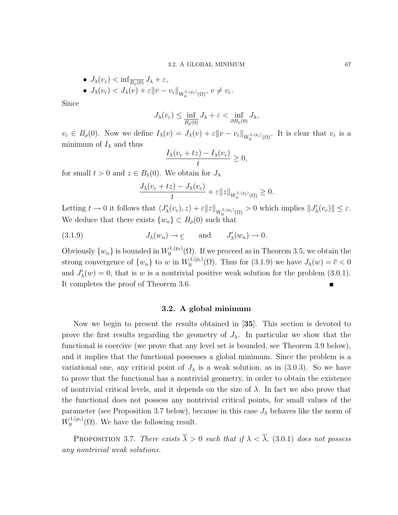\n- \n
$$
J_{\lambda}(v_{\varepsilon}) < \inf_{\overline{B_{\rho}(0)}} J_{\lambda} + \varepsilon,
$$
\n
\n- \n
$$
J_{\lambda}(v_{\varepsilon}) < J_{\lambda}(v) + \varepsilon \|v - v_{\varepsilon}\|_{W_0^{1,(p_i)}(\Omega)}, \ v \neq v_{\varepsilon}.
$$
\n
\n

Since

$$
J_{\lambda}(v_{\varepsilon}) \leq \inf_{\overline{B_{\rho}(0)}} J_{\lambda} + \varepsilon < \inf_{\partial B_{\rho}(0)} J_{\lambda},
$$

 $v_{\varepsilon} \in B_{\rho}(0)$ . Now we define  $I_{\lambda}(v) = J_{\lambda}(v) + \varepsilon \|v - v_{\varepsilon}\|_{W_{0}^{1,(p_{i})}(\Omega)}$ . It is clear that  $v_{\varepsilon}$  is a minimum of  $I_{\lambda}$  and thus

$$
\frac{I_{\lambda}(v_{\varepsilon}+tz)-I_{\lambda}(v_{\varepsilon})}{t}\geq 0,
$$

for small  $t > 0$  and  $z \in B_1(0)$ . We obtain for  $J_\lambda$ 

$$
\frac{J_{\lambda}(v_{\varepsilon}+tz)-J_{\lambda}(v_{\varepsilon})}{t}+\varepsilon||z||_{W_{0}^{1,(p_{i})}(\Omega)}\geq 0.
$$

Letting  $t \to 0$  it follows that  $\langle J'_{\lambda}(v_{\varepsilon}), z \rangle + \varepsilon ||z||_{W_0^{1,(p_i)}(\Omega)} > 0$  which implies  $||J'_{\lambda}(v_{\varepsilon})|| \leq \varepsilon$ . We deduce that there exists  $\{w_n\} \subset B_\rho(0)$  such that

(3.1.9) 
$$
J_{\lambda}(w_n) \to \underline{c}
$$
 and  $J'_{\lambda}(w_n) \to 0$ .

Obviously  $\{w_n\}$  is bounded in  $W_0^{1,(p_i)}$  $0^{(1,(p_i)}(\Omega)$ . If we proceed as in Theorem 3.5, we obtain the strong convergence of  $\{w_n\}$  to w in  $W_0^{1,(p_i)}$  $J_0^{(1,(p_i)}(\Omega)$ . Thus for  $(3.1.9)$  we have  $J_{\lambda}(w) = \overline{c} < 0$ and  $J'_{\lambda}(w) = 0$ , that is w is a nontrivial positive weak solution for the problem (3.0.1). It completes the proof of Theorem 3.6.

#### 3.2. A global minimum

Now we begin to present the results obtained in [35]. This section is devoted to prove the first results regarding the geometry of  $J_{\lambda}$ . In particular we show that the functional is coercive (we prove that any level set is bounded, see Theorem 3.9 below), and it implies that the functional possesses a global minimum. Since the problem is a variational one, any critical point of  $J_{\lambda}$  is a weak solution, as in (3.0.3). So we have to prove that the functional has a nontrivial geometry, in order to obtain the existence of nontrivial critical levels, and it depends on the size of  $\lambda$ . In fact we also prove that the functional does not possess any nontrivial critical points, for small values of the parameter (see Proposition 3.7 below), because in this case  $J_{\lambda}$  behaves like the norm of  $W_0^{1,(p_i)}$  $\mathcal{O}_0^{1,(p_i)}(\Omega)$ . We have the following result.

PROPOSITION 3.7. There exists  $\overline{\lambda} > 0$  such that if  $\lambda < \overline{\lambda}$ , (3.0.1) does not possess any nontrivial weak solutions.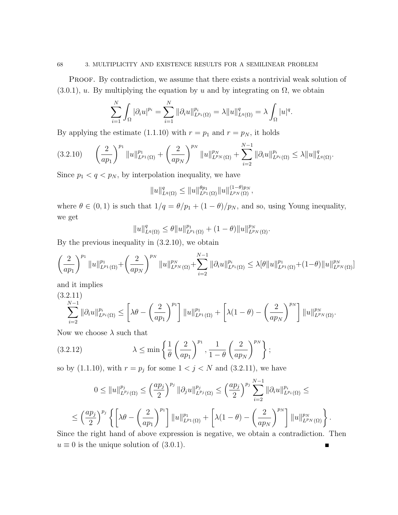PROOF. By contradiction, we assume that there exists a nontrivial weak solution of  $(3.0.1)$ , u. By multiplying the equation by u and by integrating on  $\Omega$ , we obtain

$$
\sum_{i=1}^N \int_{\Omega} |\partial_i u|^{p_i} = \sum_{i=1}^N \|\partial_i u\|_{L^{p_i}(\Omega)}^{p_i} = \lambda \|u\|_{L^q(\Omega)}^q = \lambda \int_{\Omega} |u|^q.
$$

By applying the estimate (1.1.10) with  $r = p_1$  and  $r = p_N$ , it holds

$$
(3.2.10) \qquad \left(\frac{2}{ap_1}\right)^{p_1} \|u\|_{L^{p_1}(\Omega)}^{p_1} + \left(\frac{2}{ap_N}\right)^{p_N} \|u\|_{L^{p_N}(\Omega)}^{p_N} + \sum_{i=2}^{N-1} \|\partial_i u\|_{L^{p_i}(\Omega)}^{p_i} \le \lambda \|u\|_{L^q(\Omega)}^q.
$$

Since  $p_1 < q < p_N$ , by interpolation inequality, we have

$$
||u||_{L^q(\Omega)}^q \le ||u||_{L^{p_1}(\Omega)}^{\theta p_1} ||u||_{L^{p_N}(\Omega)}^{(1-\theta)p_N},
$$

where  $\theta \in (0,1)$  is such that  $1/q = \theta/p_1 + (1-\theta)/p_N$ , and so, using Young inequality, we get

$$
||u||_{L^q(\Omega)}^q \leq \theta ||u||_{L^{p_1}(\Omega)}^{p_1} + (1-\theta)||u||_{L^{p_N}(\Omega)}^{p_N}.
$$

By the previous inequality in (3.2.10), we obtain

$$
\left(\frac{2}{ap_1}\right)^{p_1} \|u\|_{L^{p_1}(\Omega)}^{p_1} + \left(\frac{2}{ap_N}\right)^{p_N} \|u\|_{L^{p_N}(\Omega)}^{p_N} + \sum_{i=2}^{N-1} \|\partial_i u\|_{L^{p_i}(\Omega)}^{p_i} \leq \lambda [\theta \|u\|_{L^{p_1}(\Omega)}^{p_1} + (1-\theta) \|u\|_{L^{p_N}(\Omega)}^{p_N}].
$$

and it implies

$$
(3.2.11)
$$
  

$$
\sum_{i=2}^{N-1} \|\partial_i u\|_{L^{p_i}(\Omega)}^{p_i} \le \left[\lambda \theta - \left(\frac{2}{ap_1}\right)^{p_1}\right] \|u\|_{L^{p_1}(\Omega)}^{p_1} + \left[\lambda (1-\theta) - \left(\frac{2}{ap_N}\right)^{p_N}\right] \|u\|_{L^{p_N}(\Omega)}^{p_N}.
$$

Now we choose  $\lambda$  such that

$$
(3.2.12) \qquad \lambda \le \min\left\{\frac{1}{\theta}\left(\frac{2}{ap_1}\right)^{p_1}, \frac{1}{1-\theta}\left(\frac{2}{ap_N}\right)^{p_N}\right\};
$$

so by  $(1.1.10)$ , with  $r = p_j$  for some  $1 < j < N$  and  $(3.2.11)$ , we have

$$
0 \leq ||u||_{L^{p_j}(\Omega)}^{p_j} \leq \left(\frac{ap_j}{2}\right)^{p_j} ||\partial_j u||_{L^{p_j}(\Omega)}^{p_j} \leq \left(\frac{ap_j}{2}\right)^{p_j} \sum_{i=2}^{N-1} ||\partial_i u||_{L^{p_i}(\Omega)}^{p_i} \leq
$$
  

$$
\leq \left(\frac{ap_j}{2}\right)^{p_j} \left\{ \left[\lambda \theta - \left(\frac{2}{ap_1}\right)^{p_1}\right] ||u||_{L^{p_1}(\Omega)}^{p_1} + \left[\lambda (1-\theta) - \left(\frac{2}{ap_N}\right)^{p_N}\right] ||u||_{L^{p_N}(\Omega)}^{p_N} \right\}.
$$

Since the right hand of above expression is negative, we obtain a contradiction. Then  $u \equiv 0$  is the unique solution of (3.0.1).  $\blacksquare$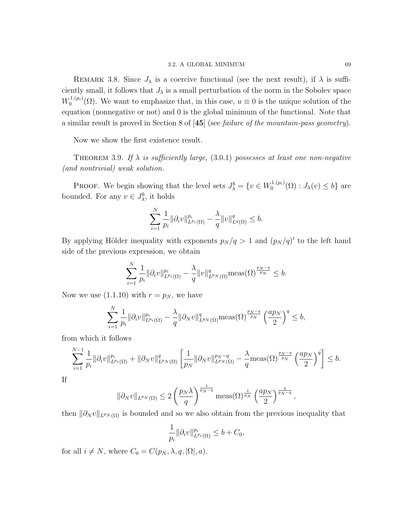REMARK 3.8. Since  $J_{\lambda}$  is a coercive functional (see the next result), if  $\lambda$  is sufficiently small, it follows that  $J_{\lambda}$  is a small perturbation of the norm in the Sobolev space  $W_0^{1,(p_i)}$  $(0, \ldots, 0)$ . We want to emphasize that, in this case,  $u \equiv 0$  is the unique solution of the equation (nonnegative or not) and 0 is the global minimum of the functional. Note that a similar result is proved in Section 8 of [45] (see failure of the mountain-pass geometry).

Now we show the first existence result.

THEOREM 3.9. If  $\lambda$  is sufficiently large, (3.0.1) possesses at least one non-negative (and nontrivial) weak solution.

**PROOF.** We begin showing that the level sets  $J^b_\lambda = \{v \in W_0^{1,(p_i)}\}$  $J_{0}^{1,(p_i)}(\Omega) : J_{\lambda}(v) \leq b$ } are bounded. For any  $v \in J^b_{\lambda}$ , it holds

$$
\sum_{i=1}^{N} \frac{1}{p_i} ||\partial_i v||_{L^{p_i}(\Omega)}^{p_i} - \frac{\lambda}{q} ||v||_{L^q(\Omega)}^q \leq b.
$$

By applying Hölder inequality with exponents  $p_N / q > 1$  and  $(p_N / q)'$  to the left hand side of the previous expression, we obtain

$$
\sum_{i=1}^{N} \frac{1}{p_i} ||\partial_i v||_{L^{p_i}(\Omega)}^{p_i} - \frac{\lambda}{q} ||v||_{L^{p_N}(\Omega)}^q \text{meas}(\Omega)^{\frac{p_N - q}{p_N}} \leq b.
$$

Now we use  $(1.1.10)$  with  $r = p<sub>N</sub>$ , we have

$$
\sum_{i=1}^N \frac{1}{p_i} \|\partial_i v\|_{L^{p_i}(\Omega)}^{p_i} - \frac{\lambda}{q} \|\partial_N v\|_{L^{p_N}(\Omega)}^q \operatorname{meas}(\Omega)^{\frac{p_N-q}{p_N}} \left(\frac{ap_N}{2}\right)^q \leq b,
$$

from which it follows

$$
\sum_{i=1}^{N-1} \frac{1}{p_i} \| \partial_i v \|_{L^{p_i}(\Omega)}^{p_i} + \| \partial_N v \|_{L^{p_N}(\Omega)}^q \left[ \frac{1}{p_N} \| \partial_N v \|_{L^{p_N}(\Omega)}^{p_N - q} - \frac{\lambda}{q} \text{meas}(\Omega)^{\frac{p_N - q}{p_N}} \left( \frac{ap_N}{2} \right)^q \right] \le b.
$$

If

$$
\|\partial_N v\|_{L^{p_N}(\Omega)} \leq 2\left(\frac{p_N\lambda}{q}\right)^{\frac{1}{p_N-q}} \text{meas}(\Omega)^{\frac{1}{p_N}} \left(\frac{ap_N}{2}\right)^{\frac{q}{p_N-q}},
$$

then  $\|\partial_N v\|_{L^{p_N}(\Omega)}$  is bounded and so we also obtain from the previous inequality that

$$
\frac{1}{p_i} \|\partial_i v\|_{L^{p_i}(\Omega)}^{p_i} \le b + C_0,
$$

for all  $i \neq N$ , where  $C_0 = C(p_N, \lambda, q, |\Omega|, a)$ .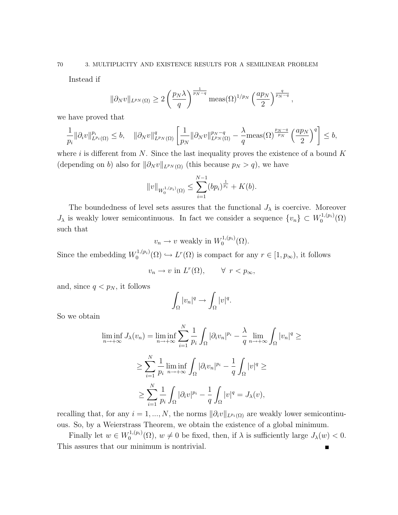Instead if

$$
\|\partial_N v\|_{L^{p_N}(\Omega)} \ge 2\left(\frac{p_N\lambda}{q}\right)^{\frac{1}{p_N-q}} \text{meas}(\Omega)^{1/p_N} \left(\frac{ap_N}{2}\right)^{\frac{q}{p_N-q}},
$$

we have proved that

$$
\frac{1}{p_i} \|\partial_i v\|_{L^{p_i}(\Omega)}^{p_i} \le b, \quad \|\partial_N v\|_{L^{p_N}(\Omega)}^q \left[\frac{1}{p_N} \|\partial_N v\|_{L^{p_N}(\Omega)}^{p_N-q} - \frac{\lambda}{q} \text{meas}(\Omega)^{\frac{p_N-q}{p_N}} \left(\frac{ap_N}{2}\right)^q\right] \le b,
$$

where i is different from N. Since the last inequality proves the existence of a bound  $K$ (depending on b) also for  $\|\partial_N v\|_{L^{p_N}(\Omega)}$  (this because  $p_N > q$ ), we have

$$
||v||_{W_0^{1,(p_i)}(\Omega)} \le \sum_{i=1}^{N-1} (bp_i)^{\frac{1}{p_i}} + K(b).
$$

The boundedness of level sets assures that the functional  $J_{\lambda}$  is coercive. Moreover  $J_{\lambda}$  is weakly lower semicontinuous. In fact we consider a sequence  $\{v_n\} \subset W_0^{1,(p_i)}$  $\mathcal{O}^{(1,(p_i)}(\Omega)$ such that

$$
v_n \to v
$$
 weakly in  $W_0^{1,(p_i)}(\Omega)$ .

Since the embedding  $W_0^{1,(p_i)}$  $U_0^{1,(p_i)}(\Omega) \hookrightarrow L^r(\Omega)$  is compact for any  $r \in [1, p_{\infty}),$  it follows

$$
v_n \to v \text{ in } L^r(\Omega), \qquad \forall \ r < p_\infty,
$$

and, since  $q < p_N$ , it follows

$$
\int_{\Omega} |v_n|^q \to \int_{\Omega} |v|^q.
$$

So we obtain

$$
\liminf_{n \to +\infty} J_{\lambda}(v_n) = \liminf_{n \to +\infty} \sum_{i=1}^{N} \frac{1}{p_i} \int_{\Omega} |\partial_i v_n|^{p_i} - \frac{\lambda}{q} \lim_{n \to +\infty} \int_{\Omega} |v_n|^q \ge
$$
  

$$
\ge \sum_{i=1}^{N} \frac{1}{p_i} \liminf_{n \to +\infty} \int_{\Omega} |\partial_i v_n|^{p_i} - \frac{1}{q} \int_{\Omega} |v|^q \ge
$$
  

$$
\ge \sum_{i=1}^{N} \frac{1}{p_i} \int_{\Omega} |\partial_i v|^{p_i} - \frac{1}{q} \int_{\Omega} |v|^q = J_{\lambda}(v),
$$

recalling that, for any  $i = 1, ..., N$ , the norms  $\|\partial_i v\|_{L^{p_i}(\Omega)}$  are weakly lower semicontinuous. So, by a Weierstrass Theorem, we obtain the existence of a global minimum.

Finally let  $w \in W_0^{1,(p_i)}$  $0^{(1,(p_i)}(0), w \neq 0$  be fixed, then, if  $\lambda$  is sufficiently large  $J_{\lambda}(w) < 0$ . This assures that our minimum is nontrivial. $\blacksquare$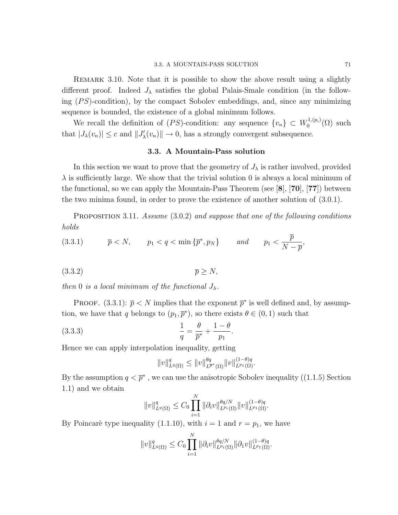Remark 3.10. Note that it is possible to show the above result using a slightly different proof. Indeed  $J_{\lambda}$  satisfies the global Palais-Smale condition (in the following  $(PS)$ -condition), by the compact Sobolev embeddings, and, since any minimizing sequence is bounded, the existence of a global minimum follows.

We recall the definition of  $(PS)$ -condition: any sequence  $\{v_n\} \subset W_0^{1,(p_i)}$  $\binom{1,(p_i)}{0}$  such that  $|J_\lambda(v_n)| \leq c$  and  $||J'_\lambda(v_n)|| \to 0$ , has a strongly convergent subsequence.

#### 3.3. A Mountain-Pass solution

In this section we want to prove that the geometry of  $J_{\lambda}$  is rather involved, provided  $\lambda$  is sufficiently large. We show that the trivial solution 0 is always a local minimum of the functional, so we can apply the Mountain-Pass Theorem (see  $[8]$ ,  $[70]$ ,  $[77]$ ) between the two minima found, in order to prove the existence of another solution of (3.0.1).

PROPOSITION 3.11. Assume (3.0.2) and suppose that one of the following conditions holds

(3.3.1) 
$$
\overline{p} < N
$$
,  $p_1 < q < \min\{\overline{p}^*, p_N\}$  and  $p_1 < \frac{\overline{p}}{N - \overline{p}}$ ,

$$
(3.3.2) \t\t \overline{p} \ge N,
$$

then 0 is a local minimum of the functional  $J_{\lambda}$ .

**PROOF.** (3.3.1):  $\bar{p} < N$  implies that the exponent  $\bar{p}^*$  is well defined and, by assumption, we have that q belongs to  $(p_1, \overline{p}^*)$ , so there exists  $\theta \in (0, 1)$  such that

(3.3.3) 
$$
\frac{1}{q} = \frac{\theta}{\overline{p}^*} + \frac{1-\theta}{p_1}.
$$

Hence we can apply interpolation inequality, getting

$$
||v||_{L^{q}(\Omega)}^{q} \leq ||v||_{L^{\overline{p}^*}(\Omega)}^{\theta q} ||v||_{L^{p_1}(\Omega)}^{(1-\theta)q}.
$$

By the assumption  $q < \overline{p}^*$ , we can use the anisotropic Sobolev inequality ((1.1.5) Section 1.1) and we obtain

$$
||v||_{L^{q}(\Omega)}^{q} \leq C_{0} \prod_{i=1}^{N} ||\partial_{i}v||_{L^{p_{i}}(\Omega)}^{\theta q/N} ||v||_{L^{p_{1}}(\Omega)}^{(1-\theta)q}.
$$

By Poincarè type inequality (1.1.10), with  $i = 1$  and  $r = p_1$ , we have

$$
||v||_{L^{q}(\Omega)}^{q} \leq C_{0} \prod_{i=1}^{N} ||\partial_{i}v||_{L^{p_{i}}(\Omega)}^{\theta q/N} ||\partial_{1}v||_{L^{p_{1}}(\Omega)}^{(1-\theta)q}.
$$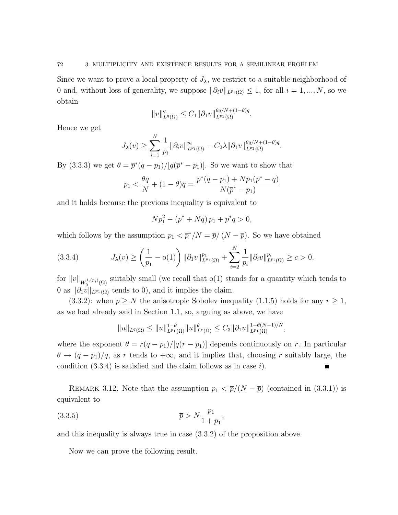Since we want to prove a local property of  $J_{\lambda}$ , we restrict to a suitable neighborhood of 0 and, without loss of generality, we suppose  $\|\partial_i v\|_{L^{p_i}(\Omega)} \leq 1$ , for all  $i = 1, ..., N$ , so we obtain

$$
||v||_{L^{q}(\Omega)}^{q} \leq C_{1} ||\partial_{1}v||_{L^{p_{1}}(\Omega)}^{\theta q/N+(1-\theta)q}.
$$

Hence we get

$$
J_{\lambda}(v) \geq \sum_{i=1}^N \frac{1}{p_i} \|\partial_i v\|_{L^{p_i}(\Omega)}^{p_i} - C_2 \lambda \|\partial_1 v\|_{L^{p_1}(\Omega)}^{\theta q/N + (1-\theta)q}.
$$

By (3.3.3) we get  $\theta = \bar{p}^*(q - p_1)/[q(\bar{p}^* - p_1)]$ . So we want to show that

$$
p_1 < \frac{\theta q}{N} + (1 - \theta)q = \frac{\overline{p}^*(q - p_1) + Np_1(\overline{p}^* - q)}{N(\overline{p}^* - p_1)}
$$

and it holds because the previous inequality is equivalent to

$$
N p_1^2 - (\overline{p}^* + Nq) p_1 + \overline{p}^* q > 0,
$$

which follows by the assumption  $p_1 < \bar{p}^*/N = \bar{p}/(N - \bar{p})$ . So we have obtained

$$
(3.3.4) \t J\lambda(v) \ge \left(\frac{1}{p_1} - o(1)\right) \|\partial_1 v\|_{L^{p_1}(\Omega)}^{p_1} + \sum_{i=2}^N \frac{1}{p_i} \|\partial_i v\|_{L^{p_i}(\Omega)}^{p_i} \ge c > 0,
$$

for  $||v||_{W_0^{1,(p_i)}(\Omega)}$  suitably small (we recall that  $o(1)$  stands for a quantity which tends to 0 as  $\|\partial_1 v\|_{L^{p_1}(\Omega)}$  tends to 0), and it implies the claim.

(3.3.2): when  $\bar{p} \geq N$  the anisotropic Sobolev inequality (1.1.5) holds for any  $r \geq 1$ , as we had already said in Section 1.1, so, arguing as above, we have

$$
||u||_{L^{q}(\Omega)} \leq ||u||_{L^{p_1}(\Omega)}^{1-\theta} ||u||_{L^{r}(\Omega)}^{\theta} \leq C_3 ||\partial_1 u||_{L^{p_1}(\Omega)}^{1-\theta(N-1)/N},
$$

where the exponent  $\theta = r(q - p_1)/[q(r - p_1)]$  depends continuously on r. In particular  $\theta \to (q - p_1)/q$ , as r tends to  $+\infty$ , and it implies that, choosing r suitably large, the condition  $(3.3.4)$  is satisfied and the claim follows as in case i). Г

REMARK 3.12. Note that the assumption  $p_1 < \bar{p}/(N-\bar{p})$  (contained in (3.3.1)) is equivalent to

(3.3.5) 
$$
\overline{p} > N \frac{p_1}{1 + p_1},
$$

and this inequality is always true in case (3.3.2) of the proposition above.

Now we can prove the following result.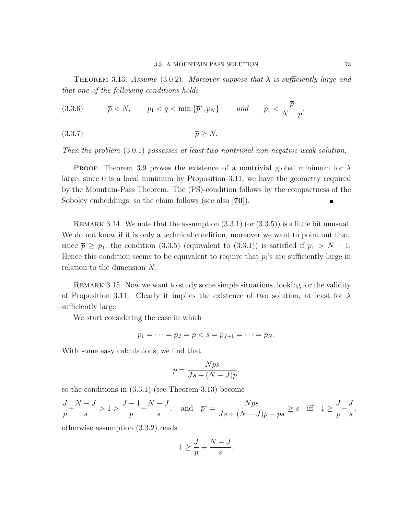THEOREM 3.13. Assume (3.0.2). Moreover suppose that  $\lambda$  is sufficiently large and that one of the following conditions holds

(3.3.6) 
$$
\overline{p} < N
$$
,  $p_1 < q < \min\{\overline{p}^*, p_N\}$  and  $p_1 < \frac{\overline{p}}{N - \overline{p}}$ ,

$$
(3.3.7) \t\t \overline{p} \ge N.
$$

Then the problem  $(3.0.1)$  possesses at least two nontrivial non-negative weak solution.

PROOF. Theorem 3.9 proves the existence of a nontrivial global minimum for  $\lambda$ large; since 0 is a local minimum by Proposition 3.11, we have the geometry required by the Mountain-Pass Theorem. The (PS)-condition follows by the compactness of the Sobolev embeddings, so the claim follows (see also [70]).

REMARK 3.14. We note that the assumption  $(3.3.1)$  (or  $(3.3.5)$ ) is a little bit unusual. We do not know if it is only a technical condition, moreover we want to point out that, since  $\bar{p} \geq p_1$ , the condition (3.3.5) (equivalent to (3.3.1)) is satisfied if  $p_1 > N - 1$ . Hence this condition seems to be equivalent to require that  $p_i$ 's are sufficiently large in relation to the dimension N.

Remark 3.15. Now we want to study some simple situations, looking for the validity of Proposition 3.11. Clearly it implies the existence of two solution, at least for  $\lambda$ sufficiently large.

We start considering the case in which

$$
p_1 = \cdots = p_J = p < s = p_{J+1} = \cdots = p_N.
$$

With some easy calculations, we find that

$$
\overline{p} = \frac{Nps}{Js + (N-J)p},
$$

so the conditions in (3.3.1) (see Theorem 3.13) become

$$
\frac{J}{p} + \frac{N-J}{s} > 1 > \frac{J-1}{p} + \frac{N-J}{s}, \text{ and } \bar{p}^* = \frac{Nps}{Js + (N-J)p - ps} \ge s \text{ iff } 1 \ge \frac{J}{p} - \frac{J}{s},
$$

otherwise assumption (3.3.2) reads

$$
1 \ge \frac{J}{p} + \frac{N-J}{s}.
$$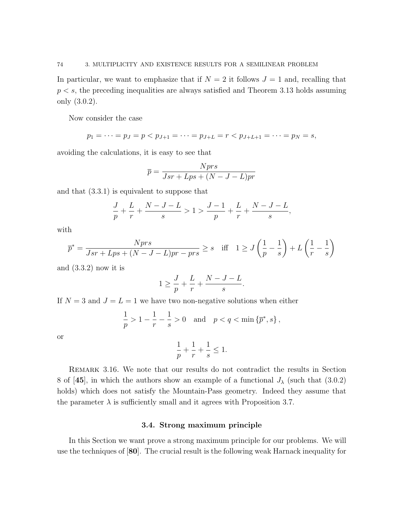In particular, we want to emphasize that if  $N = 2$  it follows  $J = 1$  and, recalling that  $p < s$ , the preceding inequalities are always satisfied and Theorem 3.13 holds assuming only (3.0.2).

Now consider the case

$$
p_1 = \cdots = p_J = p < p_{J+1} = \cdots = p_{J+L} = r < p_{J+L+1} = \cdots = p_N = s,
$$

avoiding the calculations, it is easy to see that

$$
\overline{p} = \frac{Nprs}{Jsr + Lps + (N - J - L)pr}
$$

and that (3.3.1) is equivalent to suppose that

$$
\frac{J}{p}+\frac{L}{r}+\frac{N-J-L}{s}>1>\frac{J-1}{p}+\frac{L}{r}+\frac{N-J-L}{s},
$$

with

$$
\overline{p}^* = \frac{Npr s}{Jsr + Lps + (N - J - L)pr - pr s} \ge s \quad \text{iff} \quad 1 \ge J\left(\frac{1}{p} - \frac{1}{s}\right) + L\left(\frac{1}{r} - \frac{1}{s}\right)
$$

and (3.3.2) now it is

$$
1 \ge \frac{J}{p} + \frac{L}{r} + \frac{N - J - L}{s}.
$$

If  $N = 3$  and  $J = L = 1$  we have two non-negative solutions when either

$$
\frac{1}{p} > 1 - \frac{1}{r} - \frac{1}{s} > 0 \quad \text{and} \quad p < q < \min\left\{\overline{p}^*, s\right\},\,
$$

or

$$
\frac{1}{p} + \frac{1}{r} + \frac{1}{s} \le 1.
$$

Remark 3.16. We note that our results do not contradict the results in Section 8 of [45], in which the authors show an example of a functional  $J_{\lambda}$  (such that (3.0.2) holds) which does not satisfy the Mountain-Pass geometry. Indeed they assume that the parameter  $\lambda$  is sufficiently small and it agrees with Proposition 3.7.

## 3.4. Strong maximum principle

In this Section we want prove a strong maximum principle for our problems. We will use the techniques of [80]. The crucial result is the following weak Harnack inequality for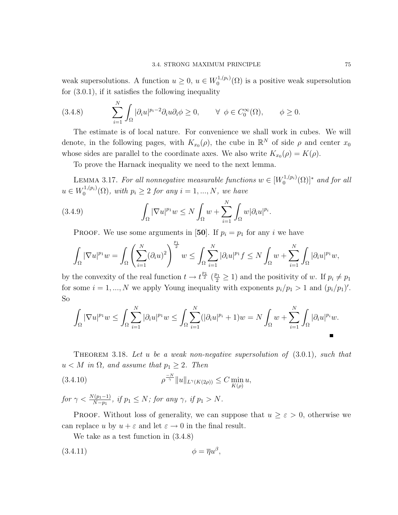weak supersolutions. A function  $u \geq 0$ ,  $u \in W_0^{1,(p_i)}$  $\mathcal{O}_0^{1,(p_i)}(\Omega)$  is a positive weak supersolution for  $(3.0.1)$ , if it satisfies the following inequality

(3.4.8) 
$$
\sum_{i=1}^{N} \int_{\Omega} |\partial_i u|^{p_i - 2} \partial_i u \partial_i \phi \ge 0, \qquad \forall \phi \in C_0^{\infty}(\Omega), \qquad \phi \ge 0.
$$

The estimate is of local nature. For convenience we shall work in cubes. We will denote, in the following pages, with  $K_{x_0}(\rho)$ , the cube in  $\mathbb{R}^N$  of side  $\rho$  and center  $x_0$ whose sides are parallel to the coordinate axes. We also write  $K_{x_0}(\rho) = K(\rho)$ .

To prove the Harnack inequality we need to the next lemma.

LEMMA 3.17. For all nonnegative measurable functions  $w \in [W_0^{1,(p_i)}]$  $\mathcal{O}_0^{1,(p_i)}(\Omega)]^*$  and for all  $u \in W_0^{1,(p_i)}$  $0^{(1,(p_i)}(0), \text{ with } p_i \geq 2 \text{ for any } i = 1, ..., N, \text{ we have}$ 

(3.4.9) 
$$
\int_{\Omega} |\nabla u|^{p_1} w \leq N \int_{\Omega} w + \sum_{i=1}^{N} \int_{\Omega} w |\partial_i u|^{p_i}.
$$

PROOF. We use some arguments in [50]. If  $p_i = p_1$  for any i we have

$$
\int_{\Omega}|\nabla u|^{p_1}w = \int_{\Omega}\left(\sum_{i=1}^N(\partial_iu)^2\right)^{\frac{p_1}{2}}w \leq \int_{\Omega}\sum_{i=1}^N|\partial_iu|^{p_1}f \leq N\int_{\Omega}w + \sum_{i=1}^N\int_{\Omega}|\partial_iu|^{p_1}w,
$$

by the convexity of the real function  $t \to t^{\frac{p_1}{2}}$  ( $\frac{p_1}{2} \ge 1$ ) and the positivity of w. If  $p_i \ne p_1$ for some  $i = 1, ..., N$  we apply Young inequality with exponents  $p_i/p_1 > 1$  and  $(p_i/p_1)'$ . So

$$
\int_{\Omega} |\nabla u|^{p_1} w \leq \int_{\Omega} \sum_{i=1}^N |\partial_i u|^{p_1} w \leq \int_{\Omega} \sum_{i=1}^N (|\partial_i u|^{p_i} + 1) w = N \int_{\Omega} w + \sum_{i=1}^N \int_{\Omega} |\partial_i u|^{p_i} w.
$$

THEOREM 3.18. Let u be a weak non-negative supersolution of  $(3.0.1)$ , such that  $u < M$  in  $\Omega$ , and assume that  $p_1 \geq 2$ . Then

(3.4.10) 
$$
\rho^{\frac{-N}{\gamma}} \|u\|_{L^{\gamma}(K(2\rho))} \leq C \min_{K(\rho)} u,
$$

for  $\gamma < \frac{N(p_1-1)}{N-p_1}$ , if  $p_1 \le N$ ; for any  $\gamma$ , if  $p_1 > N$ .

**PROOF.** Without loss of generality, we can suppose that  $u \geq \varepsilon > 0$ , otherwise we can replace u by  $u + \varepsilon$  and let  $\varepsilon \to 0$  in the final result.

We take as a test function in (3.4.8)

$$
\phi = \overline{\eta}u^{\beta},
$$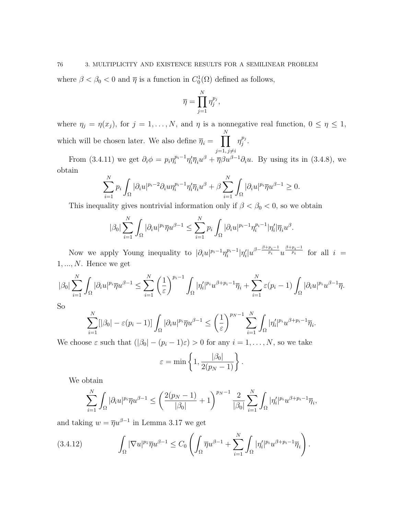where  $\beta < \beta_0 < 0$  and  $\overline{\eta}$  is a function in  $C_0^1(\Omega)$  defined as follows,

$$
\overline{\eta} = \prod_{j=1}^N \eta_j^{p_j},
$$

where  $\eta_j = \eta(x_j)$ , for  $j = 1, ..., N$ , and  $\eta$  is a nonnegative real function,  $0 \leq \eta \leq 1$ , which will be chosen later. We also define  $\overline{\eta}_i = \prod_{j} \eta_j^{p_j}$ N  $\frac{p_j}{j}$  .

 $j=1, j\neq i$ From (3.4.11) we get  $\partial_i \phi = p_i \eta_i^{p_i-1} \eta_i' \overline{\eta}_i u^\beta + \overline{\eta} \beta u^{\beta-1} \partial_i u$ . By using its in (3.4.8), we obtain

$$
\sum_{i=1}^N p_i \int_{\Omega} |\partial_i u|^{p_i-2} \partial_i u \eta_i^{p_i-1} \eta_i' \overline{\eta}_i u^{\beta} + \beta \sum_{i=1}^N \int_{\Omega} |\partial_i u|^{p_i} \overline{\eta} u^{\beta-1} \ge 0.
$$

This inequality gives nontrivial information only if  $\beta < \beta_0 < 0$ , so we obtain

$$
|\beta_0| \sum_{i=1}^N \int_{\Omega} |\partial_i u|^{p_i} \overline{\eta} u^{\beta-1} \leq \sum_{i=1}^N p_i \int_{\Omega} |\partial_i u|^{p_i-1} \eta_i^{p_i-1} |\eta'_i| \overline{\eta}_i u^{\beta}.
$$

Now we apply Young inequality to  $|\partial_i u|^{p_i-1} \eta_i^{p_i-1} |\eta_i'| u^{\beta - \frac{\beta+p_i-1}{p_i}} u^{\frac{\beta+p_i-1}{p_i}}$  for all  $i =$  $1, \ldots, N$ . Hence we get

$$
|\beta_0|\sum_{i=1}^N\int_{\Omega}|\partial_iu|^{p_i}\overline{\eta}u^{\beta-1}\leq \sum_{i=1}^N\left(\frac{1}{\varepsilon}\right)^{p_i-1}\int_{\Omega}|\eta_i'|^{p_i}u^{\beta+p_i-1}\overline{\eta}_i+\sum_{i=1}^N\varepsilon(p_i-1)\int_{\Omega}|\partial_iu|^{p_i}u^{\beta-1}\overline{\eta}.
$$

So

$$
\sum_{i=1}^N [|\beta_0| - \varepsilon (p_i-1)] \int_{\Omega} |\partial_i u|^{p_i} \overline{\eta} u^{\beta-1} \le \left(\frac{1}{\varepsilon}\right)^{p_N-1} \sum_{i=1}^N \int_{\Omega} |\eta'_i|^{p_i} u^{\beta+p_i-1} \overline{\eta}_i.
$$

We choose  $\varepsilon$  such that  $(|\beta_0| - (p_i - 1)\varepsilon) > 0$  for any  $i = 1, ..., N$ , so we take

$$
\varepsilon = \min\left\{1, \frac{|\beta_0|}{2(p_N - 1)}\right\}.
$$

We obtain

$$
\sum_{i=1}^N\int_\Omega |\partial_iu|^{p_i}\overline{\eta}u^{\beta-1}\leq \left(\frac{2(p_N-1)}{|\beta_0|}+1\right)^{p_N-1}\frac{2}{|\beta_0|}\sum_{i=1}^N\int_\Omega |\eta_i'|^{p_i}u^{\beta+p_i-1}\overline{\eta}_i,
$$

and taking  $w = \overline{\eta}u^{\beta-1}$  in Lemma 3.17 we get

$$
(3.4.12) \qquad \int_{\Omega} |\nabla u|^{p_1} \overline{\eta} u^{\beta - 1} \leq C_0 \left( \int_{\Omega} \overline{\eta} u^{\beta - 1} + \sum_{i = 1}^N \int_{\Omega} |\eta'_i|^{p_i} u^{\beta + p_i - 1} \overline{\eta}_i \right).
$$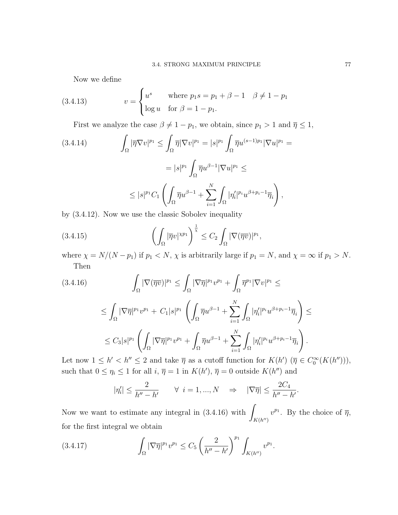Now we define

(3.4.13) 
$$
v = \begin{cases} u^s & \text{where } p_1 s = p_1 + \beta - 1 & \beta \neq 1 - p_1 \\ \log u & \text{for } \beta = 1 - p_1. \end{cases}
$$

First we analyze the case  $\beta \neq 1 - p_1$ , we obtain, since  $p_1 > 1$  and  $\overline{\eta} \leq 1$ ,

$$
(3.4.14) \qquad \int_{\Omega} |\overline{\eta} \nabla v|^{p_1} \leq \int_{\Omega} \overline{\eta} |\nabla v|^{p_1} = |s|^{p_1} \int_{\Omega} \overline{\eta} u^{(s-1)p_1} |\nabla u|^{p_1} =
$$

$$
= |s|^{p_1} \int_{\Omega} \overline{\eta} u^{\beta - 1} |\nabla u|^{p_1} \leq
$$

$$
\leq |s|^{p_1} C_1 \left( \int_{\Omega} \overline{\eta} u^{\beta - 1} + \sum_{i=1}^N \int_{\Omega} |\eta_i'|^{p_i} u^{\beta + p_i - 1} \overline{\eta}_i \right),
$$

by (3.4.12). Now we use the classic Sobolev inequality

(3.4.15) 
$$
\left(\int_{\Omega} |\overline{\eta}v|^{\chi p_1}\right)^{\frac{1}{\chi}} \leq C_2 \int_{\Omega} |\nabla(\overline{\eta v})|^{p_1},
$$

where  $\chi = N/(N - p_1)$  if  $p_1 < N$ ,  $\chi$  is arbitrarily large if  $p_1 = N$ , and  $\chi = \infty$  if  $p_1 > N$ . Then

$$
(3.4.16)\qquad \qquad \int_{\Omega} |\nabla(\overline{\eta v})|^{p_1} \leq \int_{\Omega} |\nabla \overline{\eta}|^{p_1} v^{p_1} + \int_{\Omega} \overline{\eta}^{p_1} |\nabla v|^{p_1} \leq
$$

$$
\leq \int_{\Omega} |\nabla \overline{\eta}|^{p_1} v^{p_1} + C_1 |s|^{p_1} \left( \int_{\Omega} \overline{\eta} u^{\beta - 1} + \sum_{i=1}^N \int_{\Omega} |\eta'_i|^{p_i} u^{\beta + p_i - 1} \overline{\eta}_i \right) \leq
$$
  

$$
\leq C_3 |s|^{p_1} \left( \int_{\Omega} |\nabla \overline{\eta}|^{p_1} v^{p_1} + \int_{\Omega} \overline{\eta} u^{\beta - 1} + \sum_{i=1}^N \int_{\Omega} |\eta'_i|^{p_i} u^{\beta + p_i - 1} \overline{\eta}_i \right).
$$

Let now  $1 \leq h' < h'' \leq 2$  and take  $\bar{\eta}$  as a cutoff function for  $K(h')$   $(\bar{\eta} \in C_0^{\infty}(K(h'')))$ , such that  $0 \leq \eta_i \leq 1$  for all  $i, \overline{\eta} = 1$  in  $K(h'), \overline{\eta} = 0$  outside  $K(h'')$  and

$$
|\eta'_i| \le \frac{2}{h'' - h'}
$$
  $\forall i = 1, ..., N$   $\Rightarrow |\nabla \overline{\eta}| \le \frac{2C_4}{h'' - h'}.$ 

Now we want to estimate any integral in  $(3.4.16)$  with  $K(h'')$  $v^{p_1}$ . By the choice of  $\overline{\eta}$ , for the first integral we obtain

(3.4.17) 
$$
\int_{\Omega} |\nabla \overline{\eta}|^{p_1} v^{p_1} \leq C_5 \left( \frac{2}{h'' - h'} \right)^{p_1} \int_{K(h'')} v^{p_1}.
$$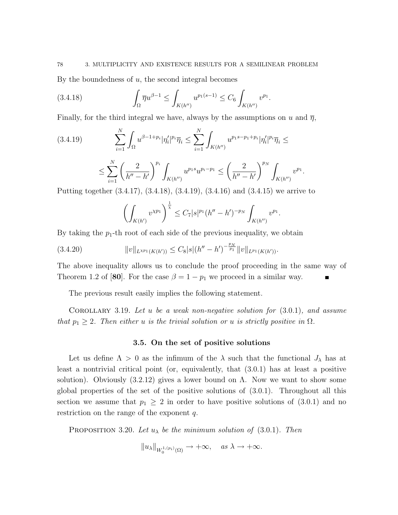By the boundedness of  $u$ , the second integral becomes

$$
(3.4.18) \qquad \qquad \int_{\Omega} \overline{\eta} u^{\beta - 1} \le \int_{K(h'')} u^{p_1(s-1)} \le C_6 \int_{K(h'')} v^{p_1}.
$$

Finally, for the third integral we have, always by the assumptions on u and  $\bar{\eta}$ ,

$$
(3.4.19) \qquad \sum_{i=1}^{N} \int_{\Omega} u^{\beta-1+p_i} |\eta'_i|^{p_i} \overline{\eta}_i \le \sum_{i=1}^{N} \int_{K(h'')} u^{p_1 s - p_1 + p_i} |\eta'_i|^{p_i} \overline{\eta}_i \le
$$

$$
\leq \sum_{i=1}^{N} \left( \frac{2}{h'' - h'} \right)^{p_i} \int_{K(h'')} u^{p_1 s} u^{p_i - p_1} \leq \left( \frac{2}{h'' - h'} \right)^{p_N} \int_{K(h'')} v^{p_1}
$$

.

Putting together (3.4.17), (3.4.18), (3.4.19), (3.4.16) and (3.4.15) we arrive to

$$
\left(\int_{K(h')} v^{\chi p_1}\right)^{\frac{1}{\chi}} \leq C_7 |s|^{p_1} (h'' - h')^{-p_N} \int_{K(h'')} v^{p_1}.
$$

By taking the  $p_1$ -th root of each side of the previous inequality, we obtain

$$
(3.4.20) \t\t ||v||_{L^{Xp_1}(K(h'))} \leq C_8|s|(h''-h')^{-\frac{p_N}{p_1}}||v||_{L^{p_1}(K(h'))}.
$$

The above inequality allows us to conclude the proof proceeding in the same way of Theorem 1.2 of [80]. For the case  $\beta = 1 - p_1$  we proceed in a similar way.

The previous result easily implies the following statement.

COROLLARY 3.19. Let u be a weak non-negative solution for  $(3.0.1)$ , and assume that  $p_1 \geq 2$ . Then either u is the trivial solution or u is strictly positive in  $\Omega$ .

#### 3.5. On the set of positive solutions

Let us define  $\Lambda > 0$  as the infimum of the  $\lambda$  such that the functional  $J_{\lambda}$  has at least a nontrivial critical point (or, equivalently, that (3.0.1) has at least a positive solution). Obviously  $(3.2.12)$  gives a lower bound on  $\Lambda$ . Now we want to show some global properties of the set of the positive solutions of (3.0.1). Throughout all this section we assume that  $p_1 \geq 2$  in order to have positive solutions of  $(3.0.1)$  and no restriction on the range of the exponent  $q$ .

**PROPOSITION** 3.20. Let  $u_{\lambda}$  be the minimum solution of (3.0.1). Then

 $||u_\lambda||_{W_0^{1,(p_i)}(\Omega)} \to +\infty$ , as  $\lambda \to +\infty$ .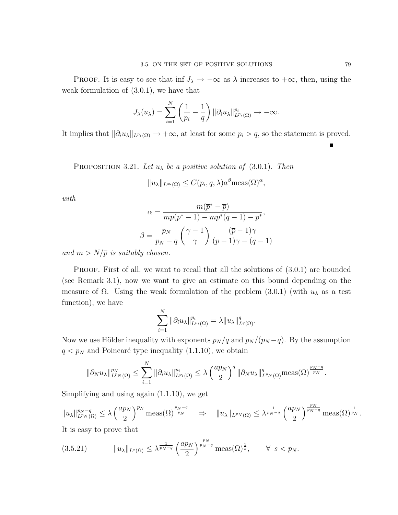PROOF. It is easy to see that inf  $J_{\lambda} \to -\infty$  as  $\lambda$  increases to  $+\infty$ , then, using the weak formulation of (3.0.1), we have that

$$
J_{\lambda}(u_{\lambda}) = \sum_{i=1}^{N} \left(\frac{1}{p_i} - \frac{1}{q}\right) ||\partial_i u_{\lambda}||_{L^{p_i}(\Omega)}^{p_i} \to -\infty.
$$

It implies that  $\|\partial_i u_\lambda\|_{L^{p_i}(\Omega)} \to +\infty$ , at least for some  $p_i > q$ , so the statement is proved.

PROPOSITION 3.21. Let  $u_{\lambda}$  be a positive solution of (3.0.1). Then

$$
||u_{\lambda}||_{L^{\infty}(\Omega)} \leq C(p_i, q, \lambda) a^{\beta} \text{meas}(\Omega)^{\alpha},
$$

with

$$
\alpha = \frac{m(\overline{p}^* - \overline{p})}{m\overline{p}(\overline{p}^* - 1) - m\overline{p}^*(q - 1) - \overline{p}^*},
$$

$$
\beta = \frac{p_N}{p_N - q} \left(\frac{\gamma - 1}{\gamma}\right) \frac{(\overline{p} - 1)\gamma}{(\overline{p} - 1)\gamma - (q - 1)}
$$

and  $m > N/\overline{p}$  is suitably chosen.

PROOF. First of all, we want to recall that all the solutions of  $(3.0.1)$  are bounded (see Remark 3.1), now we want to give an estimate on this bound depending on the measure of  $\Omega$ . Using the weak formulation of the problem (3.0.1) (with  $u_{\lambda}$  as a test function), we have

$$
\sum_{i=1}^N \|\partial_i u_\lambda\|_{L^{p_i}(\Omega)}^{p_i} = \lambda \|u_\lambda\|_{L^q(\Omega)}^q.
$$

Now we use Hölder inequality with exponents  $p_N / q$  and  $p_N / (p_N - q)$ . By the assumption  $q < p<sub>N</sub>$  and Poincaré type inequality (1.1.10), we obtain

$$
\|\partial_N u_\lambda\|_{L^{p_N}(\Omega)}^{p_N} \leq \sum_{i=1}^N \|\partial_i u_\lambda\|_{L^{p_i}(\Omega)}^{p_i} \leq \lambda \left(\frac{ap_N}{2}\right)^q \|\partial_N u_\lambda\|_{L^{p_N}(\Omega)}^q \operatorname{meas}(\Omega)^{\frac{p_N-q}{p_N}}.
$$

Simplifying and using again (1.1.10), we get

 $||u_\lambda||_{L^{p_N}(\Omega)}^{p_N-q}$  $_{L^{p_{N}}(\Omega)}^{p_{N}-q} \leq \lambda \left(\frac{ap_{N}}{2}\right)$ 2  $\int^{p_N} \text{meas}(\Omega)^{\frac{p_N-q}{p_N}} \Rightarrow \|u_\lambda\|_{L^{p_N}(\Omega)} \leq \lambda^{\frac{1}{p_N-q}} \left(\frac{ap_N}{q}\right)$ 2  $\int_{pN-q}^{\frac{p_N}{pN-q}}$  meas $(\Omega)^{\frac{1}{p_N}}$ . It is easy to prove that

$$
(3.5.21) \t\t ||u_{\lambda}||_{L^{s}(\Omega)} \leq \lambda^{\frac{1}{p_N-q}} \left(\frac{ap_N}{2}\right)^{\frac{p_N}{p_N-q}} \text{meas}(\Omega)^{\frac{1}{s}}, \quad \forall s < p_N.
$$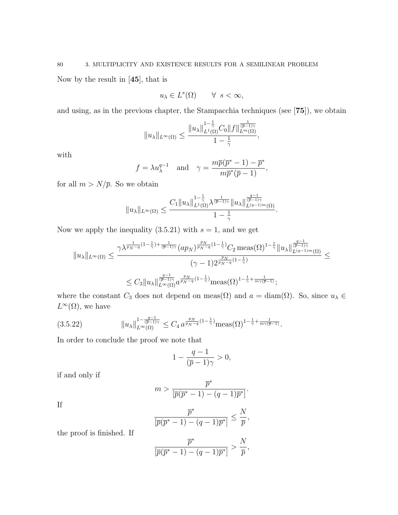Now by the result in [45], that is

$$
u_{\lambda} \in L^{s}(\Omega) \qquad \forall s < \infty,
$$

and using, as in the previous chapter, the Stampacchia techniques (see [75]), we obtain

$$
\|u_\lambda\|_{L^\infty(\Omega)}\leq \frac{\|u_\lambda\|_{L^1(\Omega)}^{1-\frac{1}{\gamma}}C_0\|f\|_{L^m(\Omega)}^{\frac{1}{(\overline{p}-1)\gamma}},}{1-\frac{1}{\gamma}},
$$

with

$$
f = \lambda u_{\lambda}^{q-1}
$$
 and  $\gamma = \frac{m\overline{p}(\overline{p}^* - 1) - \overline{p}^*}{m\overline{p}^*(\overline{p} - 1)},$ 

for all  $m > N/\overline{p}$ . So we obtain

$$
\|u_\lambda\|_{L^\infty(\Omega)}\leq \frac{C_1\|u_\lambda\|_{L^1(\Omega)}^{1-\frac{1}{\gamma}}\lambda^{\frac{1}{(\overline{p}-1)\gamma}}\|u_\lambda\|_{L^{(q-1)m}(\Omega)}^{\frac{q-1}{(\overline{p}-1)\gamma}}}{1-\frac{1}{\gamma}}.
$$

Now we apply the inequality  $(3.5.21)$  with  $s = 1$ , and we get

$$
||u_{\lambda}||_{L^{\infty}(\Omega)} \leq \frac{\gamma \lambda^{\frac{1}{p_N-q}(1-\frac{1}{\gamma})+\frac{1}{(\overline{p}-1)\gamma}} (ap_N)^{\frac{p_N}{p_N-q}(1-\frac{1}{\gamma})}C_2 \operatorname{meas}(\Omega)^{1-\frac{1}{\gamma}}||u_{\lambda}||_{L^{(q-1)m}(\Omega)}^{\frac{q-1}{(\overline{p}-1)\gamma}}}{(\gamma-1)2^{\frac{p_N}{p_N-q}(1-\frac{1}{\gamma})}} \leq
$$
  

$$
\leq C_3 ||u_{\lambda}||_{L^{\infty}(\Omega)}^{\frac{q-1}{(\overline{p}-1)\gamma}} a^{\frac{p_N}{p_N-q}(1-\frac{1}{\gamma})} \operatorname{meas}(\Omega)^{1-\frac{1}{\gamma}+\frac{1}{m\gamma(\overline{p}-1)}};
$$

where the constant  $C_3$  does not depend on meas( $\Omega$ ) and  $a = \text{diam}(\Omega)$ . So, since  $u_{\lambda} \in$  $L^{\infty}(\Omega)$ , we have

$$
(3.5.22) \t\t ||u_{\lambda}||_{L^{\infty}(\Omega)}^{1-\frac{q-1}{(\overline{p}-1)\gamma}} \leq C_4 a^{\frac{p_N}{p_N-q}(1-\frac{1}{\gamma})} \text{meas}(\Omega)^{1-\frac{1}{\gamma}+\frac{1}{m\gamma(\overline{p}-1)}}.
$$

In order to conclude the proof we note that

$$
1-\frac{q-1}{(\overline{p}-1)\gamma}>0,
$$

if and only if

$$
m > \frac{\overline{p}^*}{\left[\overline{p}(\overline{p}^* - 1) - (q - 1)\overline{p}^*\right]}.
$$

If

$$
\frac{\overline{p}^*}{[\overline{p}(\overline{p}^*-1)-(q-1)\overline{p}^*]} \leq \frac{N}{\overline{p}},
$$

the proof is finished. If

$$
\frac{\overline{p}^*}{[\overline{p}(\overline{p}^*-1)-(q-1)\overline{p}^*]} > \frac{N}{\overline{p}},
$$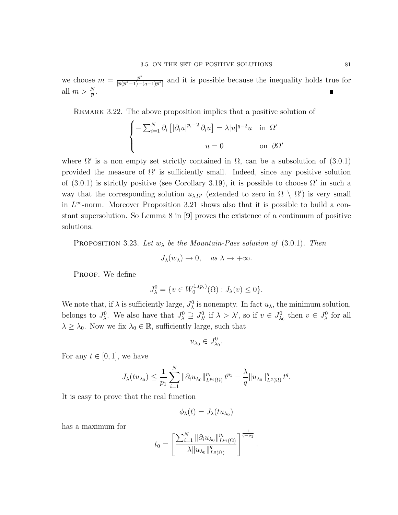we choose  $m = \frac{\overline{p}^*}{\sqrt{\overline{p}(\overline{p}^* - 1)}$  $\frac{p^*}{\sqrt{p(p^*-1)-(q-1)p^*}}$  and it is possible because the inequality holds true for all  $m > \frac{N}{\overline{p}}$ .

REMARK 3.22. The above proposition implies that a positive solution of

$$
\begin{cases}\n-\sum_{i=1}^{N} \partial_i \left[ |\partial_i u|^{p_i - 2} \partial_i u \right] = \lambda |u|^{q - 2} u & \text{in } \Omega' \\
u = 0 & \text{on } \partial \Omega'\n\end{cases}
$$

where  $\Omega'$  is a non empty set strictly contained in  $\Omega$ , can be a subsolution of (3.0.1) provided the measure of  $\Omega'$  is sufficiently small. Indeed, since any positive solution of (3.0.1) is strictly positive (see Corollary 3.19), it is possible to choose  $\Omega'$  in such a way that the corresponding solution  $u_{\lambda,\Omega}$  (extended to zero in  $\Omega \setminus \Omega'$ ) is very small in  $L^{\infty}$ -norm. Moreover Proposition 3.21 shows also that it is possible to build a constant supersolution. So Lemma 8 in [9] proves the existence of a continuum of positive solutions.

PROPOSITION 3.23. Let  $w_{\lambda}$  be the Mountain-Pass solution of (3.0.1). Then

$$
J_{\lambda}(w_{\lambda}) \to 0, \quad \text{as } \lambda \to +\infty.
$$

PROOF. We define

$$
J_{\lambda}^{0} = \{ v \in W_0^{1,(p_i)}(\Omega) : J_{\lambda}(v) \le 0 \}.
$$

We note that, if  $\lambda$  is sufficiently large,  $J_{\lambda}^{0}$  is nonempty. In fact  $u_{\lambda}$ , the minimum solution, belongs to  $J^0_\lambda$ . We also have that  $J^0_\lambda \supseteq J^0_{\lambda'}$  if  $\lambda > \lambda'$ , so if  $v \in J^0_{\lambda_0}$  then  $v \in J^0_{\lambda}$  for all  $\lambda \geq \lambda_0$ . Now we fix  $\lambda_0 \in \mathbb{R}$ , sufficiently large, such that

$$
u_{\lambda_0}\in J^0_{\lambda_0}.
$$

For any  $t \in [0, 1]$ , we have

$$
J_{\lambda}(tu_{\lambda_0}) \leq \frac{1}{p_1} \sum_{i=1}^N \|\partial_i u_{\lambda_0}\|_{L^{p_i}(\Omega)}^{p_i} t^{p_1} - \frac{\lambda}{q} \|u_{\lambda_0}\|_{L^q(\Omega)}^q t^q.
$$

It is easy to prove that the real function

$$
\phi_{\lambda}(t)=J_{\lambda}(tu_{\lambda_0})
$$

has a maximum for

$$
t_0 = \left[\frac{\sum_{i=1}^{N} \|\partial_i u_{\lambda_0}\|_{L^{p_i}(\Omega)}^{p_i}}{\lambda \|u_{\lambda_0}\|_{L^{q}(\Omega)}^{q}}\right]^{\frac{1}{q-p_1}}
$$

.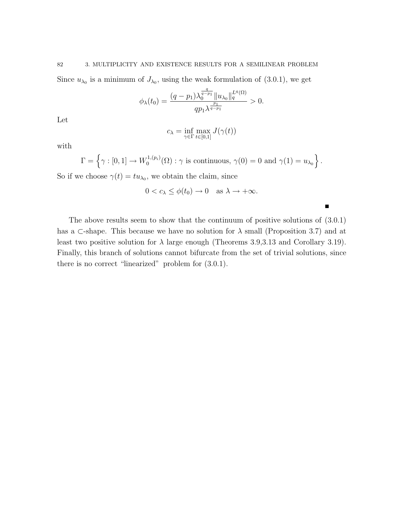Since  $u_{\lambda_0}$  is a minimum of  $J_{\lambda_0}$ , using the weak formulation of (3.0.1), we get

$$
\phi_{\lambda}(t_0) = \frac{(q-p_1)\lambda_0^{\frac{q}{q-p_1}}\|u_{\lambda_0}\|_q^{L^q(\Omega)}}{qp_1\lambda^{\frac{p_1}{q-p_1}}} > 0.
$$

Let

$$
c_{\lambda} = \inf_{\gamma \in \Gamma} \max_{t \in [0,1]} J(\gamma(t))
$$

with

$$
\Gamma = \left\{ \gamma : [0,1] \to W_0^{1,(p_i)}(\Omega) : \gamma \text{ is continuous, } \gamma(0) = 0 \text{ and } \gamma(1) = u_{\lambda_0} \right\}.
$$

So if we choose  $\gamma(t) = tu_{\lambda_0}$ , we obtain the claim, since

$$
0 < c_{\lambda} \le \phi(t_0) \to 0 \quad \text{as } \lambda \to +\infty.
$$

 $\blacksquare$ 

The above results seem to show that the continuum of positive solutions of (3.0.1) has a ⊂-shape. This because we have no solution for  $\lambda$  small (Proposition 3.7) and at least two positive solution for  $\lambda$  large enough (Theorems 3.9,3.13 and Corollary 3.19). Finally, this branch of solutions cannot bifurcate from the set of trivial solutions, since there is no correct "linearized" problem for (3.0.1).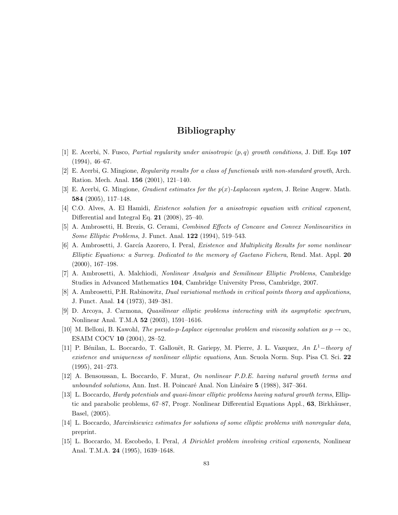# Bibliography

- [1] E. Acerbi, N. Fusco, *Partial regularity under anisotropic*  $(p, q)$  growth conditions, J. Diff. Eqs 107 (1994), 46–67.
- [2] E. Acerbi, G. Mingione, Regularity results for a class of functionals with non-standard growth, Arch. Ration. Mech. Anal. 156 (2001), 121–140.
- [3] E. Acerbi, G. Mingione, *Gradient estimates for the*  $p(x)$ *-Laplacean system*, J. Reine Angew. Math. 584 (2005), 117–148.
- [4] C.O. Alves, A. El Hamidi, Existence solution for a anisotropic equation with critical exponent, Differential and Integral Eq. 21 (2008), 25–40.
- [5] A. Ambrosetti, H. Brezis, G. Cerami, Combined Effects of Concave and Convex Nonlinearities in Some Elliptic Problems, J. Funct. Anal. 122 (1994), 519–543.
- [6] A. Ambrosetti, J. García Azorero, I. Peral, Existence and Multiplicity Results for some nonlinear Elliptic Equations: a Survey. Dedicated to the memory of Gaetano Fichera, Rend. Mat. Appl. 20 (2000), 167–198.
- [7] A. Ambrosetti, A. Malchiodi, Nonlinear Analysis and Semilinear Elliptic Problems, Cambridge Studies in Advanced Mathematics 104, Cambridge University Press, Cambridge, 2007.
- [8] A. Ambrosetti, P.H. Rabinowitz, Dual variational methods in critical points theory and applications, J. Funct. Anal. 14 (1973), 349–381.
- [9] D. Arcoya, J. Carmona, Quasilinear elliptic problems interacting with its asymptotic spectrum, Nonlinear Anal. T.M.A 52 (2003), 1591–1616.
- [10] M. Belloni, B. Kawohl, The pseudo-p-Laplace eigenvalue problem and viscosity solution as  $p \to \infty$ , ESAIM COCV 10 (2004), 28–52.
- [11] P. Bénilan, L. Boccardo, T. Gallouët, R. Gariepy, M. Pierre, J. L. Vazquez, An L<sup>1</sup>-theory of existence and uniqueness of nonlinear elliptic equations, Ann. Scuola Norm. Sup. Pisa Cl. Sci. 22 (1995), 241–273.
- [12] A. Bensoussan, L. Boccardo, F. Murat, On nonlinear P.D.E. having natural growth terms and unbounded solutions, Ann. Inst. H. Poincaré Anal. Non Linéaire 5 (1988), 347–364.
- [13] L. Boccardo, Hardy potentials and quasi-linear elliptic problems having natural growth terms, Elliptic and parabolic problems, 67–87, Progr. Nonlinear Differential Equations Appl., 63, Birkhäuser, Basel, (2005).
- [14] L. Boccardo, Marcinkiewicz estimates for solutions of some elliptic problems with nonregular data, preprint.
- [15] L. Boccardo, M. Escobedo, I. Peral, A Dirichlet problem involving critical exponents, Nonlinear Anal. T.M.A. 24 (1995), 1639–1648.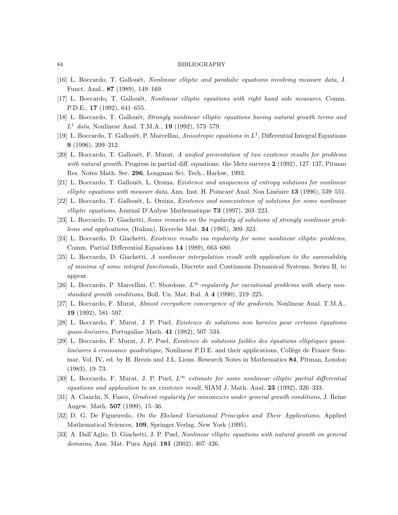- [16] L. Boccardo, T. Gallouët, *Nonlinear elliptic and parabolic equations involving measure data*, J. Funct. Anal., 87 (1989), 149–169.
- [17] L. Boccardo, T. Gallouët, *Nonlinear elliptic equations with right hand side measures*, Comm. P.D.E., 17 (1992), 641–655.
- [18] L. Boccardo, T. Gallouët, Strongly nonlinear elliptic equations having natural growth terms and  $L^1$  data, Nonlinear Anal. T.M.A., 19 (1992), 573-579.
- [19] L. Boccardo, T. Gallouët, P. Marcellini, Anisotropic equations in  $L^1$ , Differential Integral Equations 9 (1996), 209–212.
- [20] L. Boccardo, T. Gallouët, F. Murat, A unified presentation of two existence results for problems with natural growth, Progress in partial diff. equations: the Metz surveys  $2(1992)$ , 127–137, Pitman Res. Notes Math. Ser. 296, Longman Sci. Tech., Harlow, 1993.
- [21] L. Boccardo, T. Gallouët, L. Orsina, *Existence and uniqueness of entropy solutions for nonlinear* elliptic equations with measure data, Ann. Inst. H. Poincaré Anal. Non Linéaire  $13$  (1996), 539–551.
- [22] L. Boccardo, T. Gallouët, L. Orsina, *Existence and nonexistence of solutions for some nonlinear* elliptic equations, Journal D'Anlyse Mathematique  $73$  (1997), 203–223.
- [23] L. Boccardo, D. Giachetti, Some remarks on the regularity of solutions of strongly nonlinear problems and applications, (Italian), Ricerche Mat. 34 (1985), 309–323.
- [24] L. Boccardo, D. Giachetti, Existence results via regularity for some nonlinear elliptic problems, Comm. Partial Differential Equations 14 (1989), 663–680.
- [25] L. Boccardo, D. Giachetti, A nonlinear interpolation result with application to the summability of minima of some integral functionals, Discrete and Continuous Dynamical Systems, Series B, to appear.
- [26] L. Boccardo, P. Marcellini, C. Sbordone,  $L^{\infty}$ -regularity for variational problems with sharp nonstandard growth conditions, Boll. Un. Mat. Ital. A 4 (1990), 219–225.
- [27] L. Boccardo, F. Murat, Almost everywhere convergence of the gradients, Nonlinear Anal. T.M.A., 19 (1992), 581–597.
- [28] L. Boccardo, F. Murat, J. P. Puel, *Existence de solutions non bornées pour certains équations* quasi-linéaires, Portugaliae Math.  $41$  (1982), 507–534.
- $[29]$  L. Boccardo, F. Murat, J. P. Puel, *Existence de solutions faibles des équations elliptiques quasi* $lineéaires \textit{à croissance quadratique}$ , Nonlinear P.D.E. and their applications, Collège de France Seminar, Vol. IV, ed. by H. Brezis and J.L. Lions. Research Notes in Mathematics 84, Pitman, London (1983), 19–73.
- [30] L. Boccardo, F. Murat, J. P. Puel,  $L^{\infty}$  estimate for some nonlinear elliptic partial differential equations and application to an existence result, SIAM J. Math. Anal.  $23$  (1992), 326–333.
- [31] A. Cianchi, N. Fusco, *Gradient regularity for minimizers under general growth conditions*, J. Reine Angew. Math. **507** (1999), 15–36.
- [32] D. G. De Figueiredo, On the Ekeland Variational Principles and Their Applications, Applied Mathematical Sciences, 109, Springer.Verlag, New York (1995).
- [33] A. Dall'Aglio, D. Giachetti, J. P. Puel, Nonlinear elliptic equations with natural growth on general domains, Ann. Mat. Pura Appl. **181** (2002), 407-426.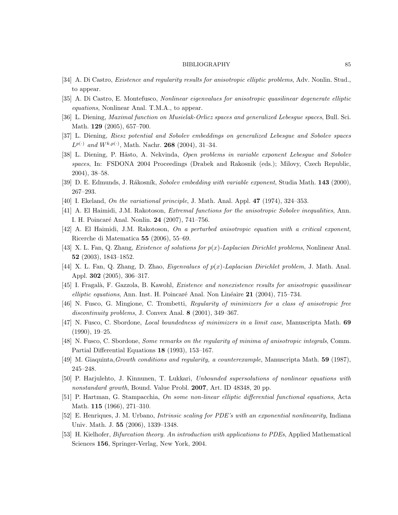- [34] A. Di Castro, Existence and regularity results for anisotropic elliptic problems, Adv. Nonlin. Stud., to appear.
- [35] A. Di Castro, E. Montefusco, Nonlinear eigenvalues for anisotropic quasilinear degenerate elliptic equations, Nonlinear Anal. T.M.A., to appear.
- [36] L. Diening, Maximal function on Musielak-Orlicz spaces and generalized Lebesgue spaces, Bull. Sci. Math. 129 (2005), 657–700.
- [37] L. Diening, Riesz potential and Sobolev embeddings on generalized Lebesgue and Sobolev spaces  $L^{p(\cdot)}$  and  $W^{k,p(\cdot)}$ , Math. Nachr. 268 (2004), 31-34.
- [38] L. Diening, P. Hästo, A. Nekvinda, Open problems in variable exponent Lebesque and Sobolev spaces, In: FSDONA 2004 Proceedings (Drabek and Rakosnik (eds.); Milovy, Czech Republic, 2004), 38–58.
- [39] D. E. Edmunds, J. Rákosník, Sobolev embedding with variable exponent, Studia Math. 143 (2000), 267–293.
- [40] I. Ekeland, On the variational principle, J. Math. Anal. Appl. 47 (1974), 324–353.
- [41] A. El Haimidi, J.M. Rakotoson, Extremal functions for the anisotropic Sobolev inequalities, Ann. I. H. Poincaré Anal. Nonlin. 24 (2007), 741–756.
- [42] A. El Haimidi, J.M. Rakotoson, On a perturbed anisotropic equation with a critical exponent, Ricerche di Matematica 55 (2006), 55–69.
- [43] X. L. Fan, Q. Zhang, Existence of solutions for p(x)-Laplacian Dirichlet problems, Nonlinear Anal. 52 (2003), 1843–1852.
- [44] X. L. Fan, Q. Zhang, D. Zhao, *Eigenvalues of*  $p(x)$ *-Laplacian Dirichlet problem*, J. Math. Anal. Appl. 302 (2005), 306–317.
- [45] I. Fragalà, F. Gazzola, B. Kawohl, *Existence and nonexistence results for anisotropic quasilinear* elliptic equations, Ann. Inst. H. Poincaré Anal. Non Linéaire  $21$  (2004), 715–734.
- [46] N. Fusco, G. Mingione, C. Trombetti, Regularity of minimizers for a class of anisotropic free discontinuity problems, J. Convex Anal. 8 (2001), 349–367.
- [47] N. Fusco, C. Sbordone, Local boundedness of minimizers in a limit case, Manuscripta Math. 69 (1990), 19–25.
- [48] N. Fusco, C. Sbordone, Some remarks on the regularity of minima of anisotropic integrals, Comm. Partial Differential Equations 18 (1993), 153–167.
- [49] M. Giaquinta,Growth conditions and regularity, a counterexample, Manuscripta Math. 59 (1987), 245–248.
- [50] P. Harjulehto, J. Kinnunen, T. Lukkari, Unbounded supersolutions of nonlinear equations with nonstandard growth, Bound. Value Probl. 2007, Art. ID 48348, 20 pp.
- [51] P. Hartman, G. Stampacchia, On some non-linear elliptic differential functional equations, Acta Math. 115 (1966), 271–310.
- [52] E. Henriques, J. M. Urbano, Intrinsic scaling for PDE's with an exponential nonlinearity, Indiana Univ. Math. J. 55 (2006), 1339–1348.
- [53] H. Kielhofer, Bifurcation theory. An introduction with applications to PDEs, Applied Mathematical Sciences 156, Springer-Verlag, New York, 2004.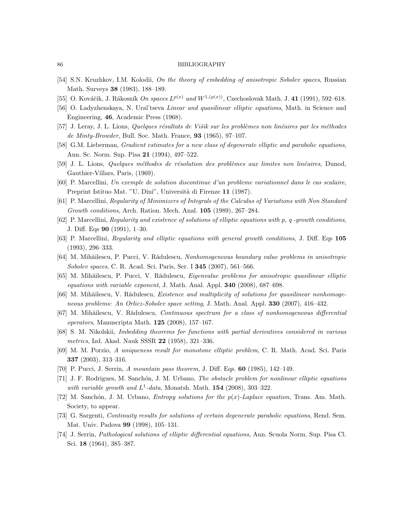- [54] S.N. Kruzhkov, I.M. Kolodii, On the theory of embedding of anisotropic Sobolev spaces, Russian Math. Surveys 38 (1983), 188–189.
- [55] O. Kováčik, J. Rákosník On spaces  $L^{p(x)}$  and  $W^{1,(p(x))}$ , Czechoslovak Math. J. 41 (1991), 592–618.
- [56] O. Ladyzhenskaya, N. Ural'tseva *Linear and quasilinear elliptic equations*, Math. in Science and Engineering, 46, Academic Press (1968).
- [57] J. Leray, J. L. Lions, Quelques résultats de Višik sur les problèmes non linéaires par les méthodes de Minty-Browder, Bull. Soc. Math. France,  $93$  (1965), 97-107.
- [58] G.M. Lieberman, *Gradient estimates for a new class of degenerate elliptic and parabolic equations*, Ann. Sc. Norm. Sup. Pisa 21 (1994), 497–522.
- [59] J. L. Lions, Quelques méthodes de résolution des problèmes aux limites non linéaires, Dunod, Gauthier-Villars, Paris, (1969).
- [60] P. Marcellini, Un exemple de solution discontinue d'un probleme variationnel dans le cas scalaire, Preprint Istituo Mat. "U. Dini", Università di Firenze 11 (1987).
- [61] P. Marcellini, Regularity of Minimizers of Integrals of the Calculus of Variations with Non Standard Growth conditions, Arch. Ration. Mech. Anal. 105 (1989), 267–284.
- [62] P. Marcellini, Regularity and existence of solutions of elliptic equations with p, q -growth conditions, J. Diff. Eqs 90 (1991), 1–30.
- [63] P. Marcellini, Regularity and elliptic equations with general growth conditions, J. Diff. Eqs 105 (1993), 296–333.
- [64] M. Mihăilescu, P. Pucci, V. Rădulescu, Nonhomogeneous boundary value problems in anisotropic Sobolev spaces, C. R. Acad. Sci. Paris, Ser. I 345 (2007), 561–566.
- [65] M. Mihăilescu, P. Pucci, V. Rădulescu, *Eigenvalue problems for anisotropic quasilinear elliptic* equations with variable exponent, J. Math. Anal. Appl. 340 (2008), 687-698.
- [66] M. Mihăilescu, V. Rădulescu, Existence and multiplicity of solutions for quasilinear nonhomogeneous problems: An Orlicz-Sobolev space setting, J. Math. Anal. Appl. 330 (2007), 416–432.
- [67] M. Mihăilescu, V. Rădulescu, Continuous spectrum for a class of nonhomogeneous differential operators, Manuscripta Math.  $125$  (2008), 157-167.
- [68] S. M. Nikolskii, Imbedding theorems for functions with partial derivatives considered in various *metrics*, Izd. Akad. Nauk SSSR  $22$  (1958), 321–336.
- [69] M. M. Porzio, A uniqueness result for monotone elliptic problem, C. R. Math. Acad. Sci. Paris 337 (2003), 313–316.
- [70] P. Pucci, J. Serrin, A mountain pass theorem, J. Diff. Eqs. 60 (1985), 142–149.
- [71] J. F. Rodrigues, M. Sanchón, J. M. Urbano, *The obstacle problem for nonlinear elliptic equations* with variable growth and  $L^1$ -data, Monatsh. Math. 154 (2008), 303-322.
- [72] M. Sanchón, J. M. Urbano, *Entropy solutions for the*  $p(x)$ *-Laplace equation*, Trans. Am. Math. Society, to appear.
- [73] G. Sargenti, Continuity results for solutions of certain degenerate parabolic equations, Rend. Sem. Mat. Univ. Padova 99 (1998), 105–131.
- [74] J. Serrin, Pathological solutions of elliptic differential equations, Ann. Scuola Norm. Sup. Pisa Cl. Sci. 18 (1964), 385–387.